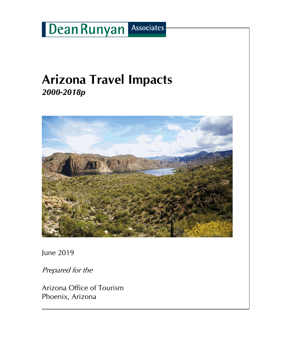# **Dean Runyan Associates**

## **Arizona Travel Impacts** *2000-2018p*



June 2019

Prepared for the

Arizona Office of Tourism Phoenix, Arizona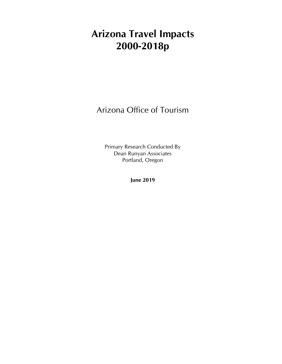## **Arizona Travel Impacts 2000-2018p**

Arizona Office of Tourism

Primary Research Conducted By Dean Runyan Associates Portland, Oregon

**June 2019**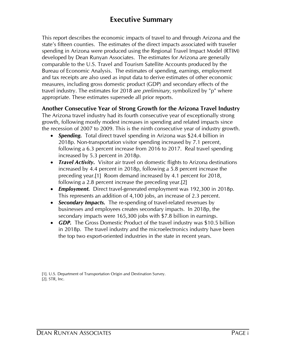## **Executive Summary**

This report describes the economic impacts of travel to and through Arizona and the state's fifteen counties. The estimates of the direct impacts associated with traveler spending in Arizona were produced using the Regional Travel Impact Model (RTIM) developed by Dean Runyan Associates. The estimates for Arizona are generally comparable to the U.S. Travel and Tourism Satellite Accounts produced by the Bureau of Economic Analysis. The estimates of spending, earnings, employment and tax receipts are also used as input data to derive estimates of other economic measures, including gross domestic product (GDP) and secondary effects of the travel industry. The estimates for 2018 are *preliminary*, symbolized by "p" where appropriate. These estimates supersede all prior reports.

## **Another Consecutive Year of Strong Growth for the Arizona Travel Industry**

The Arizona travel industry had its fourth consecutive year of exceptionally strong growth, following mostly modest increases in spending and related impacts since the recession of 2007 to 2009. This is the ninth consecutive year of industry growth.

- · *Spending.* Total direct travel spending in Arizona was \$24.4 billion in 2018p. Non-transportation visitor spending increased by 7.1 percent, following a 6.3 percent increase from 2016 to 2017. Real travel spending increased by 5.3 percent in 2018p.
- · *Travel Activity.* Visitor air travel on domestic flights to Arizona destinations increased by 4.4 percent in 2018p, following a 5.8 percent increase the preceding year.[1] Room demand increased by 4.1 percent for 2018, following a 2.8 percent increase the preceding year.[2]
- · *Employment.* Direct travel-generated employment was 192,300 in 2018p. This represents an addition of 4,100 jobs, an increase of 2.3 percent.
- **Secondary Impacts.** The re-spending of travel-related revenues by businesses and employees creates secondary impacts. In 2018p, the secondary impacts were 165,300 jobs with \$7.8 billion in earnings.
- · *GDP.* The Gross Domestic Product of the travel industry was \$10.5 billion in 2018p. The travel industry and the microelectronics industry have been the top two export-oriented industries in the state in recent years.

<sup>[1].</sup> U.S. Department of Transportation Origin and Destination Survey. [2]. STR, Inc.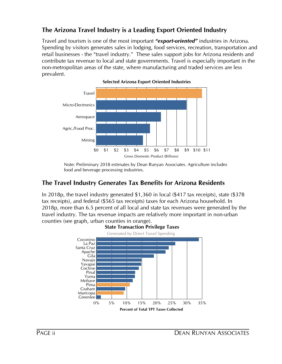## **The Arizona Travel Industry is a Leading Export Oriented Industry**

Travel and tourism is one of the most important *"export-oriented"* industries in Arizona. Spending by visitors generates sales in lodging, food services, recreation, transportation and retail businesses - the "travel industry." These sales support jobs for Arizona residents and contribute tax revenue to local and state governments. Travel is especially important in the non-metropolitan areas of the state, where manufacturing and traded services are less prevalent.



**Selected Arizona Export Oriented Industries**

## **The Travel Industry Generates Tax Benefits for Arizona Residents**

In 2018p, the travel industry generated \$1,360 in local (\$417 tax receipts), state (\$378 tax receipts), and federal (\$565 tax receipts) taxes for each Arizona household. In 2018p, more than 6.5 percent of all local and state tax revenues were generated by the travel industry. The tax revenue impacts are relatively more important in non-urban counties (see graph, urban counties in orange).



Note: Preliminary 2018 estimates by Dean Runyan Associates. Agriculture includes food and beverage processing industries.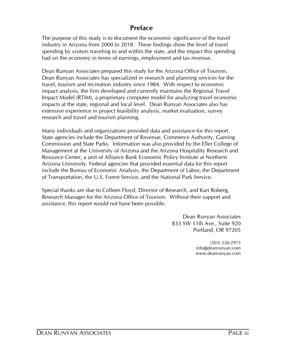## **Preface**

The purpose of this study is to document the economic significance of the travel industry in Arizona from 2000 to 2018. These findings show the level of travel spending by visitors traveling to and within the state, and the impact this spending had on the economy in terms of earnings, employment and tax revenue.

Dean Runyan Associates prepared this study for the Arizona Office of Tourism. Dean Runyan Associates has specialized in research and planning services for the travel, tourism and recreation industry since 1984. With respect to economic impact analysis, the firm developed and currently maintains the Regional Travel Impact Model (RTIM), a proprietary computer model for analyzing travel economic impacts at the state, regional and local level. Dean Runyan Associates also has extensive experience in project feasibility analysis, market evaluation, survey research and travel and tourism planning.

Many individuals and organizations provided data and assistance for this report. State agencies include the Department of Revenue, Commerce Authority, Gaming Commission and State Parks. Information was also provided by the Eller College of Management at the University of Arizona and the Arizona Hospitality Research and Resource Center, a unit of Alliance Bank Economic Policy Institute at Northern Arizona University. Federal agencies that provided essential data for this report include the Bureau of Economic Analysis, the Department of Labor, the Department of Transportation, the U.S. Forest Service, and the National Park Service.

Special thanks are due to Colleen Floyd, Director of Research, and Kari Roberg, Research Manager for the Arizona Office of Tourism. Without their support and assistance, this report would not have been possible.

> Dean Runyan Associates 833 SW 11th Ave., Suite 920 Portland, OR 97205

> > (503) 226-2973 info@deanrunyan.com www.deanrunyan.com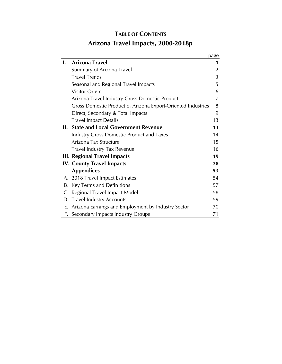## **TABLE OF CONTENTS Arizona Travel Impacts, 2000-2018p**

|    |                                                              | page |
|----|--------------------------------------------------------------|------|
| I. | <b>Arizona Travel</b>                                        | 1    |
|    | Summary of Arizona Travel                                    | 2    |
|    | <b>Travel Trends</b>                                         | 3    |
|    | Seasonal and Regional Travel Impacts                         | 5    |
|    | Visitor Origin                                               | 6    |
|    | Arizona Travel Industry Gross Domestic Product               | 7    |
|    | Gross Domestic Product of Arizona Export-Oriented Industries | 8    |
|    | Direct, Secondary & Total Impacts                            | 9    |
|    | <b>Travel Impact Details</b>                                 | 13   |
| Н. | <b>State and Local Government Revenue</b>                    | 14   |
|    | <b>Industry Gross Domestic Product and Taxes</b>             | 14   |
|    | Arizona Tax Structure                                        | 15   |
|    | <b>Travel Industry Tax Revenue</b>                           | 16   |
|    | <b>III. Regional Travel Impacts</b>                          | 19   |
|    | <b>IV. County Travel Impacts</b>                             | 28   |
|    | <b>Appendices</b>                                            | 53   |
|    | A. 2018 Travel Impact Estimates                              | 54   |
| B. | Key Terms and Definitions                                    | 57   |
|    | C. Regional Travel Impact Model                              | 58   |
|    | D. Travel Industry Accounts                                  | 59   |
|    | E. Arizona Earnings and Employment by Industry Sector        | 70   |
|    | F. Secondary Impacts Industry Groups                         | 71   |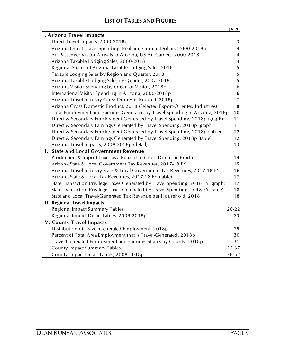## **LIST OF TABLES AND FIGURES**

| I. Arizona Travel Impacts                                                       |                  |
|---------------------------------------------------------------------------------|------------------|
| Direct Travel Impacts, 2000-2018p                                               | 3                |
| Arizona Direct Travel Spending, Real and Current Dollars, 2000-2018p            | 4                |
| Air Passenger Visitor Arrivals to Arizona, US Air Carriers, 2000-2018           | $\overline{4}$   |
| Arizona Taxable Lodging Sales, 2000-2018                                        | $\overline{4}$   |
| Regional Shares of Arizona Taxable Lodging Sales, 2018                          | 5                |
| Taxable Lodging Sales by Region and Quarter, 2018                               | 5                |
| Arizona Taxable Lodging Sales by Quarter, 2007-2018                             | 5                |
| Arizona Visitor Spending by Origin of Visitor, 2018p                            | $\boldsymbol{6}$ |
| International Visitor Spending in Arizona, 2000-2018p                           | $\boldsymbol{6}$ |
| Arizona Travel Industry Gross Domestic Product, 2018p                           | $\overline{7}$   |
| Arizona Gross Domestic Product, 2018 (Selected Export-Oriented Industries)      | 8                |
| Total Employment and Earnings Generated by Travel Spending in Arizona, 2018p    | 10               |
| Direct & Secondary Employment Generated by Travel Spending, 2018p (graph)       | 11               |
| Direct & Secondary Earnings Generated by Travel Spending, 2018p (graph)         | 11               |
| Direct & Secondary Employment Generated by Travel Spending, 2018p (table)       | 12               |
| Direct & Secondary Earnings Generated by Travel Spending, 2018p (table)         | 12               |
| Arizona Travel Impacts, 2008-2018p (detail)                                     | 13               |
| <b>II. State and Local Government Revenue</b>                                   |                  |
| Production & Import Taxes as a Percent of Gross Domestic Product                | 14               |
| Arizona State & Local Government Tax Revenues, 2017-18 FY                       | 15               |
| Arizona Travel Industry State & Local Government Tax Revenues, 2017-18 FY       | 16               |
| Arizona State & Local Tax Revenues, 2017-18 FY (table)                          | 17               |
| State Transaction Privilege Taxes Generated by Travel Spending, 2018 FY (graph) | 17               |
| State Transaction Privilege Taxes Generated by Travel Spending, 2018 FY (table) | 18               |
| State and Local Travel-Generated Tax Revenue per Household, 2018                | 18               |
| <b>III. Regional Travel Impacts</b>                                             |                  |
| <b>Regional Impact Summary Tables</b>                                           | $20 - 22$        |
| Regional Impact Detail Tables, 2008-2018p                                       | 23               |
| IV. County Travel Impacts                                                       |                  |
| Distribution of Travel-Generated Employment, 2018p                              | 29               |
| Percent of Total Area Employment that is Travel-Generated, 2018p                | 30               |
| Travel-Generated Employment and Earnings Shares by County, 2018p                | 31               |
| <b>County Impact Summary Tables</b>                                             | 32-37            |
| County Impact Detail Tables, 2008-2018p                                         | 38-52            |

page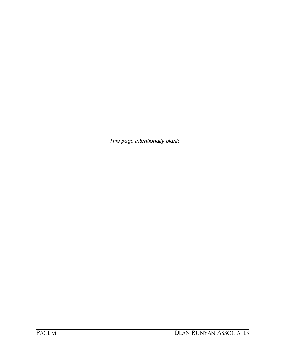*This page intentionally blank*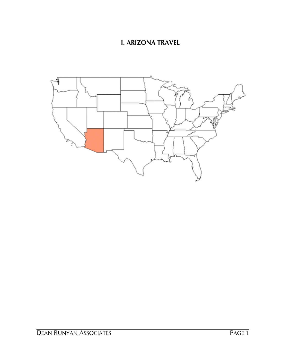## **I. ARIZONA TRAVEL**

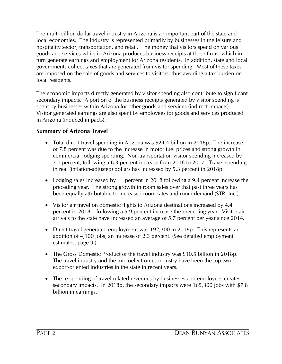The multi-billion dollar travel industry in Arizona is an important part of the state and local economies. The industry is represented primarily by businesses in the leisure and hospitality sector, transportation, and retail. The money that visitors spend on various goods and services while in Arizona produces business receipts at these firms, which in turn generate earnings and employment for Arizona residents. In addition, state and local governments collect taxes that are generated from visitor spending. Most of these taxes are imposed on the sale of goods and services to visitors, thus avoiding a tax burden on local residents.

The economic impacts directly generated by visitor spending also contribute to significant secondary impacts. A portion of the business receipts generated by visitor spending is spent by businesses within Arizona for other goods and services (indirect impacts). Visitor generated earnings are also spent by employees for goods and services produced in Arizona (induced impacts).

## **Summary of Arizona Travel**

- · Total direct travel spending in Arizona was \$24.4 billion in 2018p. The increase of 7.8 percent was due to the increase in motor fuel prices and strong growth in commercial lodging spending. Non-transportation visitor spending increased by 7.1 percent, following a 6.3 percent increase from 2016 to 2017. Travel spending in real (inflation-adjusted) dollars has increased by 5.3 percent in 2018p.
- Lodging sales increased by 11 percent in 2018 following a 9.4 percent increase the preceding year. The strong growth in room sales over that past three years has been equally attributable to increased room rates and room demand (STR, Inc.).
- Visitor air travel on domestic flights to Arizona destinations increased by 4.4 percent in 2018p, following a 5.9 percent increase the preceding year. Visitor air arrivals to the state have increased an average of 5.7 percent per year since 2014.
- Direct travel-generated employment was 192,300 in 2018p. This represents an addition of 4,100 jobs, an increase of 2.3 percent. (See detailed employment estimates, page 9.)
- The Gross Domestic Product of the travel industry was \$10.5 billion in 2018p. The travel industry and the microelectronics industry have been the top two export-oriented industries in the state in recent years.
- The re-spending of travel-related revenues by businesses and employees creates secondary impacts. In 2018p, the secondary impacts were 165,300 jobs with \$7.8 billion in earnings.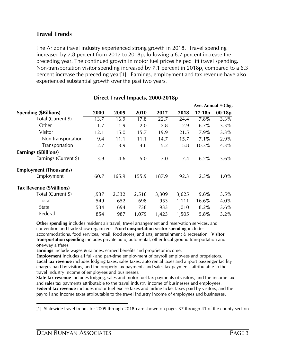## **Travel Trends**

The Arizona travel industry experienced strong growth in 2018. Travel spending increased by 7.8 percent from 2017 to 2018p, following a 6.7 percent increase the preceding year. The continued growth in motor fuel prices helped lift travel spending. Non-transportation visitor spending increased by 7.1 percent in 2018p, compared to a 6.3 percent increase the preceding year[1]. Earnings, employment and tax revenue have also experienced substantial growth over the past two years.

|                                 |       |       |       |       |       |            | Ave. Annual %Chg. |
|---------------------------------|-------|-------|-------|-------|-------|------------|-------------------|
| <b>Spending (\$Billions)</b>    | 2000  | 2005  | 2010  | 2017  | 2018  | $17 - 18p$ | $00-18p$          |
| Total (Current \$)              | 13.7  | 16.9  | 17.8  | 22.7  | 24.4  | 7.8%       | $3.3\%$           |
| Other                           | 1.7   | 1.9   | 2.0   | 2.8   | 2.9   | 6.7%       | 3.3%              |
| Visitor                         | 12.1  | 15.0  | 15.7  | 19.9  | 21.5  | 7.9%       | 3.3%              |
| Non-transportation              | 9.4   | 11.1  | 11.1  | 14.7  | 15.7  | 7.1%       | 2.9%              |
| <b>Transportation</b>           | 2.7   | 3.9   | 4.6   | 5.2   | 5.8   | 10.3%      | 4.3%              |
| Earnings (\$Billions)           |       |       |       |       |       |            |                   |
| Earnings (Current \$)           | 3.9   | 4.6   | 5.0   | 7.0   | 7.4   | 6.2%       | 3.6%              |
| <b>Employment (Thousands)</b>   |       |       |       |       |       |            |                   |
| Employment                      | 160.7 | 165.9 | 155.9 | 187.9 | 192.3 | 2.3%       | 1.0%              |
| <b>Tax Revenue (\$Millions)</b> |       |       |       |       |       |            |                   |
| Total (Current \$)              | 1,937 | 2,332 | 2,516 | 3,309 | 3,625 | $9.6\%$    | 3.5%              |
| Local                           | 549   | 652   | 698   | 953   | 1,111 | 16.6%      | 4.0%              |
| State                           | 534   | 694   | 738   | 933   | 1,010 | 8.2%       | 3.6%              |
| Federal                         | 854   | 987   | 1,079 | 1,423 | 1,505 | 5.8%       | 3.2%              |

#### **Direct Travel Impacts, 2000-2018p**

**Other spending** includes resident air travel, travel arrangement and reservation services, and convention and trade show organizers. **Non-transportation visitor spending** includes accommodations, food services, retail, food stores, and arts, entertainment & recreation. **Visitor transportation spending** includes private auto, auto rental, other local ground transportation and one-way airfares.

**Earnings** include wages & salaries, earned benefits and proprietor income.

**Employment** includes all full- and part-time employment of payroll employees and proprietors. **Local tax revenue** includes lodging taxes, sales taxes, auto rental taxes and airport passenger facility charges paid by visitors, and the property tax payments and sales tax payments attributable to the travel industry income of employees and businesses.

**State tax revenue** includes lodging, sales and motor fuel tax payments of visitors, and the income tax and sales tax payments attributable to the travel industry income of businesses and employees. **Federal tax revenue** includes motor fuel excise taxes and airline ticket taxes paid by visitors, and the payroll and income taxes attributable to the travel industry income of employees and businesses.

<sup>[1].</sup> Statewide travel trends for 2009 through 2018p are shown on pages 37 through 41 of the county section.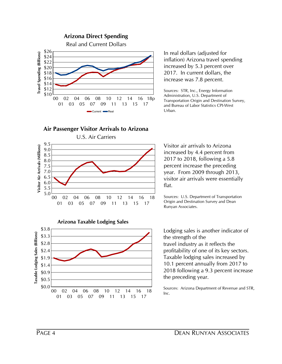

In real dollars (adjusted for inflation) Arizona travel spending increased by 5.3 percent over 2017. In current dollars, the increase was 7.8 percent.

Sources: STR, Inc., Energy Information Administration, U.S. Department of Transportation Origin and Destination Survey, and Bureau of Labor Statistics CPI-West Urban.



**Air Passenger Visitor Arrivals to Arizona**

Visitor air arrivals to Arizona increased by 4.4 percent from 2017 to 2018, following a 5.8 percent increase the preceding year. From 2009 through 2013, visitor air arrivals were essentially flat.

Sources: U.S. Department of Transportation Origin and Destination Survey and Dean Runyan Associates.



Lodging sales is another indicator of the strength of the travel industry as it reflects the profitability of one of its key sectors. Taxable lodging sales increased by 10.1 percent annually from 2017 to 2018 following a 9.3 percent increase the preceding year.

Sources: Arizona Department of Revenue and STR, Inc.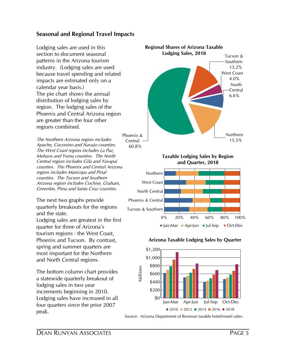## **Seasonal and Regional Travel Impacts**

Lodging sales are used in this section to document seasonal patterns in the Arizona tourism industry. (Lodging sales are used because travel spending and related impacts are estimated only on a calendar year basis.) The pie chart shows the annual distribution of lodging sales by region. The lodging sales of the Phoenix and Central Arizona region are greater than the four other regions combined.

The Northern Arizona region includes Apache, Coconino and Navajo counties. The West Coast region includes La Paz, Mohave and Yuma counties. The North Central region includes Gila and Yavapai counties. The Phoenix and Central Arizona region includes Maricopa and Pinal counties. The Tucson and Southern Arizona region includes Cochise, Graham, Greenlee, Pima and Santa Cruz counties.

The next two graphs provide quarterly breakouts for the regions and the state. Lodging sales are greatest in the first quarter for three of Arizona's tourism regions - the West Coast, Phoenix and Tucson. By contrast, spring and summer quarters are most important for the Northern and North Central regions.

The bottom column chart provides a statewide quarterly breakout of lodging sales in two year increments beginning in 2010. Lodging sales have increased in all four quarters since the prior 2007 peak.





**Arizona Taxable Lodging Sales by Quarter**

Source: Arizona Department of Revenue taxable hotel/motel sales.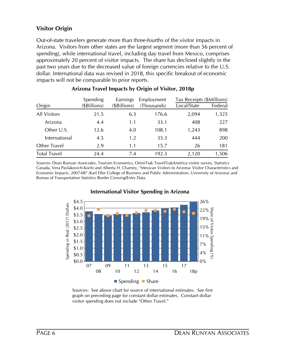## **Visitor Origin**

Out-of-state travelers generate more than three-fourths of the visitor impacts in Arizona. Visitors from other states are the largest segment (more than 56 percent of spending), while international travel, including day travel from Mexico, comprises approximately 20 percent of visitor impacts. The share has declined slightly in the past two years due to the decreased value of foreign currencies relative to the U.S. dollar. International data was revised in 2018, this specific breakout of economic impacts will not be comparable to prior reports.

|                     | Spending     | <b>Earnings</b> | Employment  | Tax Receipts (\$Millions) |         |
|---------------------|--------------|-----------------|-------------|---------------------------|---------|
| Origin              | (\$Billions) | (\$Billions)    | (Thousands) | Local/State               | Federal |
| <b>All Visitors</b> | 21.5         | 6.3             | 176.6       | 2,094                     | 1,325   |
| Arizona             | 4.4          | 1.1             | 33.1        | 408                       | 227     |
| Other U.S.          | 12.6         | 4.0             | 108.1       | 1,243                     | 898     |
| International       | 4.5          | 1.2             | 35.3        | 444                       | 200     |
| <b>Other Travel</b> | 2.9          | 1.1             | 15.7        | 26                        | 181     |
| <b>Total Travel</b> | 24.4         | 7.4             | 192.3       | 2,120                     | 1,506   |

### **Arizona Travel Impacts by Origin of Visitor, 2018p**

Sources: Dean Runyan Associates, Toursim Economics, OmniTrak TravelTrakAmerica visitor survey, Statistics Canada, Vera Pavlakovich-Kochi and Alberta H. Charney, "Mexican Visitors to Arizona: Visitor Characteristics and Economic Impacts, 2007-08" (Karl Eller College of Business and Public Administration, University of Arizona) and Bureau of Transportation Statistics Border Crossing/Entry Data.



### **International Visitor Spending in Arizona**

Sources: See above chart for source of international estimates. See first graph on preceding page for constant dollar estimates. Constant dollar visitor spending does not include "Other Travel."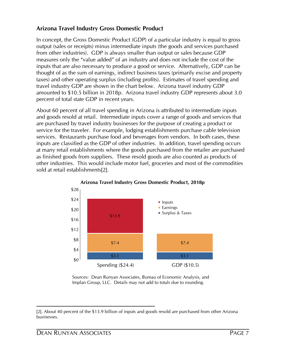## **Arizona Travel Industry Gross Domestic Product**

In concept, the Gross Domestic Product (GDP) of a particular industry is equal to gross output (sales or receipts) minus intermediate inputs (the goods and services purchased from other industries). GDP is always smaller than output or sales because GDP measures only the "value added" of an industry and does not include the cost of the inputs that are also necessary to produce a good or service. Alternatively, GDP can be thought of as the sum of earnings, indirect business taxes (primarily excise and property taxes) and other operating surplus (including profits). Estimates of travel spending and travel industry GDP are shown in the chart below. Arizona travel industry GDP amounted to \$10.5 billion in 2018p. Arizona travel industry GDP represents about 3.0 percent of total state GDP in recent years.

About 60 percent of all travel spending in Arizona is attributed to intermediate inputs and goods resold at retail. Intermediate inputs cover a range of goods and services that are purchased by travel industry businesses for the purpose of creating a product or service for the traveler. For example, lodging establishments purchase cable television services. Restaurants purchase food and beverages from vendors. In both cases, these inputs are classified as the GDP of other industries. In addition, travel spending occurs at many retail establishments where the goods purchased from the retailer are purchased as finished goods from suppliers. These resold goods are also counted as products of other industries. This would include motor fuel, groceries and most of the commodities sold at retail establishments[2].





Sources: Dean Runyan Associates, Bureau of Economic Analysis, and Implan Group, LLC. Details may not add to totals due to rounding.

<sup>[2].</sup> About 40 percent of the \$13.9 billion of inputs and goods resold are purchased from other Arizona businesses.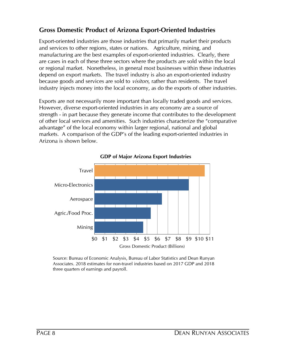## **Gross Domestic Product of Arizona Export-Oriented Industries**

Export-oriented industries are those industries that primarily market their products and services to other regions, states or nations. Agriculture, mining, and manufacturing are the best examples of export-oriented industries. Clearly, there are cases in each of these three sectors where the products are sold within the local or regional market. Nonetheless, in general most businesses within these industries depend on export markets. The travel industry is also an export-oriented industry because goods and services are sold to *visitors*, rather than residents. The travel industry injects money into the local economy, as do the exports of other industries.

Exports are not necessarily more important than locally traded goods and services. However, diverse export-oriented industries in any economy are a source of strength - in part because they generate income that contributes to the development of other local services and amenities. Such industries characterize the "comparative advantage" of the local economy within larger regional, national and global markets. A comparison of the GDP's of the leading export-oriented industries in Arizona is shown below.



**GDP of Major Arizona Export Industries**

Source: Bureau of Economic Analysis, Bureau of Labor Statistics and Dean Runyan Associates. 2018 estimates for non-travel industries based on 2017 GDP and 2018 three quarters of earnings and payroll.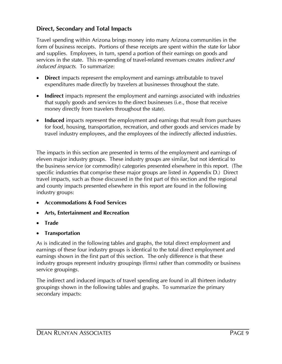## **Direct, Secondary and Total Impacts**

Travel spending within Arizona brings money into many Arizona communities in the form of business receipts. Portions of these receipts are spent within the state for labor and supplies. Employees, in turn, spend a portion of their earnings on goods and services in the state. This re-spending of travel-related revenues creates *indirect and* induced impacts. To summarize:

- · **Direct** impacts represent the employment and earnings attributable to travel expenditures made directly by travelers at businesses throughout the state.
- · **Indirect** impacts represent the employment and earnings associated with industries that supply goods and services to the direct businesses (i.e., those that receive money directly from travelers throughout the state).
- · **Induced** impacts represent the employment and earnings that result from purchases for food, housing, transportation, recreation, and other goods and services made by travel industry employees, and the employees of the indirectly affected industries.

The impacts in this section are presented in terms of the employment and earnings of eleven major industry groups. These industry groups are similar, but not identical to the business service (or commodity) categories presented elsewhere in this report. (The specific industries that comprise these major groups are listed in Appendix D.) Direct travel impacts, such as those discussed in the first part of this section and the regional and county impacts presented elsewhere in this report are found in the following industry groups:

- · **Accommodations & Food Services**
- · **Arts, Entertainment and Recreation**
- · **Trade**
- · **Transportation**

As is indicated in the following tables and graphs, the total direct employment and earnings of these four industry groups is identical to the total direct employment and earnings shown in the first part of this section. The only difference is that these industry groups represent industry groupings (firms) rather than commodity or business service groupings.

The indirect and induced impacts of travel spending are found in all thirteen industry groupings shown in the following tables and graphs. To summarize the primary secondary impacts: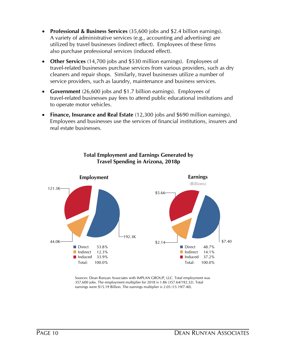- · **Professional & Business Services** (35,600 jobs and \$2.4 billion earnings). A variety of administrative services (e.g., accounting and advertising) are utilized by travel businesses (indirect effect). Employees of these firms also purchase professional services (induced effect).
- · **Other Services** (14,700 jobs and \$530 million earnings). Employees of travel-related businesses purchase services from various providers, such as dry cleaners and repair shops. Similarly, travel businesses utilize a number of service providers, such as laundry, maintenance and business services.
- · **Government** (26,600 jobs and \$1.7 billion earnings). Employees of travel-related businesses pay fees to attend public educational institutions and to operate motor vehicles.
- · **Finance, Insurance and Real Estate** (12,300 jobs and \$690 million earnings). Employees and businesses use the services of financial institutions, insurers and real estate businesses.



### **Total Employment and Earnings Generated by Travel Spending in Arizona, 2018p**

Sources: Dean Runyan Associates with IMPLAN GROUP, LLC. Total employment was 357,600 jobs. The employment multiplier for 2018 is 1.86 (357.64/192.32). Total earnings were \$15.19 Billion. The earnings multiplier is 2.05 (15.19/7.40).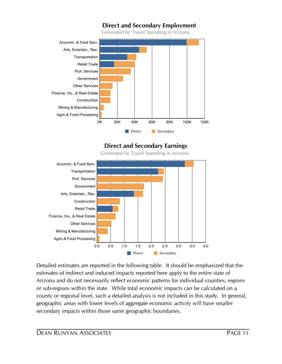

## **Direct and Secondary Employment**

Generated by Travel Spending in Arizona

## **Direct and Secondary Earnings**

Generated by Travel Spending in Arizona



Detailed estimates are reported in the following table. It should be emphasized that the estimates of indirect and induced impacts reported here apply to the entire state of Arizona and do not necessarily reflect economic patterns for individual counties, regions or sub-regions within the state. While total economic impacts can be calculated on a county or regional level, such a detailed analysis is not included in this study. In general, geographic areas with lower levels of aggregate economic activity will have smaller secondary impacts within those same geographic boundaries.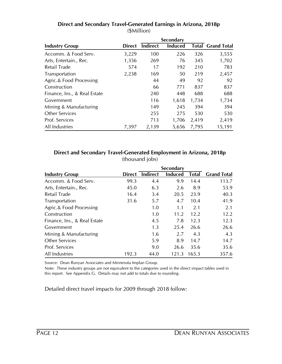|                              |               |                 | Secondary      |       |                          |
|------------------------------|---------------|-----------------|----------------|-------|--------------------------|
| <b>Industry Group</b>        | <b>Direct</b> | <b>Indirect</b> | <b>Induced</b> |       | <b>Total Grand Total</b> |
| Accomm. & Food Serv.         | 3,229         | 100             | 226            | 326   | 3,555                    |
| Arts, Entertain., Rec.       | 1,356         | 269             | 76             | 345   | 1,702                    |
| Retail Trade                 | 574           | 17              | 192            | 210   | 783                      |
| Transportation               | 2,238         | 169             | 50             | 219   | 2,457                    |
| Agric.& Food Processing      |               | 44              | 49             | 92    | 92                       |
| Construction                 |               | 66              | 771            | 837   | 837                      |
| Finance, Ins., & Real Estate |               | 240             | 448            | 688   | 688                      |
| Government                   |               | 116             | 1,618          | 1,734 | 1,734                    |
| Mining & Manufacturing       |               | 149             | 245            | 394   | 394                      |
| <b>Other Services</b>        |               | 255             | 275            | 530   | 530                      |
| Prof. Services               |               | 713             | 1,706          | 2,419 | 2,419                    |
| All Industries               | 7,397         | 2,139           | 5,656          | 7,795 | 15,191                   |

## **Direct and Secondary Travel-Generated Earnings in Arizona, 2018p** (\$Million)

#### **Direct and Secondary Travel-Generated Employment in Arizona, 2018p** (thousand jobs)

|                              |               |                 | Secondary      |              |                    |
|------------------------------|---------------|-----------------|----------------|--------------|--------------------|
| <b>Industry Group</b>        | <b>Direct</b> | <b>Indirect</b> | <b>Induced</b> | <b>Total</b> | <b>Grand Total</b> |
| Accomm. & Food Serv.         | 99.3          | 4.4             | 9.9            | 14.4         | 113.7              |
| Arts, Entertain., Rec.       | 45.0          | 6.3             | 2.6            | 8.9          | 53.9               |
| Retail Trade                 | 16.4          | 3.4             | 20.5           | 23.9         | 40.3               |
| Transportation               | 31.6          | 5.7             | 4.7            | 10.4         | 41.9               |
| Agric.& Food Processing      |               | 1.0             | 1.1            | 2.1          | 2.1                |
| Construction                 |               | 1.0             | 11.2           | 12.2         | 12.2               |
| Finance, Ins., & Real Estate |               | 4.5             | 7.8            | 12.3         | 12.3               |
| Government                   |               | 1.3             | 25.4           | 26.6         | 26.6               |
| Mining & Manufacturing       |               | 1.6             | 2.7            | 4.3          | 4.3                |
| <b>Other Services</b>        |               | 5.9             | 8.9            | 14.7         | 14.7               |
| Prof. Services               |               | 9.0             | 26.6           | 35.6         | 35.6               |
| All Industries               | 192.3         | 44.0            | 121.3          | 165.3        | 357.6              |

Source: Dean Runyan Associates and Minnesota Implan Group.

Note: These industry groups are not equivalent to the categories used in the direct impact tables used in this report. See Appendix G. Details may not add to totals due to rounding.

Detailed direct travel impacts for 2009 through 2018 follow: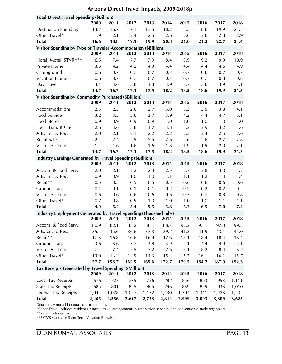| <b>Total Direct Travel Spending (\$Billion)</b>                   |                |                |                |                |                |                |                |                |                |  |  |
|-------------------------------------------------------------------|----------------|----------------|----------------|----------------|----------------|----------------|----------------|----------------|----------------|--|--|
|                                                                   | 2009           | 2011           | 2012           | 2013           | 2014           | 2015           | 2016           | 2017           | 2018           |  |  |
| <b>Destination Spending</b>                                       | 14.7           | 16.7           | 17.1           | 17.5           | 18.2           | 18.5           | 18.6           | 19.9           | 21.5           |  |  |
| Other Travel*                                                     | 1.9            | 2.1            | 2.4            | 2.5            | 2.6            | 2.6            | 2.6            | 2.8            | 2.9            |  |  |
| <b>Total</b>                                                      | 16.6           | 18.8           | 19.5           | 19.9           | 20.8           | 21.0           | 21.2           | 22.7           | 24.4           |  |  |
| Visitor Spending by Type of Traveler Accommodation (\$Billion)    |                |                |                |                |                |                |                |                |                |  |  |
|                                                                   | 2009           | 2011           | 2012           | 2013           | 2014           | 2015           | 2016           | 2017           | 2018           |  |  |
| Hotel, Motel, STVR***                                             | 6.5            | 7.4            | 7.7            | 7.9            | 8.4            | 8.9            | 9.2            | 9.9            | 10.9           |  |  |
| Private Home                                                      | 3.6            | 4.2            | 4.2            | 4.3            | 4.4            | 4.4            | 4.4            | 4.6            | 4.9            |  |  |
| Campground                                                        | 0.6            | 0.7            | 0.7            | 0.7            | 0.7            | 0.7            | 0.6            | 0.7            | 0.7            |  |  |
| Vacation Home                                                     | 0.6            | 0.7            | 0.7            | 0.7            | 0.7            | 0.7            | 0.7            | 0.8            | 0.8            |  |  |
| Day Travel                                                        | 3.4            | 3.6            | 3.8            | 3.8            | 3.9            | 3.7            | 3.6            | 3.9            | 4.1            |  |  |
| <b>Total</b>                                                      | 14.7           | 16.7           | 17.1           | 17.5           | 18.2           | 18.5           | 18.6           | 19.9           | 21.5           |  |  |
| <b>Visitor Spending by Commodity Purchased (\$Billion)</b>        |                |                |                |                |                |                |                |                |                |  |  |
|                                                                   | 2009           | 2011           | 2012           | 2013           | 2014           | 2015           | 2016           | 2017           | 2018           |  |  |
| Accommodations                                                    | 2.3            | 2.5            | 2.6            | 2.7            | 3.0            | 3.3            | 3.5            | 3.8            | 4.1            |  |  |
| Food Service                                                      | 3.2            | 3.5            | 3.6            | 3.7            | 3.9            | 4.2            | 4.4            | 4.7            | 5.1            |  |  |
| Food Stores                                                       | 0.9            | 0.9            | 0.9            | 0.9            | 1.0            | 1.0            | 1.0            | 1.0            | 1.0            |  |  |
| Local Tran. & Gas                                                 | 2.6            | 3.6            | $3.8\,$        | 3.7            | 3.8            | 3.2            | 2.9            | 3.2            | 3.6            |  |  |
| Arts, Ent. & Rec.                                                 | 2.0            | 2.1            | 2.1            | 2.2            | 2.2            | 2.3            | 2.4            | 2.5            | 2.6            |  |  |
| <b>Retail Sales</b>                                               | 2.4            | 2.4            | 2.5            | 2.5            | 2.6            | 2.6            | 2.6            | 2.7            | 2.8            |  |  |
| Visitor Air Tran.                                                 | 1.4            | 1.6            | 1.6            | 1.6            | 1.8            | 1.9            | 1.9            | 2.0            | 2.1            |  |  |
| <b>Total</b>                                                      | 14.7           | 16.7           | 17.1           | 17.5           | 18.2           | 18.5           | 18.6           | 19.9           | 21.5           |  |  |
| <b>Industry Earnings Generated by Travel Spending (\$Billion)</b> |                |                |                |                |                |                |                |                |                |  |  |
|                                                                   | 2009           | 2011           | 2012           | 2013           | 2014           | 2015           | 2016           | 2017           | 2018           |  |  |
| Accom. & Food Serv.                                               |                |                | 2.2            | 2.3            | 2.5            | 2.7            | 2.8            |                |                |  |  |
|                                                                   | 2.0            | 2.1            |                |                |                |                |                | 3.0            | 3.2            |  |  |
| Arts, Ent. & Rec.                                                 | 0.9            | 0.9            | 1.0            | 1.0            | 1.1            | 1.1            | 1.2            | 1.3            | 1.4            |  |  |
| Retail**                                                          | 0.5            | 0.5            | 0.5            | 0.5            | 0.5            | 0.6            | 0.6            | 0.6            | 0.6            |  |  |
| Ground Tran.                                                      | 0.1            | 0.1            | 0.1            | 0.1            | 0.2            | 0.2            | 0.2            | 0.2            | 0.2            |  |  |
| Visitor Air Tran.                                                 | 0.6            | 0.6            | 0.6            | 0.6            | 0.6            | 0.7            | 0.7            | 0.8            | 0.8            |  |  |
| Other Travel*                                                     | 0.7            | 0.8            | 0.9            | 1.0            | 1.0            | 1.0            | 1.0            | 1.1            | 1.1            |  |  |
| <b>Total</b>                                                      | 4.9            | 5.2            | 5.4            | 5.5            | 5.8            | 6.2            | 6.5            | 7.0            | 7.4            |  |  |
| Industry Employment Generated by Travel Spending (Thousand Jobs)  |                |                |                |                |                |                |                |                |                |  |  |
|                                                                   | 2009           | 2011           | 2012           | 2013           | 2014           | 2015           | 2016           | 2017           | 2018           |  |  |
| Accom. & Food Serv.                                               | 80.9           | 82.1           | 83.2           | 86.1           | 88.7           | 92.2           | 95.1           | 97.0           | 99.3           |  |  |
| Arts, Ent. & Rec.                                                 | 35.4           | 35.6           | 36.6           | 37.3           | 39.7           | 41.3           | 41.9           | 43.1           | 45.0           |  |  |
| Retail**                                                          | 17.3           | 16.8           | 16.6           | 16.9           | 17.6           | 18.1           | 18.4           | 18.4           | 18.4           |  |  |
| Ground Tran.                                                      | 3.6            | 3.6            | 3.7            | 3.8            | 3.9            | 4.1            | 4.4            | 4.9            | 5.1            |  |  |
| Visitor Air Tran.                                                 | 7.4            | 7.4            | 7.5            | 7.2            | 7.6            | 8.1            | 8.2            | 8.4            | 8.7            |  |  |
| Other Travel*                                                     | 13.0           | 13.2           | 14.9           | 14.3           | 15.3           | 15.7           | 16.1           | 16.1           | 15.7           |  |  |
| <b>Total</b>                                                      | 157.7          | 158.7          | 162.5          | 165.6          | 172.7          | 179.5          | 184.2          | 187.9          | 192.3          |  |  |
| <b>Tax Receipts Generated by Travel Spending (\$Million)</b>      |                |                |                |                |                |                |                |                |                |  |  |
|                                                                   | 2009           | 2011           | 2012           | 2013           | 2014           | 2015           | 2016           | 2017           | 2018           |  |  |
| Local Tax Receipts                                                | 676            | 727            | 735            | 756            | 787            | 856            | 893            | 953            | 1,111          |  |  |
| <b>State Tax Receipts</b>                                         | 685            | 801            | 825            | 805            | 796            | 839            | 859            | 933            | 1,010          |  |  |
| <b>Federal Tax Receipts</b><br><b>Total</b>                       | 1,044<br>2,405 | 1,028<br>2,556 | 1,057<br>2,617 | 1,172<br>2,733 | 1,230<br>2,814 | 1,304<br>2,999 | 1,341<br>3,093 | 1,423<br>3,309 | 1,505<br>3,625 |  |  |

## **Arizona Direct Travel Impacts, 2009-2018p**

Details may not add to totals due to rounding.

\*Other Travel includes resident air travel, travel arrangements & reservation services, and convention & trade organizers.

\*\*Retail includes gasoline.

\*\*\*STVR stands for Short Term Vacation Rentals.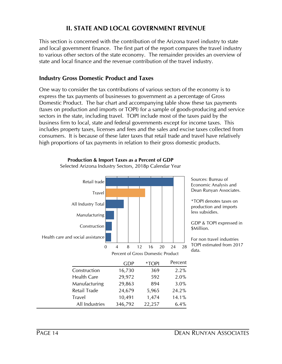## **II. STATE AND LOCAL GOVERNMENT REVENUE**

This section is concerned with the contribution of the Arizona travel industry to state and local government finance. The first part of the report compares the travel industry to various other sectors of the state economy. The remainder provides an overview of state and local finance and the revenue contribution of the travel industry.

## **Industry Gross Domestic Product and Taxes**

One way to consider the tax contributions of various sectors of the economy is to express the tax payments of businesses to government as a percentage of Gross Domestic Product. The bar chart and accompanying table show these tax payments (taxes on production and imports or TOPI) for a sample of goods-producing and service sectors in the state, including travel. TOPI include most of the taxes paid by the business firm to local, state and federal governments except for income taxes. This includes property taxes, licenses and fees and the sales and excise taxes collected from consumers. It is because of these later taxes that retail trade and travel have relatively high proportions of tax payments in relation to their gross domestic products.



**Production & Import Taxes as a Percent of GDP** Selected Arizona Industry Sectors, 2018p Calendar Year

> Sources: Bureau of Economic Analysis and Dean Runyan Associates.

\*TOPI denotes taxes on production and imports less subsidies.

GDP & TOPI expressed in \$Million.

For non travel industries TOPI estimated from 2017 data.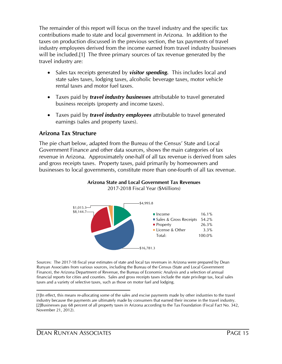The remainder of this report will focus on the travel industry and the specific tax contributions made to state and local government in Arizona. In addition to the taxes on production discussed in the previous section, the tax payments of travel industry employees derived from the income earned from travel industry businesses will be included.[1] The three primary sources of tax revenue generated by the travel industry are:

- Sales tax receipts generated by **visitor spending.** This includes local and state sales taxes, lodging taxes, alcoholic beverage taxes, motor vehicle rental taxes and motor fuel taxes.
- · Taxes paid by *travel industry businesses* attributable to travel generated business receipts (property and income taxes).
- · Taxes paid by *travel industry employees* attributable to travel generated earnings (sales and property taxes).

## **Arizona Tax Structure**

The pie chart below, adapted from the Bureau of the Census' State and Local Government Finance and other data sources, shows the main categories of tax revenue in Arizona. Approximately one-half of all tax revenue is derived from sales and gross receipts taxes. Property taxes, paid primarily by homeowners and businesses to local governments, constitute more than one-fourth of all tax revenue.



**Arizona State and Local Government Tax Revenues**

2017-2018 Fiscal Year (\$Millions)

Sources: The 2017-18 fiscal year estimates of state and local tax revenues in Arizona were prepared by Dean Runyan Associates from various sources, including the Bureau of the Census (State and Local Government Finance), the Arizona Department of Revenue, the Bureau of Economic Analysis and a selection of annual financial reports for cities and counties. Sales and gross receipts taxes include the state privilege tax, local sales taxes and a variety of selective taxes, such as those on motor fuel and lodging.

<sup>[1]</sup>In effect, this means re-allocating some of the sales and excise payments made by other industries to the travel industry because the payments are ultimately made by consumers that earned their income in the travel industry. [2]Businesses pay 68 percent of all property taxes in Arizona according to the Tax Foundation (Fiscal Fact No. 342, November 21, 2012).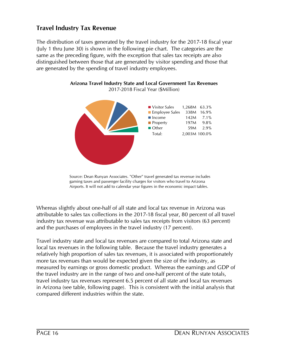## **Travel Industry Tax Revenue**

The distribution of taxes generated by the travel industry for the 2017-18 fiscal year (July 1 thru June 30) is shown in the following pie chart. The categories are the same as the preceding figure, with the exception that sales tax receipts are also distinguished between those that are generated by visitor spending and those that are generated by the spending of travel industry employees.



**Arizona Travel Industry State and Local Government Tax Revenues** 2017-2018 Fiscal Year (\$Million)

Whereas slightly about one-half of all state and local tax revenue in Arizona was attributable to sales tax collections in the 2017-18 fiscal year, 80 percent of all travel industry tax revenue was attributable to sales tax receipts from visitors (63 percent) and the purchases of employees in the travel industry (17 percent).

Travel industry state and local tax revenues are compared to total Arizona state and local tax revenues in the following table. Because the travel industry generates a relatively high proportion of sales tax revenues, it is associated with proportionately more tax revenues than would be expected given the size of the industry, as measured by earnings or gross domestic product. Whereas the earnings and GDP of the travel industry are in the range of two and one-half percent of the state totals, travel industry tax revenues represent 6.5 percent of all state and local tax revenues in Arizona (see table, following page). This is consistent with the initial analysis that compared different industries within the state.

Source: Dean Runyan Associates. "Other" travel generated tax revenue includes gaming taxes and passenger facility charges for visitors who travel to Arizona Airports. It will not add to calendar year figures in the economic impact tables.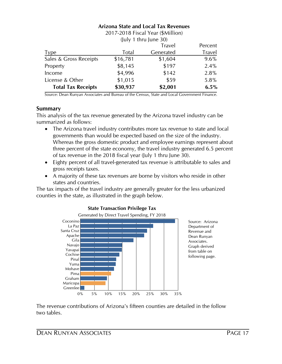#### **Arizona State and Local Tax Revenues**

|                           | (July 1 thru June 30) |               |               |  |  |  |
|---------------------------|-----------------------|---------------|---------------|--|--|--|
|                           |                       | <b>Travel</b> | Percent       |  |  |  |
| <b>Type</b>               | Total                 | Generated     | <b>Travel</b> |  |  |  |
| Sales & Gross Receipts    | \$16,781              | \$1,604       | 9.6%          |  |  |  |
| Property                  | \$8,145               | \$197         | 2.4%          |  |  |  |
| Income                    | \$4,996               | \$142         | 2.8%          |  |  |  |
| License & Other           | \$1,015               | \$59          | 5.8%          |  |  |  |
| <b>Total Tax Receipts</b> | \$30,937              | \$2,001       | 6.5%          |  |  |  |

## 2017-2018 Fiscal Year (\$Million)

Source: Dean Runyan Associates and Bureau of the Census, State and Local Government Finance.

#### **Summary**

This analysis of the tax revenue generated by the Arizona travel industry can be summarized as follows:

- The Arizona travel industry contributes more tax revenue to state and local governments than would be expected based on the size of the industry. Whereas the gross domestic product and employee earnings represent about three percent of the state economy, the travel industry generated 6.5 percent of tax revenue in the 2018 fiscal year (July 1 thru June 30).
- · Eighty percent of all travel-generated tax revenue is attributable to sales and gross receipts taxes.
- A majority of these tax revenues are borne by visitors who reside in other states and countries.

The tax impacts of the travel industry are generally greater for the less urbanized counties in the state, as illustrated in the graph below.



#### **State Transaction Privilege Tax**

The revenue contributions of Arizona's fifteen counties are detailed in the follow two tables.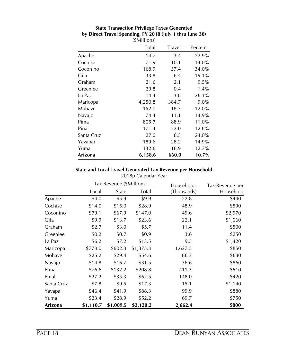|            | <b>Total</b> | <b>Travel</b> | Percent |
|------------|--------------|---------------|---------|
| Apache     | 14.7         | 3.4           | 22.9%   |
| Cochise    | 71.9         | 10.1          | 14.0%   |
| Coconino   | 168.9        | 57.4          | 34.0%   |
| Gila       | 33.8         | 6.4           | 19.1%   |
| Graham     | 21.6         | 2.1           | 9.5%    |
| Greenlee   | 29.8         | 0.4           | 1.4%    |
| La Paz     | 14.4         | 3.8           | 26.1%   |
| Maricopa   | 4,250.8      | 384.7         | 9.0%    |
| Mohave     | 152.0        | 18.3          | 12.0%   |
| Navajo     | 74.4         | 11.1          | 14.9%   |
| Pima       | 805.7        | 88.9          | 11.0%   |
| Pinal      | 171.4        | 22.0          | 12.8%   |
| Santa Cruz | 27.0         | 6.5           | 24.0%   |
| Yavapai    | 189.6        | 28.2          | 14.9%   |
| Yuma       | 132.6        | 16.9          | 12.7%   |
| Arizona    | 6,158.6      | 660.0         | 10.7%   |
|            |              |               |         |

#### **State Transaction Privilege Taxes Generated by Direct Travel Spending, FY 2018 (July 1 thru June 30)** (\$Millions)

#### **State and Local Travel-Generated Tax Revenue per Household** 2018p Calendar Year

|            |           | Tax Revenue (\$Millions) |           | Households  | Tax Revenue per |
|------------|-----------|--------------------------|-----------|-------------|-----------------|
|            | Local     | State                    | Total     | (Thousands) | Household       |
| Apache     | \$4.0     | \$5.9                    | \$9.9     | 22.8        | \$440           |
| Cochise    | \$14.0    | \$15.0                   | \$28.9    | 48.9        | \$590           |
| Coconino   | \$79.1    | \$67.9                   | \$147.0   | 49.6        | \$2,970         |
| Gila       | \$9.9     | \$13.7                   | \$23.6    | 22.1        | \$1,060         |
| Graham     | \$2.7     | \$3.0                    | \$5.7     | 11.4        | \$500           |
| Greenlee   | \$0.2\$   | \$0.7                    | \$0.9     | 3.6         | \$250           |
| La Paz     | \$6.2\$   | \$7.2                    | \$13.5    | 9.5         | \$1,420         |
| Maricopa   | \$773.0   | \$602.3                  | \$1,375.3 | 1,627.5     | \$850           |
| Mohave     | \$25.2    | \$29.4                   | \$54.6    | 86.3        | \$630           |
| Navajo     | \$14.8    | \$16.7                   | \$31.5    | 36.6        | \$860           |
| Pima       | \$76.6    | \$132.2                  | \$208.8   | 411.3       | \$510           |
| Pinal      | \$27.2    | \$35.3                   | \$62.5    | 148.0       | \$420           |
| Santa Cruz | \$7.8     | \$9.5                    | \$17.3    | 15.1        | \$1,140         |
| Yavapai    | \$46.4    | \$41.9                   | \$88.3    | 99.9        | \$880           |
| Yuma       | \$23.4    | \$28.9                   | \$52.2    | 69.7        | \$750           |
| Arizona    | \$1,110.7 | \$1,009.5                | \$2,120.2 | 2,662.4     | \$800           |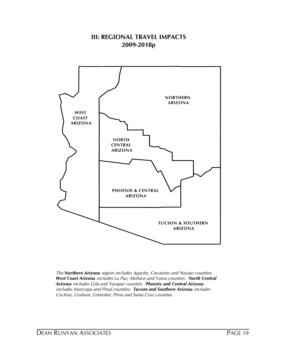## **III: REGIONAL TRAVEL IMPACTS 2009-2018p**



The *Northern Arizona* region includes Apache, Coconino and Navajo counties. *West Coast Arizona* includes La Paz, Mohave and Yuma counties. *North Central Arizona* includes Gila and Yavapai counties. *Phoenix and Central Arizona* includes Maricopa and Pinal counties. *Tucson and Southern Arizona* includes Cochise, Graham, Greenlee, Pima and Santa Cruz counties.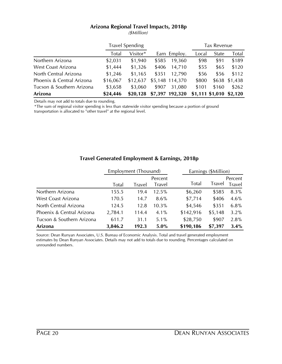### **Arizona Regional Travel Impacts, 2018p**

(\$Million)

|                           |          | <b>Travel Spending</b> |       |                 |       | Tax Revenue             |               |  |
|---------------------------|----------|------------------------|-------|-----------------|-------|-------------------------|---------------|--|
|                           | Total    | Visitor*               |       | Earn Employ.    | Local | State                   | Total         |  |
| Northern Arizona          | \$2,031  | \$1,940                | \$585 | 19,360          | \$98  | \$91                    | \$189         |  |
| West Coast Arizona        | \$1,444  | \$1,326                | \$406 | 14,710          | \$55  | \$65                    | \$120         |  |
| North Central Arizona     | \$1,246  | \$1,165                | \$351 | 12,790          | \$56  | \$56                    | \$112         |  |
| Phoenix & Central Arizona | \$16,067 | \$12,637               |       | \$5,148 114,370 | \$800 |                         | \$638 \$1,438 |  |
| Tucson & Southern Arizona | \$3,658  | \$3,060                | \$907 | 31,080          | \$101 | \$160                   | \$262         |  |
| Arizona                   | \$24,446 | \$20,128               |       | \$7,397 192,320 |       | \$1,111 \$1,010 \$2,120 |               |  |

Details may not add to totals due to rounding.

\*The sum of regional visitor spending is less than statewide visitor spending because a portion of ground transportation is allocated to "other travel" at the regional level.

|                           |         | Employment (Thousand) |                   |              | Earnings (\$Million) |                   |
|---------------------------|---------|-----------------------|-------------------|--------------|----------------------|-------------------|
|                           | Total   | Travel                | Percent<br>Travel | <b>Total</b> | Travel               | Percent<br>Travel |
| Northern Arizona          | 155.5   | 19.4                  | 12.5%             | \$6,260      | \$585                | $8.3\%$           |
| West Coast Arizona        | 170.5   | 14.7                  | $8.6\%$           | \$7,714      | \$406                | $4.6\%$           |
| North Central Arizona     | 124.5   | 12.8                  | 10.3%             | \$4,546      | \$351                | 6.8%              |
| Phoenix & Central Arizona | 2,784.1 | 114.4                 | 4.1%              | \$142,916    | \$5,148              | 3.2%              |
| Tucson & Southern Arizona | 611.7   | 31.1                  | 5.1%              | \$28,750     | \$907                | 2.8%              |
| Arizona                   | 3,846.2 | 192.3                 | $5.0\%$           | \$190,186    | \$7,397              | 3.4%              |

#### **Travel Generated Employment & Earnings, 2018p**

Source: Dean Runyan Associates, U.S. Bureau of Economic Analysis. Total and travel generated employment estimates by Dean Runyan Associates. Details may not add to totals due to rounding. Percentages calculated on unrounded numbers.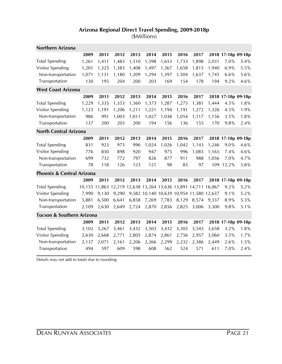### **Arizona Regional Direct Travel Spending, 2009-2018p** (\$Millions)

| Northern Arizona                     |       |       |       |       |       |                                                                |       |       |       |                    |      |  |
|--------------------------------------|-------|-------|-------|-------|-------|----------------------------------------------------------------|-------|-------|-------|--------------------|------|--|
|                                      | 2009  | 2011  | 2012  | 2013  | 2014  | 2015                                                           | 2016  | 2017  |       | 2018 17-18p 09-18p |      |  |
| <b>Total Spending</b>                | 1,261 | 1,411 | 1,483 | 1,510 | 1,598 | 1,653                                                          | 1,733 | 1,898 | 2,031 | 7.0%               | 5.4% |  |
| <b>Visitor Spending</b>              | 1,201 | 1,325 | 1,383 | 1,408 | 1,497 | 1,567                                                          | 1,658 | 1,815 | 1,940 | 6.9%               | 5.5% |  |
| Non-transportation                   | 1,071 | 1,131 | 1,180 | 1,209 | 1,294 | 1,397                                                          | 1,504 | 1,637 | 1,745 | 6.6%               | 5.6% |  |
| Transportation                       | 130   | 195   | 204   | 200   | 203   | 169                                                            | 154   | 178   | 194   | 9.2%               | 4.6% |  |
| <b>West Coast Arizona</b>            |       |       |       |       |       |                                                                |       |       |       |                    |      |  |
|                                      | 2009  | 2011  | 2012  | 2013  | 2014  | 2015                                                           | 2016  | 2017  |       | 2018 17-18p 09-18p |      |  |
| <b>Total Spending</b>                | 1,229 | 1,335 | 1,353 | 1,360 | 1,373 | 1,287                                                          | 1,275 | 1,381 | 1,444 | 4.5%               | 1.8% |  |
| Visitor Spending                     | 1,123 | 1,191 | 1,206 | 1,211 | 1,221 | 1,194                                                          | 1,191 | 1,272 | 1,326 | 4.3%               | 1.9% |  |
| Non-transportation                   | 986   | 991   | 1,003 | 1,011 | 1,027 | 1,038                                                          | 1,054 | 1,117 | 1,156 | 3.5%               | 1.8% |  |
| Transportation                       | 137   | 200   | 203   | 200   | 194   | 156                                                            | 136   | 155   | 170   | 9.8%               | 2.4% |  |
| <b>North Central Arizona</b>         |       |       |       |       |       |                                                                |       |       |       |                    |      |  |
|                                      | 2009  | 2011  | 2012  | 2013  | 2014  | 2015                                                           | 2016  | 2017  |       | 2018 17-18p 09-18p |      |  |
| <b>Total Spending</b>                | 831   | 923   | 973   | 996   | 1,024 | 1,026                                                          | 1,042 | 1,143 | 1,246 | 9.0%               | 4.6% |  |
| Visitor Spending                     | 776   | 850   | 898   | 920   | 947   | 975                                                            | 996   | 1,085 | 1,165 | 7.4%               | 4.6% |  |
| Non-transportation                   | 699   | 732   | 772   | 797   | 826   | 877                                                            | 911   | 988   | 1,056 | 7.0%               | 4.7% |  |
| Transportation                       | 78    | 118   | 126   | 123   | 121   | 98                                                             | 85    | 97    | 109   | 12.2%              | 3.8% |  |
| Phoenix & Central Arizona            |       |       |       |       |       |                                                                |       |       |       |                    |      |  |
|                                      | 2009  | 2011  | 2012  | 2013  | 2014  | 2015                                                           | 2016  | 2017  |       | 2018 17-18p 09-18p |      |  |
| <b>Total Spending</b>                |       |       |       |       |       | 10,155 11,863 12,219 12,638 13,264 13,636 13,891 14,711 16,067 |       |       |       | 9.2%               | 5.2% |  |
| Visitor Spending                     | 7,990 | 9,130 | 9,290 |       |       | 9,582 10,140 10,639 10,954 11,580 12,637                       |       |       |       | 9.1%               | 5.2% |  |
| Non-transportation                   | 5,881 | 6,500 | 6,641 | 6,858 | 7,269 | 7,783                                                          | 8,129 | 8,574 | 9,337 | 8.9%               | 5.3% |  |
| Transportation                       | 2,109 | 2,630 | 2,649 | 2,724 | 2,870 | 2,856                                                          | 2,825 | 3,006 | 3,300 | 9.8%               | 5.1% |  |
| <b>Tucson &amp; Southern Arizona</b> |       |       |       |       |       |                                                                |       |       |       |                    |      |  |
|                                      | 2009  | 2011  | 2012  | 2013  | 2014  | 2015                                                           | 2016  | 2017  |       | 2018 17-18p 09-18p |      |  |
| <b>Total Spending</b>                | 3,102 | 3,267 | 3,461 | 3,432 | 3,503 | 3,432                                                          | 3,305 | 3,545 | 3,658 | 3.2%               | 1.8% |  |
| Visitor Spending                     | 2,630 | 2,668 | 2,771 | 2,805 | 2,874 | 2,861                                                          | 2,756 | 2,957 | 3,060 | 3.5%               | 1.7% |  |
| Non-transportation                   | 2,137 | 2,071 | 2,161 | 2,206 | 2,266 | 2,299                                                          | 2,232 | 2,386 | 2,449 | 2.6%               | 1.5% |  |
| Transportation                       | 494   | 597   | 609   | 598   | 608   | 562                                                            | 524   | 571   | 611   | 7.0%               | 2.4% |  |

Details may not add to totals due to rounding.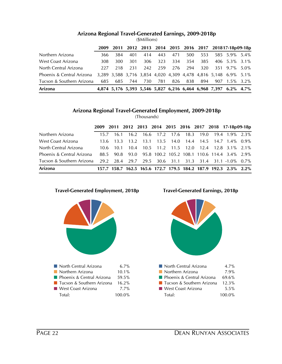| (\$Millions)              |      |     |     |     |     |     |     |     |                                                                 |               |  |
|---------------------------|------|-----|-----|-----|-----|-----|-----|-----|-----------------------------------------------------------------|---------------|--|
|                           | 2009 |     |     |     |     |     |     |     | 2011 2012 2013 2014 2015 2016 2017 201817-18p09-18p             |               |  |
| Northern Arizona          | 366  | 384 | 401 | 414 | 443 | 471 | 500 | 553 |                                                                 | 585 5.9% 5.4% |  |
| West Coast Arizona        | 308  | 300 | 301 | 306 | 323 | 334 | 354 | 385 |                                                                 | 406 5.3% 3.1% |  |
| North Central Arizona     | 227  | 218 | 231 | 242 | 259 | 276 | 294 | 320 |                                                                 | 351 9.7% 5.0% |  |
| Phoenix & Central Arizona |      |     |     |     |     |     |     |     | 3,289 3,588 3,716 3,854 4,020 4,309 4,478 4,816 5,148 6.9% 5.1% |               |  |
| Tucson & Southern Arizona | 685  | 685 | 744 | 730 | 781 | 826 | 838 | 894 |                                                                 | 907 1.5% 3.2% |  |
| Arizona                   |      |     |     |     |     |     |     |     | 4,874 5,176 5,393 5,546 5,827 6,216 6,464 6,968 7,397 6.2% 4.7% |               |  |

### **Arizona Regional Travel-Generated Earnings, 2009-2018p**

#### **Arizona Regional Travel-Generated Employment, 2009-2018p**

(Thousands)

|                           |      |             |                |  |                     |  | 2009 2011 2012 2013 2014 2015 2016 2017 2018 17-18p09-18p       |  |
|---------------------------|------|-------------|----------------|--|---------------------|--|-----------------------------------------------------------------|--|
| Northern Arizona          |      | $15.7$ 16.1 | 16.2           |  | 16.6 17.2 17.6 18.3 |  | $19.0$ $19.4$ $1.9\%$ $2.3\%$                                   |  |
| West Coast Arizona        | 13.6 | 13.3        | 13.2           |  |                     |  | 13.1 13.5 14.0 14.4 14.5 14.7 1.4% 0.9%                         |  |
| North Central Arizona     | 10.6 | 10.1        | 10.4           |  |                     |  | 10.5 11.2 11.5 12.0 12.4 12.8 3.1% 2.1%                         |  |
| Phoenix & Central Arizona | 88.5 |             |                |  |                     |  | 90.8 93.0 95.8 100.2 105.2 108.1 110.6 114.4 3.4% 2.9%          |  |
| Tucson & Southern Arizona |      |             | 29.2 28.4 29.7 |  |                     |  | 29.5 30.6 31.1 31.3 31.4 31.1 -1.0% 0.7%                        |  |
| <b>Arizona</b>            |      |             |                |  |                     |  | 157.7 158.7 162.5 165.6 172.7 179.5 184.2 187.9 192.3 2.3% 2.2% |  |

#### **Travel-Generated Employment, 2018p Travel-Generated Earnings, 2018p**





| $\Box$ Tucson & Southern Anzona $\Box$ 12.5% |           |
|----------------------------------------------|-----------|
| <b>LL West Coast Arizona</b>                 | $5.5\%$   |
| Total:                                       | $100.0\%$ |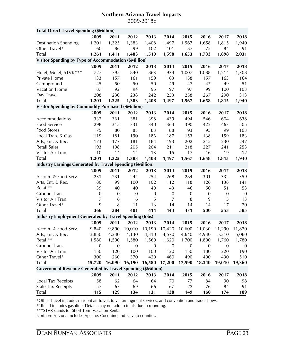#### **Northern Arizona Travel Impacts** 2009-2018p

| <b>Total Direct Travel Spending (\$Million)</b>                    |                  |                  |                  |                  |                  |                  |                                           |                  |                  |
|--------------------------------------------------------------------|------------------|------------------|------------------|------------------|------------------|------------------|-------------------------------------------|------------------|------------------|
|                                                                    | 2009             | 2011             | 2012             | 2013             | 2014             | 2015             | 2016                                      | 2017             | 2018             |
| <b>Destination Spending</b>                                        | 1,201            | 1,325            | 1,383            | 1,408            | 1,497            | 1,567            | 1,658                                     | 1,815            | 1,940            |
| Other Travel*                                                      | 60               | 86               | 99               | 102              | 101              | 87               | 75                                        | 84               | 91               |
| Total                                                              | 1,261            | 1,411            | 1,483            | 1,510            | 1,598            | 1,653            | 1,733                                     | 1,898            | 2,031            |
| Visitor Spending by Type of Accommodation (\$Million)              |                  |                  |                  |                  |                  |                  |                                           |                  |                  |
|                                                                    | 2009             | 2011             | 2012             | 2013             | 2014             | 2015             | 2016                                      | 2017             | 2018             |
| Hotel, Motel, STVR***                                              | 727              | 795              | 840              | 863              | 934              | 1,007            | 1,088                                     | 1,214            | 1,308            |
| Private Home                                                       | 133              | 157              | 161              | 159              | 163              | 158              | 157                                       | 163              | 164              |
| Campground                                                         | 45               | 50               | 50               | 50               | 49               | 47               | 47                                        | 49               | 51               |
| Vacation Home                                                      | 87               | 92               | 94               | 95               | 97               | 97               | 99                                        | 100              | 103              |
| Day Travel                                                         | 208              | 230              | 238              | 242              | 253              | 258              | 267                                       | 290              | 313              |
| Total                                                              | 1,201            | 1,325            | 1,383            | 1,408            | 1,497            | 1,567            | 1,658                                     | 1,815            | 1,940            |
| <b>Visitor Spending by Commodity Purchased (\$Million)</b>         |                  |                  |                  |                  |                  |                  |                                           |                  |                  |
|                                                                    | 2009             | 2011             | 2012             | 2013             | 2014             | 2015             | 2016                                      | 2017             | 2018             |
| Accommodations                                                     | 332              | 361              | 381              | 398              | 439              | 494              | 546                                       | 604              | 638              |
| Food Service                                                       | 298              | 315              | 331              | 340              | 364              | 390              | 422                                       | 463              | 505              |
| Food Stores                                                        | 75               | 80               | 83               | 83               | 88               | 93               | 95                                        | 99               | 103              |
| Local Tran. & Gas                                                  | 119              | 181              | 190              | 186              | 187              | 153              | 138                                       | 159              | 183              |
| Arts, Ent. & Rec.                                                  | 173              | 177              | 181              | 184              | 193              | 202              | 215                                       | 230              | 247              |
| <b>Retail Sales</b>                                                | 193              | 198              | 205              | 204              | 211              | 218              | 227                                       | 241              | 253              |
| Visitor Air Tran.                                                  | 10               | 14               | 14               | 13               | 15               | 17               | 16                                        | 19               | 12               |
| Total                                                              | 1,201            | 1,325            | 1,383            | 1,408            | 1,497            | 1,567            | 1,658                                     | 1,815            | 1,940            |
| <b>Industry Earnings Generated by Travel Spending (\$Million)</b>  |                  |                  |                  |                  |                  |                  |                                           |                  |                  |
|                                                                    | 2009             | 2011             | 2012             | 2013             | 2014             | 2015             | 2016                                      | 2017             | 2018             |
| Accom. & Food Serv.                                                | 231              | 231              | 244              | 254              | 268              | 284              | 301                                       | 332              | 359              |
| Arts, Ent. & Rec.                                                  | 80               | 99               | 100              | 102              | 112              | 118              | 126                                       | 138              | 141              |
| Retail**                                                           | 39               | 40               | 40               | 40               | 43               | 46               | 50                                        | 51               | 53               |
| Ground Tran.                                                       | 0                | $\boldsymbol{0}$ | $\boldsymbol{0}$ | $\boldsymbol{0}$ | $\boldsymbol{0}$ | $\boldsymbol{0}$ | $\boldsymbol{0}$                          | $\boldsymbol{0}$ | $\boldsymbol{0}$ |
| Visitor Air Tran.                                                  | $\overline{7}$   | 6                | 6                | 5                | $\overline{7}$   | 8                | 9                                         | 15               | 13               |
| Other Travel*                                                      | 9                | 8                | 11               | 13               | 14               | 14               | 14                                        | 17               | 20               |
| Total                                                              | 366              | 384              | 401              | 414              | 443              | 471              | 500                                       | 553              | 585              |
| <b>Industry Employment Generated by Travel Spending (Jobs)</b>     |                  |                  |                  |                  |                  |                  |                                           |                  |                  |
|                                                                    | 2009             | 2011             | 2012             | 2013             | 2014             | 2015             | 2016                                      | 2017             | 2018             |
| Accom. & Food Serv.                                                | 9,840            | 9,890            | 10,010           | 10,190           | 10,420           | 10,600           | 11,030                                    | 11,290           | 11,820           |
| Arts, Ent. & Rec.                                                  |                  |                  |                  |                  |                  |                  | 3,850 4,230 4,130 4,310 4,570 4,640 4,930 | 5,310            | 5,060            |
| Retail**                                                           | 1,580            | 1,590            | 1,580            | 1,560            | 1,620            | 1,700            | 1,800                                     | 1,760            | 1,780            |
| Ground Tran.                                                       | $\boldsymbol{0}$ | 0                | $\mathbf 0$      | $\boldsymbol{0}$ | $\boldsymbol{0}$ | 0                | $\boldsymbol{0}$                          | $\boldsymbol{0}$ | $\boldsymbol{0}$ |
| Visitor Air Tran.                                                  | 150              | 120              | 100              | 100              | 120              | 150              | 180                                       | 220              | 190              |
| Other Travel*                                                      | 300              | 260              | 370              | 420              | 460              | 490              | 400                                       | 430              | 510              |
| Total                                                              | 15,720           | 16,090           | 16,190           | 16,580           | 17,200           | 17,590           | 18,340                                    | 19,010           | 19,360           |
| <b>Government Revenue Generated by Travel Spending (\$Million)</b> |                  |                  |                  |                  |                  |                  |                                           |                  |                  |
|                                                                    | 2009             | 2011             | 2012             | 2013             | 2014             | 2015             | 2016                                      | 2017             | 2018             |
| Local Tax Receipts                                                 | 58               | 62               | 64               | 64               | 70               | 77               | 84                                        | 90               | 98               |
| <b>State Tax Receipts</b>                                          | 57               | 67               | 69               | 66               | 67               | 72               | 76                                        | 84               | 91               |
| <b>Total</b>                                                       | 115              | 129              | 134              | 131              | 138              | 149              | 160                                       | 174              | 189              |

\*Other Travel includes resident air travel, travel arrangment services, and convention and trade shows.

\*\*Retail includes gasoline. Details may not add to totals due to rounding.

\*\*\*STVR stands for Short Term Vacation Rental

Northern Arizona includes Apache, Coconino and Navajo counties.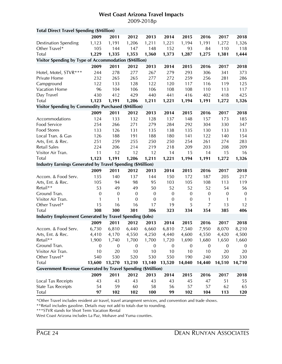#### **West Coast Arizona Travel Impacts** 2009-2018p

| <b>Total Direct Travel Spending (\$Million)</b>                    |                  |                  |                         |                  |                  |                  |                  |                  |                  |
|--------------------------------------------------------------------|------------------|------------------|-------------------------|------------------|------------------|------------------|------------------|------------------|------------------|
|                                                                    | 2009             | 2011             | 2012                    | 2013             | 2014             | 2015             | 2016             | 2017             | 2018             |
| <b>Destination Spending</b>                                        | 1,123            | 1,191            | 1,206                   | 1,211            | 1,221            | 1,194            | 1,191            | 1,272            | 1,326            |
| Other Travel*                                                      | 105              | 144              | 147                     | 148              | 152              | 93               | 84               | 110              | 118              |
| Total                                                              | 1,229            | 1,335            | 1,353                   | 1,360            | 1,373            | 1,287            | 1,275            | 1,381            | 1,444            |
| Visitor Spending by Type of Accommodation (\$Million)              |                  |                  |                         |                  |                  |                  |                  |                  |                  |
|                                                                    | 2009             | 2011             | 2012                    | 2013             | 2014             | 2015             | 2016             | 2017             | 2018             |
| Hotel, Motel, STVR***                                              | 244              | 278              | 277                     | 267              | 279              | 293              | 306              | 341              | 373              |
| Private Home                                                       | 232              | 265              | 265                     | 277              | 272              | 259              | 256              | 281              | 286              |
| Campground                                                         | 122              | 133              | 128                     | 122              | 120              | 117              | 116              | 119              | 125              |
| <b>Vacation Home</b>                                               | 96               | 104              | 106                     | 106              | 108              | 108              | 110              | 113              | 117              |
| Day Travel                                                         | 430              | 412              | 429                     | 440              | 441              | 416              | 402              | 418              | 425              |
| Total                                                              | 1,123            | 1,191            | 1,206                   | 1,211            | 1,221            | 1,194            | 1,191            | 1,272            | 1,326            |
| <b>Visitor Spending by Commodity Purchased (\$Million)</b>         |                  |                  |                         |                  |                  |                  |                  |                  |                  |
|                                                                    | 2009             | 2011             | 2012                    | 2013             | 2014             | 2015             | 2016             | 2017             | 2018             |
| Accommodations                                                     | 124              | 133              | 132                     | 128              | 137              | 148              | 157              | 173              | 185              |
| Food Service                                                       | 254              | 266              | 271                     | 279              | 284              | 292              | 304              | 330              | 347              |
| Food Stores                                                        | 133              | 126              | 131                     | 135              | 138              | 135              | 130              | 133              | 133              |
| Local Tran. & Gas                                                  | 126              | 188              | 191                     | 188              | 180              | 141              | 122              | 140              | 154              |
| Arts, Ent. & Rec.                                                  | 251              | 259              | 255                     | 250              | 250              | 254              | 261              | 274              | 283              |
| <b>Retail Sales</b>                                                | 224              | 206              | 214                     | 219              | 218              | 209              | 203              | 208              | 209              |
| Visitor Air Tran.                                                  | 11               | 12               | 12                      | 12               | 14               | 15               | 14               | 15               | 16               |
| Total                                                              | 1,123            | 1,191            | 1,206                   | 1,211            | 1,221            | 1,194            | 1,191            | 1,272            | 1,326            |
| <b>Industry Earnings Generated by Travel Spending (\$Million)</b>  |                  |                  |                         |                  |                  |                  |                  |                  |                  |
|                                                                    | 2009             | 2011             | 2012                    | 2013             | 2014             | 2015             | 2016             | 2017             | 2018             |
| Accom. & Food Serv.                                                | 135              | 140              | 137                     | 144              | 150              | 172              | 187              | 205              | 217              |
| Arts, Ent. & Rec.                                                  | 105              | 94               | 98                      | 95               | 103              | 105              | 108              | 113              | 119              |
| Retail**                                                           | 53               | 49               | 49                      | 50               | 52               | 52               | 52               | 54               | 56               |
| Ground Tran.                                                       | $\boldsymbol{0}$ | $\boldsymbol{0}$ | $\boldsymbol{0}$        | $\boldsymbol{0}$ | $\boldsymbol{0}$ | $\boldsymbol{0}$ | $\boldsymbol{0}$ | $\boldsymbol{0}$ | $\boldsymbol{0}$ |
| Visitor Air Tran.                                                  | $\mathbf{1}$     | 1                | $\mathbf 0$             | $\boldsymbol{0}$ | $\boldsymbol{0}$ | $\boldsymbol{0}$ | 1                | 1                | $\overline{1}$   |
| Other Travel*                                                      | 15               | 16               | 16                      | 17               | 19               | 5                | $\overline{7}$   | 13               | 12               |
| Total                                                              | 308              | 300              | 301                     | 306              | 323              | 334              | 354              | 385              | 406              |
| <b>Industry Employment Generated by Travel Spending (Jobs)</b>     |                  |                  |                         |                  |                  |                  |                  |                  |                  |
|                                                                    | 2009             | 2011             | 2012                    | 2013             | 2014             | 2015             | 2016             | 2017             | 2018             |
| Accom. & Food Serv.                                                | 6,730            | 6,810            | 6,440                   | 6,660            | 6,810            | 7,540            | 7,950            | 8,070            | 8,210            |
| Arts, Ent. & Rec.                                                  |                  |                  | 4,410 4,170 4,550 4,250 |                  | 4,440            | 4,600            | 4,550            | 4,420            | 4,500            |
| Retail**                                                           | 1,900            | 1,740            | 1,700                   | 1,700            | 1,720            | 1,690            | 1,680            | 1,650            | 1,660            |
| Ground Tran.                                                       | $\boldsymbol{0}$ | $\boldsymbol{0}$ | $\boldsymbol{0}$        | $\boldsymbol{0}$ | $\boldsymbol{0}$ | $\boldsymbol{0}$ | $\boldsymbol{0}$ | $\mathbf 0$      | $\boldsymbol{0}$ |
| Visitor Air Tran.                                                  | 10               | 20               | 10                      | 10               | 10               | 10               | 10               | 20               | 20               |
| Other Travel*                                                      | 540              | 530              | 520                     | 530              | 550              | 190              | 240              | 350              | 330              |
| <b>Total</b>                                                       | 13,600           | 13,270           | 13,210                  | 13,140           | 13,520           | 14,040           | 14,440           | 14,510           | 14,710           |
| <b>Government Revenue Generated by Travel Spending (\$Million)</b> |                  |                  |                         |                  |                  |                  |                  |                  |                  |
|                                                                    | 2009             | 2011             | 2012                    | 2013             | 2014             | 2015             | 2016             | 2017             | 2018             |
| Local Tax Receipts                                                 | 43               | 43               | 43                      | 43               | 43               | 45               | 47               | 51               | 55               |
| <b>State Tax Receipts</b>                                          | 54               | 59               | 60                      | 58               | 56               | 57               | 57               | 62               | 65               |
| <b>Total</b>                                                       | 97               | 102              | 102                     | 100              | 99               | 102              | 104              | 113              | 120              |

\*Other Travel includes resident air travel, travel arrangment services, and convention and trade shows.

\*\*Retail includes gasoline. Details may not add to totals due to rounding.

\*\*\*STVR stands for Short Term Vacation Rental

West Coast Arizona includes La Paz, Mohave and Yuma counties.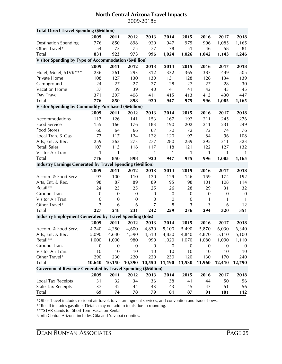#### **North Central Arizona Travel Impacts** 2009-2018p

| <b>Total Direct Travel Spending (\$Million)</b>                    |                  |                  |                                     |                  |                  |                  |                  |                  |                  |
|--------------------------------------------------------------------|------------------|------------------|-------------------------------------|------------------|------------------|------------------|------------------|------------------|------------------|
|                                                                    | 2009             | 2011             | 2012                                | 2013             | 2014             | 2015             | 2016             | 2017             | 2018             |
| <b>Destination Spending</b>                                        | 776              | 850              | 898                                 | 920              | 947              | 975              | 996              | 1,085            | 1,165            |
| Other Travel*                                                      | 54               | 73               | 75                                  | 77               | 78               | 51               | 46               | 58               | 81               |
| Total                                                              | 831              | 923              | 973                                 | 996              | 1,024            | 1,026            | 1,042            | 1,143            | 1,246            |
| Visitor Spending by Type of Accommodation (\$Million)              |                  |                  |                                     |                  |                  |                  |                  |                  |                  |
|                                                                    | 2009             | 2011             | 2012                                | 2013             | 2014             | 2015             | 2016             | 2017             | 2018             |
| Hotel, Motel, STVR***                                              | 236              | 261              | 293                                 | 312              | 332              | 365              | 387              | 449              | 505              |
| Private Home                                                       | 108              | 127              | 130                                 | 130              | 131              | 128              | 126              | 134              | 139              |
| Campground                                                         | 24               | 27               | 27                                  | 27               | 28               | 27               | 27               | 28               | 30               |
| Vacation Home                                                      | 37               | 39               | 39                                  | 40               | 41               | 41               | 42               | 43               | 45               |
| Day Travel                                                         | 371              | 397              | 408                                 | 411              | 415              | 413              | 413              | 430              | 447              |
| Total                                                              | 776              | 850              | 898                                 | 920              | 947              | 975              | 996              | 1,085            | 1,165            |
| <b>Visitor Spending by Commodity Purchased (\$Million)</b>         |                  |                  |                                     |                  |                  |                  |                  |                  |                  |
|                                                                    | 2009             | 2011             | 2012                                | 2013             | 2014             | 2015             | 2016             | 2017             | 2018             |
| Accommodations                                                     | 117              | 126              | 141                                 | 153              | 167              | 192              | 211              | 245              | 276              |
| Food Service                                                       | 155              | 166              | 176                                 | 183              | 190              | 202              | 211              | 231              | 249              |
| Food Stores                                                        | 60               | 64               | 66                                  | 67               | 70               | 72               | 72               | 74               | 76               |
| Local Tran. & Gas                                                  | 77               | 117              | 124                                 | 122              | 120              | 97               | 84               | 96               | 108              |
| Arts, Ent. & Rec.                                                  | 259              | 263              | 273                                 | 277              | 280              | 289              | 295              | 311              | 323              |
| Retail Sales                                                       | 107              | 113              | 116                                 | 117              | 118              | 121              | 122              | 127              | 132              |
| Visitor Air Tran.                                                  | 1                | 1                | $\overline{2}$                      | 1                | 1                | $\mathbf{1}$     | $\mathbf{1}$     | 1                | $\mathbf{1}$     |
| Total                                                              | 776              | 850              | 898                                 | 920              | 947              | 975              | 996              | 1,085            | 1,165            |
| <b>Industry Earnings Generated by Travel Spending (\$Million)</b>  |                  |                  |                                     |                  |                  |                  |                  |                  |                  |
|                                                                    | 2009             | 2011             | 2012                                | 2013             | 2014             | 2015             | 2016             | 2017             | 2018             |
| Accom. & Food Serv.                                                | 97               | 100              | 110                                 | 120              | 129              | 146              | 159              | 174              | 192              |
| Arts, Ent. & Rec.                                                  | 98               | 87               | 89                                  | 89               | 95               | 98               | 101              | 108              | 114              |
| Retail**                                                           | 24               | 25               | 25                                  | 25               | 26               | 28               | 29               | 31               | 32               |
| Ground Tran.                                                       | $\boldsymbol{0}$ | $\boldsymbol{0}$ | $\boldsymbol{0}$                    | $\boldsymbol{0}$ | $\boldsymbol{0}$ | $\boldsymbol{0}$ | $\boldsymbol{0}$ | $\boldsymbol{0}$ | $\boldsymbol{0}$ |
| Visitor Air Tran.                                                  | $\boldsymbol{0}$ | $\mathbf 0$      | $\boldsymbol{0}$                    | $\boldsymbol{0}$ | $\boldsymbol{0}$ | 0                | 1                | 1                | $\overline{1}$   |
| Other Travel*                                                      | $\overline{7}$   | 6                | 6                                   | $\overline{7}$   | 8                | 3                | 3                | 6                | 12               |
| Total                                                              | 227              | 218              | 231                                 | 242              | 259              | 276              | 294              | 320              | 351              |
| <b>Industry Employment Generated by Travel Spending (Jobs)</b>     |                  |                  |                                     |                  |                  |                  |                  |                  |                  |
|                                                                    | 2009             | 2011             | 2012                                | 2013             | 2014             | 2015             | 2016             | 2017             | 2018             |
| Accom. & Food Serv.                                                | 4,240            | 4,280            | 4,600                               | 4,830            | 5,100            | 5,490            | 5,870            | 6,030            | 6,340            |
| Arts, Ent. & Rec.                                                  |                  |                  | 5,090 4,630 4,590 4,510 4,830 4,840 |                  |                  |                  |                  | 4,870 5,110      | 5,100            |
| Retail**                                                           | 1,000            | 1,000            | 980                                 | 990              | 1,020            | 1,070            | 1,080            | 1,090            | 1,110            |
| Ground Tran.                                                       | $\boldsymbol{0}$ | $\boldsymbol{0}$ | $\mathbf 0$                         | $\boldsymbol{0}$ | $\boldsymbol{0}$ | $\boldsymbol{0}$ | $\boldsymbol{0}$ | $\boldsymbol{0}$ | $\boldsymbol{0}$ |
| Visitor Air Tran.                                                  | 10               | 10               | 10                                  | 10               | 10               | 10               | 10               | 10               | 10               |
| Other Travel*                                                      | 290              | 230              | 220                                 | 220              | 230              | 120              | 130              | 170              | 240              |
| Total                                                              | 10,640           | 10,150           | 10,390                              | 10,550           | 11,190           | 11,530           | 11,960           | 12,410           | 12,790           |
| <b>Government Revenue Generated by Travel Spending (\$Million)</b> |                  |                  |                                     |                  |                  |                  |                  |                  |                  |
|                                                                    | 2009             | 2011             | 2012                                | 2013             | 2014             | 2015             | 2016             | 2017             | 2018             |
| Local Tax Receipts                                                 | 31               | 32               | 34                                  | 36               | 38               | 41               | 44               | 50               | 56               |
| <b>State Tax Receipts</b>                                          | 37               | 42               | 44                                  | 43               | 43               | 45               | 47               | 51               | 56               |
| Total                                                              | 69               | 74               | 78                                  | 79               | 81               | 87               | 91               | 101              | 112              |

\*Other Travel includes resident air travel, travel arrangment services, and convention and trade shows.

\*\*Retail includes gasoline. Details may not add to totals due to rounding.

\*\*\*STVR stands for Short Term Vacation Rental

North Central Arizona includes Gila and Yavapai counties.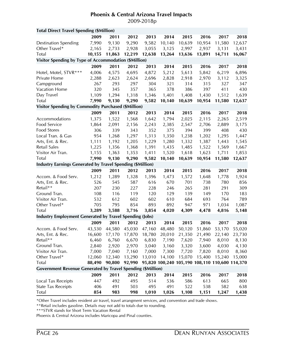#### **Phoenix & Central Arizona Travel Impacts** 2009-2018p

| <b>Total Direct Travel Spending (\$Million)</b>                    |        |                                                  |        |        |        |                                                |        |        |        |
|--------------------------------------------------------------------|--------|--------------------------------------------------|--------|--------|--------|------------------------------------------------|--------|--------|--------|
|                                                                    | 2009   | 2011                                             | 2012   | 2013   | 2014   | 2015                                           | 2016   | 2017   | 2018   |
| <b>Destination Spending</b>                                        | 7,990  | 9,130                                            | 9,290  | 9,582  | 10,140 | 10,639                                         | 10,954 | 11,580 | 12,637 |
| Other Travel*                                                      | 2,165  | 2,733                                            | 2,928  | 3,055  | 3,125  | 2,997                                          | 2,937  | 3,131  | 3,431  |
| <b>Total</b>                                                       | 10,155 | 11,863                                           | 12,219 | 12,638 | 13,264 | 13,636                                         | 13,891 | 14,711 | 16,067 |
| Visitor Spending by Type of Accommodation (\$Million)              |        |                                                  |        |        |        |                                                |        |        |        |
|                                                                    | 2009   | 2011                                             | 2012   | 2013   | 2014   | 2015                                           | 2016   | 2017   | 2018   |
| Hotel, Motel, STVR***                                              | 4,006  | 4,575                                            | 4,695  | 4,872  | 5,212  | 5,613                                          | 5,842  | 6,219  | 6,896  |
| Private Home                                                       | 2,288  | 2,623                                            | 2,624  | 2,696  | 2,828  | 2,918                                          | 2,970  | 3,112  | 3,325  |
| Campground                                                         | 267    | 293                                              | 297    | 304    | 321    | 314                                            | 315    | 327    | 347    |
| Vacation Home                                                      | 320    | 345                                              | 357    | 365    | 378    | 386                                            | 397    | 411    | 430    |
| Day Travel                                                         | 1,109  | 1,294                                            | 1,318  | 1,346  | 1,401  | 1,408                                          | 1,430  | 1,512  | 1,639  |
| Total                                                              | 7,990  | 9,130                                            | 9,290  | 9,582  | 10,140 | 10,639                                         | 10,954 | 11,580 | 12,637 |
| <b>Visitor Spending by Commodity Purchased (\$Million)</b>         |        |                                                  |        |        |        |                                                |        |        |        |
|                                                                    | 2009   | 2011                                             | 2012   | 2013   | 2014   | 2015                                           | 2016   | 2017   | 2018   |
| Accommodations                                                     | 1,375  | 1,522                                            | 1,568  | 1,642  | 1,794  | 2,025                                          | 2,115  | 2,265  | 2,519  |
| Food Service                                                       | 1,864  | 2,091                                            | 2,156  | 2,243  | 2,385  | 2,547                                          | 2,706  | 2,889  | 3,175  |
| Food Stores                                                        | 306    | 339                                              | 343    | 352    | 375    | 394                                            | 399    | 408    | 430    |
| Local Tran. & Gas                                                  | 954    | 1,268                                            | 1,297  | 1,313  | 1,350  | 1,238                                          | 1,202  | 1,295  | 1,447  |
| Arts, Ent. & Rec.                                                  | 1,111  | 1,192                                            | 1,205  | 1,229  | 1,280  | 1,332                                          | 1,387  | 1,443  | 1,545  |
| Retail Sales                                                       | 1,225  | 1,356                                            | 1,368  | 1,391  | 1,435  | 1,485                                          | 1,522  | 1,569  | 1,667  |
| Visitor Air Tran.                                                  | 1,155  | 1,363                                            | 1,353  | 1,411  | 1,520  | 1,618                                          | 1,623  | 1,711  | 1,853  |
| <b>Total</b>                                                       | 7,990  | 9,130                                            | 9,290  | 9,582  | 10,140 | 10,639                                         | 10,954 | 11,580 | 12,637 |
| <b>Industry Earnings Generated by Travel Spending (\$Million)</b>  |        |                                                  |        |        |        |                                                |        |        |        |
|                                                                    | 2009   | 2011                                             | 2012   | 2013   | 2014   | 2015                                           | 2016   | 2017   | 2018   |
| Accom. & Food Serv.                                                | 1,212  | 1,289                                            | 1,328  | 1,396  | 1,473  | 1,572                                          | 1,648  | 1,778  | 1,924  |
| Arts, Ent. & Rec.                                                  | 526    | 545                                              | 587    | 616    | 670    | 701                                            | 738    | 780    | 856    |
| Retail**                                                           | 207    | 230                                              | 227    | 228    | 246    | 265                                            | 281    | 291    | 309    |
| Ground Tran.                                                       | 108    | 116                                              | 119    | 120    | 129    | 139                                            | 149    | 170    | 183    |
| Visitor Air Tran.                                                  | 532    | 612                                              | 602    | 602    | 610    | 684                                            | 693    | 764    | 789    |
| Other Travel*                                                      | 705    | 795                                              | 854    | 893    | 892    | 947                                            | 971    | 1,034  | 1,087  |
| <b>Total</b>                                                       | 3,289  | 3,588                                            | 3,716  | 3,854  | 4,020  | 4,309                                          | 4,478  | 4,816  | 5,148  |
| <b>Industry Employment Generated by Travel Spending (Jobs)</b>     |        |                                                  |        |        |        |                                                |        |        |        |
|                                                                    | 2009   | 2011                                             | 2012   | 2013   | 2014   | 2015                                           | 2016   | 2017   | 2018   |
| Accom. & Food Serv.                                                | 43,530 | 44,580                                           | 45,030 | 47,160 | 48,480 | 50,120                                         | 51,860 | 53,170 | 55,020 |
| Arts, Ent. & Rec.                                                  |        | 16,600 17,170 17,870 18,780 20,010 21,350 21,490 |        |        |        |                                                |        | 22,140 | 23,730 |
| Retail**                                                           | 6,460  | 6,760                                            | 6,670  | 6,830  | 7,190  | 7,620                                          | 7,940  | 8,010  | 8,130  |
| Ground Tran.                                                       | 2,840  | 2,920                                            | 2,970  | 3,040  | 3,160  | 3,320                                          | 3,600  | 4,030  | 4,130  |
| Visitor Air Tran.                                                  | 7,000  | 7,040                                            | 7,160  | 7,000  | 7,300  | 7,720                                          | 7,820  | 8,010  | 8,360  |
| Other Travel*                                                      | 12,060 | 12,340                                           | 13,290 | 13,010 | 14,100 | 15,070                                         | 15,400 | 15,240 | 15,000 |
| Total                                                              | 88,490 | 90,800                                           | 92,990 |        |        | 95,820 100,240 105,190 108,110 110,600 114,370 |        |        |        |
| <b>Government Revenue Generated by Travel Spending (\$Million)</b> |        |                                                  |        |        |        |                                                |        |        |        |
|                                                                    | 2009   | 2011                                             | 2012   | 2013   | 2014   | 2015                                           | 2016   | 2017   | 2018   |
| <b>Local Tax Receipts</b>                                          | 447    | 492                                              | 495    | 514    | 536    | 586                                            | 613    | 665    | 800    |
| <b>State Tax Receipts</b>                                          | 406    | 491                                              | 503    | 495    | 491    | 522                                            | 538    | 582    | 638    |
| <b>Total</b>                                                       | 854    | 983                                              | 998    | 1,010  | 1,026  | 1,108                                          | 1,151  | 1,247  | 1,438  |

\*Other Travel includes resident air travel, travel arrangment services, and convention and trade shows.

\*\*Retail includes gasoline. Details may not add to totals due to rounding.

\*\*\*STVR stands for Short Term Vacation Rental

Phoenix & Central Arizona includes Maricopa and Pinal counties.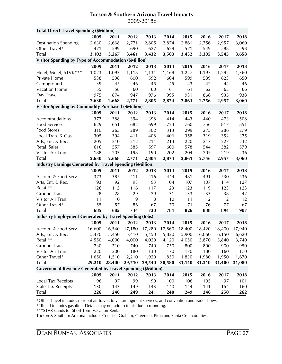#### **Tucson & Southern Arizona Travel Impacts** 2009-2018p

| <b>Total Direct Travel Spending (\$Million)</b>                    |        |        |                   |        |        |        |                   |        |        |
|--------------------------------------------------------------------|--------|--------|-------------------|--------|--------|--------|-------------------|--------|--------|
|                                                                    | 2009   | 2011   | 2012              | 2013   | 2014   | 2015   | 2016              | 2017   | 2018   |
| <b>Destination Spending</b>                                        | 2,630  | 2,668  | 2,771             | 2,805  | 2,874  | 2,861  | 2,756             | 2,957  | 3,060  |
| Other Travel*                                                      | 471    | 599    | 690               | 627    | 629    | 571    | 549               | 588    | 598    |
| Total                                                              | 3,102  | 3,267  | 3,461             | 3,432  | 3,503  | 3,432  | 3,305             | 3,545  | 3,658  |
| Visitor Spending by Type of Accommodation (\$Million)              |        |        |                   |        |        |        |                   |        |        |
|                                                                    | 2009   | 2011   | 2012              | 2013   | 2014   | 2015   | 2016              | 2017   | 2018   |
| Hotel, Motel, STVR***                                              | 1,023  | 1,093  | 1,118             | 1,131  | 1,169  | 1,227  | 1,197             | 1,292  | 1,360  |
| Private Home                                                       | 538    | 598    | 600               | 592    | 604    | 599    | 589               | 623    | 650    |
| Campground                                                         | 39     | 45     | 46                | 45     | 45     | 43     | 42                | 44     | 46     |
| <b>Vacation Home</b>                                               | 55     | 58     | 60                | 60     | 61     | 61     | 62                | 63     | 66     |
| Day Travel                                                         | 975    | 874    | 947               | 976    | 995    | 931    | 866               | 935    | 938    |
| Total                                                              | 2,630  | 2,668  | 2,771             | 2,805  | 2,874  | 2,861  | 2,756             | 2,957  | 3,060  |
| <b>Visitor Spending by Commodity Purchased (\$Million)</b>         |        |        |                   |        |        |        |                   |        |        |
|                                                                    | 2009   | 2011   | 2012              | 2013   | 2014   | 2015   | 2016              | 2017   | 2018   |
| Accommodations                                                     | 377    | 388    | 394               | 398    | 414    | 443    | 440               | 473    | 508    |
| Food Service                                                       | 629    | 651    | 682               | 699    | 724    | 760    | 756               | 817    | 851    |
| Food Stores                                                        | 310    | 265    | 289               | 302    | 313    | 299    | 275               | 286    | 279    |
| Local Tran. & Gas                                                  | 305    | 394    | 411               | 408    | 406    | 358    | 319               | 352    | 375    |
| Arts, Ent. & Rec.                                                  | 205    | 210    | 212               | 211    | 214    | 220    | 217               | 227    | 232    |
| <b>Retail Sales</b>                                                | 616    | 557    | 585               | 597    | 600    | 578    | 544               | 582    | 579    |
| Visitor Air Tran.                                                  | 188    | 203    | 198               | 190    | 202    | 204    | 205               | 219    | 236    |
| Total                                                              | 2,630  | 2,668  | 2,771             | 2,805  | 2,874  | 2,861  | 2,756             | 2,957  | 3,060  |
| <b>Industry Earnings Generated by Travel Spending (\$Million)</b>  |        |        |                   |        |        |        |                   |        |        |
|                                                                    | 2009   | 2011   | 2012              | 2013   | 2014   | 2015   | 2016              | 2017   | 2018   |
| Accom. & Food Serv.                                                | 373    | 385    | 411               | 416    | 444    | 481    | 491               | 530    | 536    |
| Arts, Ent. & Rec.                                                  | 93     | 92     | 93                | 93     | 104    | 107    | 107               | 114    | 127    |
| Retail**                                                           | 126    | 113    | 116               | 117    | 123    | 123    | 119               | 123    | 123    |
| Ground Tran.                                                       | 28     | 28     | 29                | 29     | 31     | 33     | 33                | 38     | 42     |
| Visitor Air Tran.                                                  | 11     | 10     | 9                 | $\, 8$ | 10     | 11     | 12                | 12     | 12     |
| Other Travel*                                                      | 55     | 57     | 86                | 67     | 70     | 71     | 76                | 77     | 67     |
| <b>Total</b>                                                       | 685    | 685    | 744               | 730    | 781    | 826    | 838               | 894    | 907    |
| <b>Industry Employment Generated by Travel Spending (Jobs)</b>     |        |        |                   |        |        |        |                   |        |        |
|                                                                    | 2009   | 2011   | 2012              | 2013   | 2014   | 2015   | 2016              | 2017   | 2018   |
| Accom. & Food Serv.                                                | 16,600 | 16,540 | 17,180            | 17,280 | 17,860 | 18,400 | 18,420            | 18,400 | 17,940 |
| Arts, Ent. & Rec.                                                  | 5,470  |        | 5,450 5,410 5,450 |        | 5,820  |        | 5,900 6,060 6,150 |        | 6,620  |
| Retail**                                                           | 4,550  | 4,000  | 4,000             | 4,020  | 4,120  | 4,050  | 3,870             | 3,840  | 3,740  |
| Ground Tran.                                                       | 730    | 710    | 740               | 740    | 750    | 800    | 800               | 900    | 950    |
| Visitor Air Tran.                                                  | 220    | 200    | 180               | 130    | 170    | 170    | 180               | 160    | 170    |
| Other Travel*                                                      | 1,650  | 1,510  | 2,210             | 1,920  | 1,850  | 1,830  | 1,980             | 1,950  | 1,670  |
| <b>Total</b>                                                       | 29,210 | 28,400 | 29,710            | 29,540 | 30,580 | 31,140 | 31,310            | 31,400 | 31,080 |
| <b>Government Revenue Generated by Travel Spending (\$Million)</b> |        |        |                   |        |        |        |                   |        |        |
|                                                                    | 2009   | 2011   | 2012              | 2013   | 2014   | 2015   | 2016              | 2017   | 2018   |
| Local Tax Receipts                                                 | 96     | 97     | 99                | 99     | 100    | 106    | 105               | 97     | 101    |
| <b>State Tax Receipts</b>                                          | 130    | 143    | 149               | 143    | 140    | 144    | 141               | 154    | 160    |
| Total                                                              | 226    | 240    | 249               | 241    | 240    | 249    | 246               | 250    | 262    |

\*Other Travel includes resident air travel, travel arrangment services, and convention and trade shows.

\*\*Retail includes gasoline. Details may not add to totals due to rounding.

\*\*\*STVR stands for Short Term Vacation Rental

Tucson & Southern Arizona includes Cochise, Graham, Greenlee, Pima and Santa Cruz counties.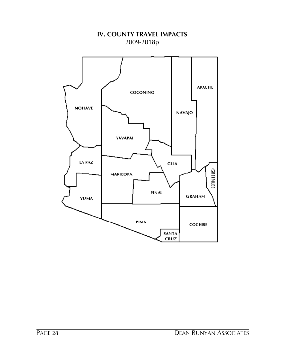## **IV. COUNTY TRAVEL IMPACTS** 2009-2018p **APACHE** COCONINO MOHAVE **NAVAJO** YAVAPAI LA PAZ GILA **GREENLEE MARICOPA** PINAL GRAHAM **YUMA** PIMA **COCHISE SANTA** CRUZ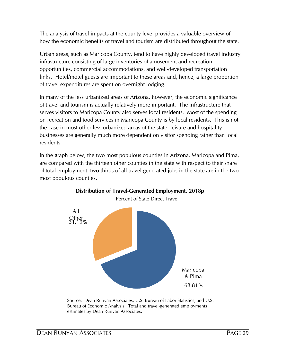The analysis of travel impacts at the county level provides a valuable overview of how the economic benefits of travel and tourism are distributed throughout the state.

Urban areas, such as Maricopa County, tend to have highly developed travel industry infrastructure consisting of large inventories of amusement and recreation opportunities, commercial accommodations, and well-developed transportation links. Hotel/motel guests are important to these areas and, hence, a large proportion of travel expenditures are spent on overnight lodging.

In many of the less urbanized areas of Arizona, however, the economic significance of travel and tourism is actually relatively more important. The infrastructure that serves visitors to Maricopa County also serves local residents. Most of the spending on recreation and food services in Maricopa County is by local residents. This is not the case in most other less urbanized areas of the state -leisure and hospitality businesses are generally much more dependent on visitor spending rather than local residents.

In the graph below, the two most populous counties in Arizona, Maricopa and Pima, are compared with the thirteen other counties in the state with respect to their share of total employment -two-thirds of all travel-generated jobs in the state are in the two most populous counties.



**Distribution of Travel-Generated Employment, 2018p**

Source: Dean Runyan Associates, U.S. Bureau of Labor Statistics, and U.S. Bureau of Economic Analysis. Total and travel-generated employments estimates by Dean Runyan Associates.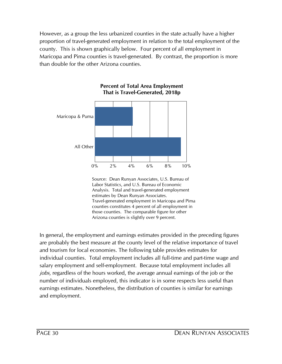However, as a group the less urbanized counties in the state actually have a higher proportion of travel-generated employment in relation to the total employment of the county. This is shown graphically below. Four percent of all employment in Maricopa and Pima counties is travel-generated. By contrast, the proportion is more than double for the other Arizona counties.





In general, the employment and earnings estimates provided in the preceding figures are probably the best measure at the county level of the relative importance of travel and tourism for local economies. The following table provides estimates for individual counties. Total employment includes all full-time and part-time wage and salary employment and self-employment. Because total employment includes all jobs, regardless of the hours worked, the average annual earnings of the job or the number of individuals employed, this indicator is in some respects less useful than earnings estimates. Nonetheless, the distribution of counties is similar for earnings and employment.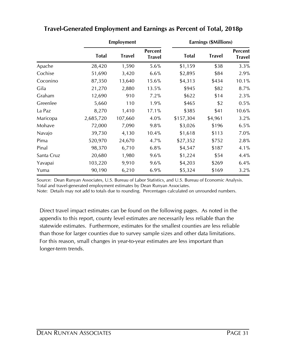|            |              | Employment    |                                 | <b>Earnings (\$Millions)</b> |               |                          |  |  |
|------------|--------------|---------------|---------------------------------|------------------------------|---------------|--------------------------|--|--|
|            | <b>Total</b> | <b>Travel</b> | <b>Percent</b><br><b>Travel</b> | <b>Total</b>                 | <b>Travel</b> | Percent<br><b>Travel</b> |  |  |
| Apache     | 28,420       | 1,590         | 5.6%                            | \$1,159                      | \$38          | 3.3%                     |  |  |
| Cochise    | 51,690       | 3,420         | 6.6%                            | \$2,895                      | \$84          | 2.9%                     |  |  |
| Coconino   | 87,350       | 13,640        | 15.6%                           | \$4,313                      | \$434         | 10.1%                    |  |  |
| Gila       | 21,270       | 2,880         | 13.5%                           | \$945                        | \$82          | 8.7%                     |  |  |
| Graham     | 12,690       | 910           | 7.2%                            | \$622                        | \$14          | 2.3%                     |  |  |
| Greenlee   | 5,660        | 110           | 1.9%                            | \$465                        | \$2           | 0.5%                     |  |  |
| La Paz     | 8,270        | 1,410         | 17.1%                           | \$385                        | \$41          | 10.6%                    |  |  |
| Maricopa   | 2,685,720    | 107,660       | 4.0%                            | \$157,304                    | \$4,961       | 3.2%                     |  |  |
| Mohave     | 72,000       | 7,090         | 9.8%                            | \$3,026                      | \$196         | 6.5%                     |  |  |
| Navajo     | 39,730       | 4,130         | 10.4%                           | \$1,618                      | \$113         | 7.0%                     |  |  |
| Pima       | 520,970      | 24,670        | 4.7%                            | \$27,352                     | \$752         | 2.8%                     |  |  |
| Pinal      | 98,370       | 6,710         | 6.8%                            | \$4,547                      | \$187         | 4.1%                     |  |  |
| Santa Cruz | 20,680       | 1,980         | 9.6%                            | \$1,224                      | \$54          | 4.4%                     |  |  |
| Yavapai    | 103,220      | 9,910         | 9.6%                            | \$4,203                      | \$269         | 6.4%                     |  |  |
| Yuma       | 90,190       | 6,210         | 6.9%                            | \$5,324                      | \$169         | 3.2%                     |  |  |

### **Travel-Generated Employment and Earnings as Percent of Total, 2018p**

Source: Dean Runyan Associates, U.S. Bureau of Labor Statistics, and U.S. Bureau of Economic Analysis. Total and travel-generated employment estimates by Dean Runyan Associates. Note: Details may not add to totals due to rounding. Percentages calculated on unrounded numbers.

Direct travel impact estimates can be found on the following pages. As noted in the appendix to this report, county level estimates are necessarily less reliable than the statewide estimates. Furthermore, estimates for the smallest counties are less reliable than those for larger counties due to survey sample sizes and other data limitations. For this reason, small changes in year-to-year estimates are less important than longer-term trends.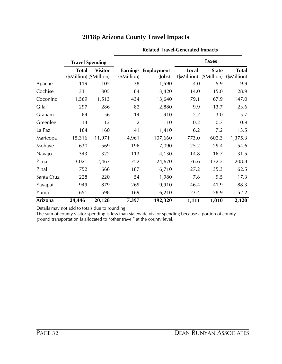|                | <b>Travel Spending</b>                  |                |                |                                            | <b>Taxes</b>         |                             |                             |  |  |
|----------------|-----------------------------------------|----------------|----------------|--------------------------------------------|----------------------|-----------------------------|-----------------------------|--|--|
|                | <b>Total</b><br>(\$Million) (\$Million) | <b>Visitor</b> | (\$Million)    | <b>Earnings Employment</b><br>$($ lobs $)$ | Local<br>(\$Million) | <b>State</b><br>(\$Million) | <b>Total</b><br>(\$Million) |  |  |
| Apache         | 119                                     | 105            | 38             | 1,590                                      | 4.0                  | 5.9                         | 9.9                         |  |  |
| Cochise        | 331                                     | 305            | 84             | 3,420                                      | 14.0                 | 15.0                        | 28.9                        |  |  |
| Coconino       | 1,569                                   | 1,513          | 434            | 13,640                                     | 79.1                 | 67.9                        | 147.0                       |  |  |
| Gila           | 297                                     | 286            | 82             | 2,880                                      | 9.9                  | 13.7                        | 23.6                        |  |  |
| Graham         | 64                                      | 56             | 14             | 910                                        | 2.7                  | 3.0                         | 5.7                         |  |  |
| Greenlee       | 14                                      | 12             | $\overline{2}$ | 110                                        | 0.2                  | 0.7                         | 0.9                         |  |  |
| La Paz         | 164                                     | 160            | 41             | 1,410                                      | 6.2                  | 7.2                         | 13.5                        |  |  |
| Maricopa       | 15,316                                  | 11,971         | 4,961          | 107,660                                    | 773.0                | 602.3                       | 1,375.3                     |  |  |
| Mohave         | 630                                     | 569            | 196            | 7,090                                      | 25.2                 | 29.4                        | 54.6                        |  |  |
| Navajo         | 343                                     | 322            | 113            | 4,130                                      | 14.8                 | 16.7                        | 31.5                        |  |  |
| Pima           | 3,021                                   | 2,467          | 752            | 24,670                                     | 76.6                 | 132.2                       | 208.8                       |  |  |
| Pinal          | 752                                     | 666            | 187            | 6,710                                      | 27.2                 | 35.3                        | 62.5                        |  |  |
| Santa Cruz     | 228                                     | 220            | 54             | 1,980                                      | 7.8                  | 9.5                         | 17.3                        |  |  |
| Yavapai        | 949                                     | 879            | 269            | 9,910                                      | 46.4                 | 41.9                        | 88.3                        |  |  |
| Yuma           | 651                                     | 598            | 169            | 6,210                                      | 23.4                 | 28.9                        | 52.2                        |  |  |
| <b>Arizona</b> | 24,446                                  | 20,128         | 7,397          | 192,320                                    | 1,111                | 1,010                       | 2,120                       |  |  |

### **2018p Arizona County Travel Impacts**

**Related Travel-Generated Impacts**

Details may not add to totals due to rounding.

The sum of county visitor spending is less than statewide visitor spending because a portion of county ground transportation is allocated to "other travel" at the county level.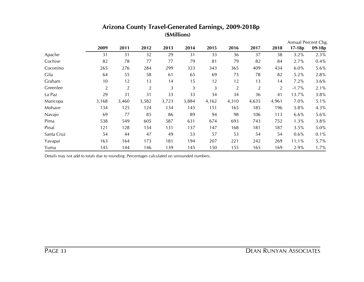|            |                |                |                |       |       |       |                |                |                | Annual Percent Chg. |        |
|------------|----------------|----------------|----------------|-------|-------|-------|----------------|----------------|----------------|---------------------|--------|
|            | 2009           | 2011           | 2012           | 2013  | 2014  | 2015  | 2016           | 2017           | 2018           | $17-18p$            | 09-18p |
| Apache     | 31             | 31             | 32             | 29    | 31    | 33    | 36             | 37             | 38             | 3.2%                | 2.3%   |
| Cochise    | 82             | 78             | 77             | 77    | 79    | 81    | 79             | 82             | 84             | 2.7%                | 0.4%   |
| Coconino   | 265            | 276            | 284            | 299   | 323   | 343   | 365            | 409            | 434            | 6.0%                | 5.6%   |
| Gila       | 64             | 55             | 58             | 61    | 65    | 69    | 73             | 78             | 82             | 5.2%                | 2.8%   |
| Graham     | 10             | 12             | 13             | 14    | 15    | 12    | 12             | 13             | 14             | 7.2%                | 3.6%   |
| Greenlee   | $\overline{2}$ | $\overline{2}$ | $\overline{2}$ | 3     | 3     | 3     | $\overline{2}$ | $\overline{2}$ | $\overline{2}$ | $-1.7%$             | 2.1%   |
| La Paz     | 29             | 31             | 31             | 33    | 33    | 34    | 34             | 36             | 41             | 13.7%               | 3.8%   |
| Maricopa   | 3,168          | 3,460          | 3,582          | 3,723 | 3,884 | 4,162 | 4,310          | 4,635          | 4,961          | $7.0\%$             | 5.1%   |
| Mohave     | 134            | 125            | 124            | 134   | 145   | 151   | 165            | 185            | 196            | 5.8%                | 4.3%   |
| Navajo     | 69             | 77             | 85             | 86    | 89    | 94    | 98             | 106            | 113            | 6.6%                | 5.6%   |
| Pima       | 538            | 549            | 605            | 587   | 631   | 674   | 693            | 743            | 752            | 1.3%                | 3.8%   |
| Pinal      | 121            | 128            | 134            | 131   | 137   | 147   | 168            | 181            | 187            | 3.5%                | 5.0%   |
| Santa Cruz | 54             | 44             | 47             | 49    | 53    | 57    | 53             | 54             | 54             | 0.6%                | 0.1%   |
| Yavapai    | 163            | 164            | 173            | 181   | 194   | 207   | 221            | 242            | 269            | 11.1%               | 5.7%   |
| Yuma       | 145            | 144            | 146            | 139   | 145   | 150   | 155            | 165            | 169            | 2.9%                | 1.7%   |

#### **Arizona County Travel-Generated Earnings, 2009-2018p (\$Millions)**

Details may not add to totals due to rounding. Percentages calculated on unrounded numbers.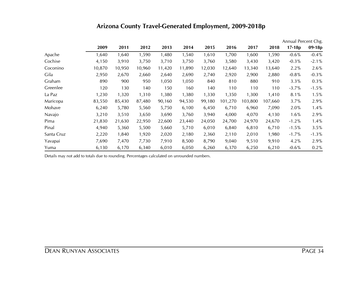|            |        |        |        |        |        |        |         |         |         | Annual Percent Chg. |          |
|------------|--------|--------|--------|--------|--------|--------|---------|---------|---------|---------------------|----------|
|            | 2009   | 2011   | 2012   | 2013   | 2014   | 2015   | 2016    | 2017    | 2018    | $17-18p$            | 09-18p   |
| Apache     | 1,640  | 1,640  | 1,590  | 1,480  | 1,540  | 1,610  | 1,700   | 1,600   | 1,590   | $-0.6%$             | $-0.4%$  |
| Cochise    | 4,150  | 3,910  | 3,750  | 3,710  | 3,750  | 3,760  | 3,580   | 3,430   | 3,420   | $-0.3\%$            | $-2.1%$  |
| Coconino   | 10,870 | 10,950 | 10,960 | 11,420 | 11,890 | 12,030 | 12,640  | 13,340  | 13,640  | 2.2%                | 2.6%     |
| Gila       | 2,950  | 2,670  | 2,660  | 2,640  | 2,690  | 2,740  | 2,920   | 2,900   | 2,880   | $-0.8\%$            | $-0.3\%$ |
| Graham     | 890    | 900    | 950    | 1,050  | 1,050  | 840    | 810     | 880     | 910     | 3.3%                | $0.3\%$  |
| Greenlee   | 120    | 130    | 140    | 150    | 160    | 140    | 110     | 110     | 110     | $-3.7%$             | $-1.5%$  |
| La Paz     | 1,230  | 1,320  | 1,310  | 1,380  | 1,380  | 1,330  | 1,350   | 1,300   | 1,410   | 8.1%                | 1.5%     |
| Maricopa   | 83,550 | 85,430 | 87,480 | 90,160 | 94,530 | 99,180 | 101,270 | 103,800 | 107,660 | 3.7%                | 2.9%     |
| Mohave     | 6,240  | 5,780  | 5,560  | 5,750  | 6,100  | 6,450  | 6,710   | 6,960   | 7,090   | 2.0%                | 1.4%     |
| Navajo     | 3,210  | 3,510  | 3,650  | 3,690  | 3,760  | 3,940  | 4,000   | 4,070   | 4,130   | 1.6%                | 2.9%     |
| Pima       | 21,830 | 21,630 | 22,950 | 22,600 | 23,440 | 24,050 | 24,700  | 24,970  | 24,670  | $-1.2%$             | 1.4%     |
| Pinal      | 4,940  | 5,360  | 5,500  | 5,660  | 5,710  | 6,010  | 6,840   | 6,810   | 6,710   | $-1.5%$             | 3.5%     |
| Santa Cruz | 2,220  | 1,840  | 1,920  | 2,020  | 2,180  | 2,360  | 2,110   | 2,010   | 1,980   | $-1.7\%$            | $-1.3\%$ |
| Yavapai    | 7,690  | 7,470  | 7,730  | 7,910  | 8,500  | 8,790  | 9,040   | 9,510   | 9,910   | 4.2%                | 2.9%     |
| Yuma       | 6,130  | 6,170  | 6,340  | 6,010  | 6,050  | 6,260  | 6,370   | 6,250   | 6,210   | $-0.6%$             | 0.2%     |

# **Arizona County Travel-Generated Employment, 2009-2018p**

Details may not add to totals due to rounding. Percentages calculated on unrounded numbers.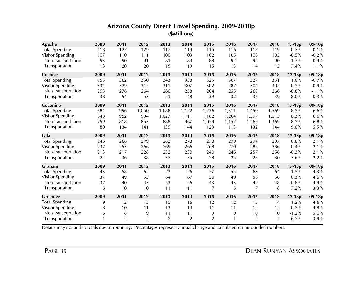### **Arizona County Direct Travel Spending, 2009-2018p (\$Millions)**

| Apache                  | 2009 | 2011           | 2012           | 2013           | 2014           | 2015           | 2016  | 2017           | 2018  | $17-18p$ | 09-18p  |
|-------------------------|------|----------------|----------------|----------------|----------------|----------------|-------|----------------|-------|----------|---------|
| <b>Total Spending</b>   | 118  | 127            | 129            | 117            | 119            | 115            | 116   | 118            | 119   | 0.7%     | 0.1%    |
| Visitor Spending        | 107  | 110            | 111            | 100            | 103            | 102            | 105   | 106            | 105   | $-0.5%$  | $-0.2%$ |
| Non-transportation      | 93   | 90             | 91             | 81             | 84             | 88             | 92    | 92             | 90    | $-1.7%$  | $-0.4%$ |
| Transportation          | 13   | 20             | 20             | 19             | 19             | 15             | 13    | 14             | 15    | 7.4%     | 1.1%    |
| <b>Cochise</b>          | 2009 | 2011           | 2012           | 2013           | 2014           | 2015           | 2016  | 2017           | 2018  | $17-18p$ | 09-18p  |
| <b>Total Spending</b>   | 353  | 362            | 350            | 343            | 338            | 325            | 307   | 327            | 331   | 1.0%     | $-0.7%$ |
| Visitor Spending        | 331  | 329            | 317            | 311            | 307            | 302            | 287   | 304            | 305   | 0.2%     | $-0.9%$ |
| Non-transportation      | 293  | 276            | 264            | 260            | 258            | 264            | 255   | 268            | 266   | $-0.8%$  | $-1.1%$ |
| Transportation          | 38   | 54             | 53             | 51             | 48             | 39             | 32    | 36             | 39    | 8.0%     | 0.3%    |
| Coconino                | 2009 | 2011           | 2012           | 2013           | 2014           | 2015           | 2016  | 2017           | 2018  | $17-18p$ | 09-18p  |
| <b>Total Spending</b>   | 881  | 996            | 1,050          | 1,088          | 1,172          | 1,236          | 1,311 | 1,450          | 1,569 | 8.2%     | 6.6%    |
| Visitor Spending        | 848  | 952            | 994            | 1,027          | 1,111          | 1,182          | 1,264 | 1,397          | 1,513 | 8.3%     | 6.6%    |
| Non-transportation      | 759  | 818            | 853            | 888            | 967            | 1,059          | 1,152 | 1,265          | 1,369 | 8.2%     | 6.8%    |
| Transportation          | 89   | 134            | 141            | 139            | 144            | 123            | 113   | 132            | 144   | 9.0%     | 5.5%    |
| Gila                    | 2009 | 2011           | 2012           | 2013           | 2014           | 2015           | 2016  | 2017           | 2018  | $17-18p$ | 09-18p  |
| <b>Total Spending</b>   | 245  | 266            | 279            | 282            | 278            | 278            | 279   | 294            | 297   | 0.8%     | 2.1%    |
| Visitor Spending        | 237  | 253            | 266            | 269            | 266            | 268            | 270   | 285            | 286   | 0.4%     | 2.1%    |
| Non-transportation      | 213  | 217            | 228            | 232            | 230            | 240            | 246   | 257            | 256   | $-0.3%$  | 2.1%    |
| Transportation          | 24   | 36             | 38             | 37             | 35             | 28             | 25    | 27             | 30    | 7.6%     | 2.2%    |
| <b>Graham</b>           | 2009 | 2011           | 2012           | 2013           | 2014           | 2015           | 2016  | 2017           | 2018  | $17-18p$ | 09-18p  |
| <b>Total Spending</b>   | 43   | 58             | 62             | 73             | 76             | 57             | 55    | 63             | 64    | 1.5%     | 4.3%    |
| <b>Visitor Spending</b> | 37   | 49             | 53             | 64             | 67             | 50             | 49    | 56             | 56    | 0.3%     | 4.6%    |
| Non-transportation      | 32   | 40             | 43             | 53             | 56             | 43             | 43    | 49             | 48    | $-0.8%$  | 4.9%    |
| Transportation          | 6    | 10             | 10             | 11             | 11             | 7              | 6     | $\overline{7}$ | 8     | 7.2%     | 3.3%    |
| <b>Greenlee</b>         | 2009 | 2011           | 2012           | 2013           | 2014           | 2015           | 2016  | 2017           | 2018  | $17-18p$ | 09-18p  |
| <b>Total Spending</b>   | 9    | 12             | 13             | 15             | 16             | 12             | 12    | 13             | 14    | 1.2%     | 4.6%    |
| Visitor Spending        | 8    | 10             | 11             | 13             | 14             | 11             | 11    | 12             | 12    | $-0.2%$  | 4.8%    |
| Non-transportation      | 6    | 8              | 9              | 11             | 11             | 9              | 9     | 10             | 10    | $-1.2%$  | 5.0%    |
| Transportation          | 1    | $\overline{2}$ | $\overline{2}$ | $\overline{2}$ | $\overline{2}$ | $\overline{2}$ | 1     | $\overline{2}$ | 2     | 6.2%     | 3.9%    |

Details may not add to totals due to rounding. Percentages represent annual change and calculated on unrounded numbers.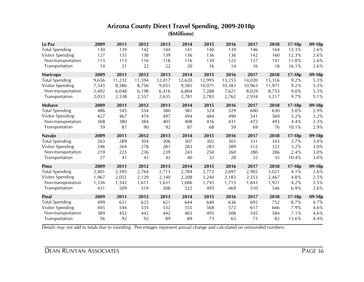### **Arizona County Direct Travel Spending, 2009-2018p (\$Millions)**

| La Paz                | 2009  | 2011          | 2012          | 2013          | 2014          | 2015          | 2016          | 2017   | 2018          | $17 - 18p$       | 09-18p         |
|-----------------------|-------|---------------|---------------|---------------|---------------|---------------|---------------|--------|---------------|------------------|----------------|
| <b>Total Spending</b> | 130   | 139           | 142           | 144           | 141           | 140           | 139           | 146    | 164           | 12.3%            | 2.6%           |
| Visitor Spending      | 127   | 135           | 138           | 139           | 136           | 136           | 136           | 142    | 160           | 12.3%            | 2.6%           |
| Non-transportation    | 113   | 113           | 116           | 118           | 116           | 120           | 122           | 127    | 141           | 11.8%            | 2.6%           |
| Transportation        | 14    | 21            | 22            | 22            | 20            | 16            | 14            | 16     | 18            | 16.1%            | 2.6%           |
| <b>Maricopa</b>       | 2009  | 2011          | 2012          | 2013          | 2014          | 2015          | 2016          | 2017   | 2018          | $17-18p$         | 09-18p         |
| <b>Total Spending</b> | 9,656 | 11,232        | 11,594        | 12,017        | 12,620        | 12,995        | 13,255        | 14,020 | 15,316        | 9.2%             | 5.3%           |
| Visitor Spending      | 7,545 | 8,586         | 8,756         | 9,051         | 9,585         | 10,071        | 10,383        | 10,963 | 11,971        | 9.2%             | 5.3%           |
| Non-transportation    | 5,492 | 6,048         | 6,198         | 6,416         | 6,804         | 7,288         | 7,621         | 8,029  | 8,753         | 9.0%             | 5.3%           |
| Transportation        | 2,053 | 2,538         | 2,557         | 2,635         | 2,781         | 2,783         | 2,762         | 2,934  | 3,217         | 9.7%             | 5.1%           |
| <b>Mohave</b>         | 2009  | 2011          | 2012          | 2013          | 2014          | 2015          | 2016          | 2017   | 2018          | $17-18p$         | 09-18p         |
| <b>Total Spending</b> | 486   | 545           | 554           | 580           | 581           | 524           | 529           | 600    | 630           | 5.0%             | 2.9%           |
| Visitor Spending      | 427   | 467           | 474           | 497           | 494           | 484           | 490           | 541    | 569           | 5.2%             | 3.2%           |
| Non-transportation    | 368   | 380           | 384           | 405           | 408           | 416           | 431           | 472    | 493           | 4.4%             | 3.3%           |
| Transportation        | 59    | 87            | 90            | 92            | 87            | 68            | 59            | 69     | 76            | 10.1%            | 2.9%           |
| Navajo                | 2009  | 2011          | 2012          | 2013          | 2014          | 2015          | 2016          | 2017   | 2018          | $17-18p$         | 09-18p         |
| <b>Total Spending</b> | 263   | 289           | 304           | 306           | 307           | 302           | 305           | 331    | 343           | 3.7%             | 3.0%           |
| Visitor Spending      | 246   | 264           | 278           | 281           | 283           | 283           | 289           | 312    | 322           | 3.2%             | 3.0%           |
| Non-transportation    |       |               |               |               |               |               |               |        |               |                  |                |
|                       | 219   | 223           | 236           | 239           | 243           | 250           | 260           | 280    | 286           | 2.4%             | 3.0%           |
| Transportation        | 27    | 41            | 43            | 42            | 40            | 32            | 28            | 32     | 35            | 10.4%            | 3.0%           |
| Pima                  | 2009  |               |               |               |               |               |               | 2017   |               |                  |                |
| <b>Total Spending</b> | 2,401 | 2011<br>2,595 | 2012<br>2,764 | 2013<br>2,713 | 2014<br>2,784 | 2015<br>2,772 | 2016<br>2,697 | 2,902  | 2018<br>3,021 | $17-18p$<br>4.1% | 09-18p<br>2.6% |
| Visitor Spending      | 1,967 | 2,051         | 2,129         | 2,140         | 2,208         | 2,240         | 2,183         | 2,353  | 2,467         | 4.8%             | 2.5%           |
| Non-transportation    | 1,536 | 1,542         | 1,611         | 1,631         | 1,686         | 1,745         | 1,713         | 1,843  | 1,921         | 4.2%             | 2.5%           |
| Transportation        | 431   | 509           | 519           | 508           | 522           | 495           | 469           | 510    | 546           | 6.9%             | 2.6%           |
| <b>Pinal</b>          | 2009  | 2011          | 2012          | 2013          | 2014          | 2015          | 2016          | 2017   | 2018          | $17-18p$         | 09-18p         |
| <b>Total Spending</b> | 499   | 631           | 625           | 621           | 644           | 640           | 636           | 692    | 752           | 8.7%             | 4.7%           |
| Visitor Spending      | 445   | 544           | 535           | 532           | 555           | 568           | 572           | 617    | 666           | 7.9%             | 4.6%           |
| Non-transportation    | 389   | 452           | 442           | 442           | 465           | 495           | 508           | 545    | 584           | 7.1%             | 4.6%           |

Details may not add to totals due to rounding. Percentages represent annual change and calculated on unrounded numbers.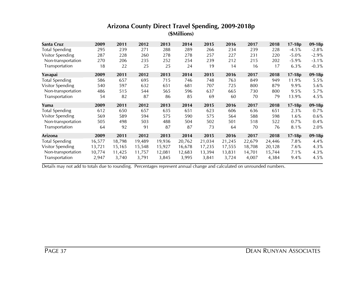|                       | (DIVILITIOITS) |        |        |        |        |        |        |        |        |            |          |  |
|-----------------------|----------------|--------|--------|--------|--------|--------|--------|--------|--------|------------|----------|--|
| Santa Cruz            | 2009           | 2011   | 2012   | 2013   | 2014   | 2015   | 2016   | 2017   | 2018   | $17 - 18p$ | 09-18p   |  |
| <b>Total Spending</b> | 295            | 239    | 271    | 288    | 289    | 266    | 234    | 239    | 228    | $-4.5\%$   | $-2.8\%$ |  |
| Visitor Spending      | 287            | 228    | 260    | 278    | 278    | 257    | 227    | 231    | 220    | $-5.0\%$   | $-2.9%$  |  |
| Non-transportation    | 270            | 206    | 235    | 252    | 254    | 239    | 212    | 215    | 202    | $-5.9\%$   | $-3.1%$  |  |
| Transportation        | 18             | 22     | 25     | 25     | 24     | 19     | 14     | 16     | 17     | $6.3\%$    | $-0.3\%$ |  |
| Yavapai               | 2009           | 2011   | 2012   | 2013   | 2014   | 2015   | 2016   | 2017   | 2018   | $17-18p$   | 09-18p   |  |
| <b>Total Spending</b> | 586            | 657    | 695    | 715    | 746    | 748    | 763    | 849    | 949    | 11.9%      | 5.5%     |  |
| Visitor Spending      | 540            | 597    | 632    | 651    | 681    | 707    | 725    | 800    | 879    | 9.9%       | 5.6%     |  |
| Non-transportation    | 486            | 515    | 544    | 565    | 596    | 637    | 665    | 730    | 800    | 9.5%       | $5.7\%$  |  |
| Transportation        | 54             | 82     | 87     | 86     | 85     | 69     | 60     | 70     | 79     | 13.9%      | 4.5%     |  |
| Yuma                  | 2009           | 2011   | 2012   | 2013   | 2014   | 2015   | 2016   | 2017   | 2018   | $17-18p$   | 09-18p   |  |
| <b>Total Spending</b> | 612            | 650    | 657    | 635    | 651    | 623    | 606    | 636    | 651    | 2.3%       | 0.7%     |  |
| Visitor Spending      | 569            | 589    | 594    | 575    | 590    | 575    | 564    | 588    | 598    | $1.6\%$    | 0.6%     |  |
| Non-transportation    | 505            | 498    | 503    | 488    | 504    | 502    | 501    | 518    | 522    | 0.7%       | 0.4%     |  |
| Transportation        | 64             | 92     | 91     | 87     | 87     | 73     | 64     | 70     | 76     | 8.1%       | 2.0%     |  |
| <b>Arizona</b>        | 2009           | 2011   | 2012   | 2013   | 2014   | 2015   | 2016   | 2017   | 2018   | $17 - 18p$ | 09-18p   |  |
| <b>Total Spending</b> | 16,577         | 18,798 | 19,489 | 19,936 | 20,762 | 21,034 | 21,245 | 22,679 | 24,446 | 7.8%       | 4.4%     |  |
| Visitor Spending      | 13,721         | 15,165 | 15,548 | 15,927 | 16,678 | 17,235 | 17,555 | 18,708 | 20,128 | $7.6\%$    | 4.3%     |  |
| Non-transportation    | 10,774         | 11,425 | 11,757 | 12,081 | 12,683 | 13,394 | 13,831 | 14,701 | 15,744 | $7.1\%$    | 4.3%     |  |
| Transportation        | 2,947          | 3,740  | 3,791  | 3,845  | 3,995  | 3,841  | 3,724  | 4,007  | 4,384  | 9.4%       | 4.5%     |  |

#### **Arizona County Direct Travel Spending, 2009-2018p (\$Millions)**

Details may not add to totals due to rounding. Percentages represent annual change and calculated on unrounded numbers.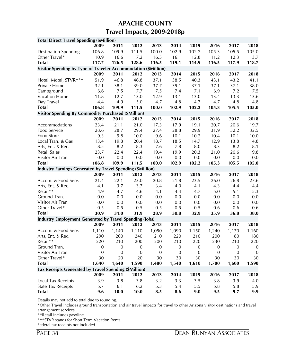### **APACHE COUNTY Travel Impacts, 2009-2018p**

| <b>Total Direct Travel Spending (\$Million)</b>                   |                  |       |                  |                  |                  |                  |                  |             |                  |
|-------------------------------------------------------------------|------------------|-------|------------------|------------------|------------------|------------------|------------------|-------------|------------------|
|                                                                   | 2009             | 2011  | 2012             | 2013             | 2014             | 2015             | 2016             | 2017        | 2018             |
| <b>Destination Spending</b>                                       | 106.8            | 109.9 | 111.5            | 100.0            | 102.9            | 102.2            | 105.3            | 105.5       | 105.0            |
| Other Travel*                                                     | 10.9             | 16.6  | 17.2             | 16.5             | 16.1             | 12.8             | 11.2             | 12.3        | 13.7             |
| <b>Total</b>                                                      | 117.7            | 126.5 | 128.6            | 116.5            | 119.1            | 114.9            | 116.5            | 117.9       | 118.7            |
| Visitor Spending by Type of Traveler Accommodation (\$Million)    |                  |       |                  |                  |                  |                  |                  |             |                  |
|                                                                   | 2009             | 2011  | 2012             | 2013             | 2014             | 2015             | 2016             | 2017        | 2018             |
| Hotel, Motel, STVR***                                             | 51.9             | 46.8  | 46.8             | 37.1             | 38.5             | 40.3             | 43.1             | 43.2        | 41.1             |
| Private Home                                                      | 32.1             | 38.1  | 39.0             | 37.7             | 39.1             | 37.1             | 37.1             | 37.1        | 38.0             |
| Campground                                                        | 6.6              | 7.5   | 7.7              | 7.5              | 7.4              | 7.1              | 6.9              | 7.2         | 7.5              |
| Vacation Home                                                     | 11.8             | 12.7  | 13.0             | 12.9             | 13.1             | 13.0             | 13.4             | 13.3        | 13.6             |
| Day Travel                                                        | 4.4              | 4.9   | 5.0              | 4.7              | 4.8              | 4.7              | 4.7              | 4.8         | 4.8              |
| <b>Total</b>                                                      | 106.8            | 109.9 | 111.5            | 100.0            | 102.9            | 102.2            | 105.3            | 105.5       | 105.0            |
| <b>Visitor Spending By Commodity Purchased (\$Million)</b>        |                  |       |                  |                  |                  |                  |                  |             |                  |
|                                                                   | 2009             | 2011  | 2012             | 2013             | 2014             | 2015             | 2016             | 2017        | 2018             |
| Accommodations                                                    | 23.4             | 21.1  | 21.0             | 17.3             | 17.9             | 19.1             | 20.7             | 20.6        | 19.7             |
| <b>Food Service</b>                                               | 28.6             | 28.7  | 29.4             | 27.4             | 28.8             | 29.9             | 31.9             | 32.2        | 32.5             |
| Food Stores                                                       | 9.3              | 9.8   | 10.0             | 9.6              | 10.1             | 10.2             | 10.4             | 10.1        | 10.0             |
| Local Tran. & Gas                                                 | 13.4             | 19.8  | 20.4             | 18.7             | 18.5             | 14.7             | 12.9             | 13.8        | 14.8             |
| Arts, Ent. & Rec.                                                 | 8.5              | 8.2   | 8.3              | 7.6              | 7.8              | 8.0              | 8.3              | 8.2         | 8.1              |
| <b>Retail Sales</b>                                               | 23.7             | 22.4  | 22.4             | 19.4             | 19.9             | 20.3             | 21.0             | 20.6        | 19.8             |
| Visitor Air Tran.                                                 | 0.0              | 0.0   | 0.0              | 0.0              | 0.0              | 0.0              | 0.0              | 0.0         | 0.0              |
| <b>Total</b>                                                      | 106.8            | 109.9 | 111.5            | 100.0            | 102.9            | 102.2            | 105.3            | 105.5       | 105.0            |
| <b>Industry Earnings Generated by Travel Spending (\$Million)</b> |                  |       |                  |                  |                  |                  |                  |             |                  |
|                                                                   | 2009             | 2011  | 2012             | 2013             | 2014             | 2015             | 2016             | 2017        | 2018             |
| Accom. & Food Serv.                                               | 21.4             | 22.1  | 23.0             | 20.8             | 21.8             | 23.5             | 26.0             | 26.8        | 27.6             |
| Arts, Ent. & Rec.                                                 | 4.1              | 3.7   | 3.7              | 3.4              | 4.0              | 4.1              | 4.3              | 4.4         | 4.4              |
| Retail**                                                          | 4.9              | 4.7   | 4.6              | 4.1              | 4.4              | 4.7              | 5.0              | 5.1         | 5.3              |
| Ground Tran.                                                      | 0.0              | 0.0   | 0.0              | 0.0              | 0.0              | 0.0              | 0.0              | 0.0         | 0.0              |
| Visitor Air Tran.                                                 | 0.0              | 0.0   | 0.0              | 0.0              | 0.0              | 0.0              | 0.0              | 0.0         | 0.0              |
| Other Travel*                                                     | 0.5              | 0.5   | 0.5              | 0.5              | 0.5              | 0.5              | 0.6              | 0.6         | 0.6              |
| <b>Total</b>                                                      | 30.9             | 31.0  | 31.9             | 28.9             | 30.8             | 32.9             | 35.9             | 36.8        | 38.0             |
| <b>Industry Employment Generated by Travel Spending (Jobs)</b>    |                  |       |                  |                  |                  |                  |                  |             |                  |
|                                                                   | 2009             | 2011  | 2012             | 2013             | 2014             | 2015             | 2016             | 2017        | 2018             |
| Accom. & Food Serv.                                               | 1,110            | 1,140 | 1,110            | 1,050            | 1,090            | 1,150            | 1,240            | 1,170       | 1,160            |
| Arts, Ent. & Rec.                                                 | 290              | 260   | 240              | 210              | 220              | 210              | 200              | 180         | 180              |
| Retail**                                                          | 220              | 210   | 200              | 200              | 210              | 220              | 230              | 210         | 220              |
| Ground Tran.                                                      | $\boldsymbol{0}$ | 0     | $\boldsymbol{0}$ | $\boldsymbol{0}$ | $\boldsymbol{0}$ | $\boldsymbol{0}$ | $\boldsymbol{0}$ | $\mathbf 0$ | $\boldsymbol{0}$ |
| Visitor Air Tran.                                                 | 0                | 0     | $\overline{0}$   | 0                | $\mathbf 0$      | 0                | 0                | 0           | 0                |
| Other Travel*                                                     | 30               | 20    | 20               | 30               | 30               | 30               | 30               | 30          | 30               |
| <b>Total</b>                                                      | 1,640            | 1,640 | 1,590            | 1,480            | 1,540            | 1,610            | 1,700            | 1,600       | 1,590            |
| Tax Receipts Generated by Travel Spending (\$Million)             |                  |       |                  |                  |                  |                  |                  |             |                  |
|                                                                   | 2009             | 2011  | 2012             | 2013             | 2014             | 2015             | 2016             | 2017        | 2018             |
| Local Tax Receipts                                                | 3.9              | 3.8   | 3.8              | 3.2              | 3.3              | 3.5              | 3.8              | 3.9         | 4.0              |
| <b>State Tax Receipts</b>                                         | 5.7              | 6.1   | 6.2              | 5.3              | 5.4              | 5.5              | 5.8              | 5.8         | 5.9              |
| <b>Total</b>                                                      | 9.6              | 10.0  | 10.0             | 8.5              | 8.6              | 9.0              | 9.5              | 9.7         | 9.9              |

Details may not add to total due to rounding.

\*Other Travel includes ground transportation and air travel impacts for travel to other Arizona visitor destinations and travel arrangement services.

\*\*Retail includes gasoline.

\*\*\*STVR stands for Short Term Vacation Rental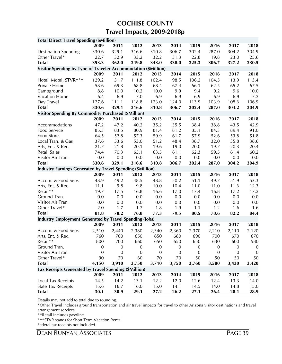# **COCHISE COUNTY Travel Impacts, 2009-2018p**

| <b>Total Direct Travel Spending (\$Million)</b>                   |                  |                  |              |                  |                  |             |       |                  |                  |
|-------------------------------------------------------------------|------------------|------------------|--------------|------------------|------------------|-------------|-------|------------------|------------------|
|                                                                   | 2009             | 2011             | 2012         | 2013             | 2014             | 2015        | 2016  | 2017             | 2018             |
| <b>Destination Spending</b>                                       | 330.6            | 329.1            | 316.6        | 310.8            | 306.7            | 302.4       | 287.0 | 304.2            | 304.9            |
| Other Travel*                                                     | 22.7             | 32.9             | 33.2         | 32.2             | 31.3             | 22.8        | 19.8  | 23.0             | 25.6             |
| <b>Total</b>                                                      | 353.3            | 362.0            | 349.8        | 343.0            | 338.0            | 325.3       | 306.7 | 327.2            | 330.5            |
| Visitor Spending by Type of Traveler Accommodation (\$Million)    |                  |                  |              |                  |                  |             |       |                  |                  |
|                                                                   | 2009             | 2011             | 2012         | 2013             | 2014             | 2015        | 2016  | 2017             | 2018             |
| Hotel, Motel, STVR***                                             | 129.2            | 131.7            | 111.8        | 102.4            | 98.5             | 106.2       | 104.5 | 113.9            | 113.4            |
| Private Home                                                      | 58.6             | 69.3             | 68.8         | 68.4             | 67.4             | 66.1        | 62.5  | 65.2             | 67.5             |
| Campground                                                        | 8.8              | 10.0             | 10.2         | 10.0             | 9.9              | 9.4         | 9.2   | 9.6              | 10.0             |
| <b>Vacation Home</b>                                              | 6.4              | 6.9              | 7.0          | 6.9              | 6.9              | 6.9         | 6.9   | 6.9              | 7.2              |
| Day Travel                                                        | 127.6            | 111.1            | 118.8        | 123.0            | 124.0            | 113.9       | 103.9 | 108.6            | 106.9            |
| <b>Total</b>                                                      | 330.6            | 329.1            | 316.6        | 310.8            | 306.7            | 302.4       | 287.0 | 304.2            | 304.9            |
| <b>Visitor Spending By Commodity Purchased (\$Million)</b>        |                  |                  |              |                  |                  |             |       |                  |                  |
|                                                                   | 2009             | 2011             | 2012         | 2013             | 2014             | 2015        | 2016  | 2017             | 2018             |
| Accommodations                                                    | 47.2             | 47.2             | 40.2         | 35.2             | 35.5             | 38.4        | 38.8  | 43.5             | 42.9             |
| Food Service                                                      | 85.3             | 83.5             | 80.9         | 81.4             | 81.2             | 85.1        | 84.3  | 89.4             | 91.0             |
| Food Stores                                                       | 64.5             | 52.8             | 57.3         | 59.9             | 61.7             | 57.9        | 52.6  | 53.8             | 51.8             |
| Local Tran. & Gas                                                 | 37.6             | 53.6             | 53.0         | 51.2             | 48.4             | 38.7        | 32.0  | 35.8             | 38.6             |
| Arts, Ent. & Rec.                                                 | 21.7             | 21.8             | 20.1         | 19.6             | 19.0             | 20.0        | 19.7  | 20.3             | 20.4             |
| <b>Retail Sales</b>                                               | 74.4             | 70.3             | 65.1         | 63.5             | 61.1             | 62.3        | 59.5  | 61.4             | 60.2             |
| Visitor Air Tran.                                                 | 0.0              | 0.0              | 0.0          | 0.0              | 0.0              | 0.0         | 0.0   | 0.0              | 0.0              |
| <b>Total</b>                                                      | 330.6            | 329.1            | 316.6        | 310.8            | 306.7            | 302.4       | 287.0 | 304.2            | 304.9            |
| <b>Industry Earnings Generated by Travel Spending (\$Million)</b> |                  |                  |              |                  |                  |             |       |                  |                  |
|                                                                   | 2009             | 2011             | 2012         | 2013             | 2014             | 2015        | 2016  | 2017             | 2018             |
| Accom. & Food Serv.                                               | 48.9             | 49.2             | 48.5         | 48.8             | 50.2             | 51.1        | 49.7  | 51.9             | 53.3             |
| Arts, Ent. & Rec.                                                 | 11.1             | 9.8              | 9.8          | 10.0             | 10.4             | 11.0        | 11.0  | 11.6             | 12.3             |
| Retail**                                                          | 19.7             | 17.5             | 16.8         | 16.6             | 17.0             | 17.4        | 16.8  | 17.2             | 17.2             |
| Ground Tran.                                                      | 0.0              | 0.0              | 0.0          | 0.0              | 0.0              | 0.0         | 0.0   | 0.0              | 0.0              |
| Visitor Air Tran.                                                 | 0.0              | 0.0              | 0.0          | 0.0              | 0.0              | 0.0         | 0.0   | 0.0              | 0.0              |
| Other Travel*                                                     | 2.0              | 1.7              | 1.7          | 1.8              | 1.9              | 1.1         | 1.2   | 1.6              | 1.6              |
| <b>Total</b>                                                      | 81.8             | 78.2             | 76.8         | 77.3             | 79.5             | 80.5        | 78.6  | 82.2             | 84.4             |
| <b>Industry Employment Generated by Travel Spending (Jobs)</b>    |                  |                  |              |                  |                  |             |       |                  |                  |
|                                                                   | 2009             | 2011             | 2012         | 2013             | 2014             | 2015        | 2016  | 2017             | 2018             |
| Accom. & Food Serv.                                               | 2,510            | 2,440            | 2,380        | 2,340            | 2,360            | 2,370       | 2,210 | 2,110            | 2,120            |
| Arts, Ent. & Rec.                                                 | 760              | 700              | 650          | 650              | 680              | 690         | 700   | 670              | 670              |
| Retail**                                                          | 800              | 700              | 660          | 650              | 650              | 650         | 630   | 600              | 580              |
| Ground Tran.                                                      | $\boldsymbol{0}$ | $\boldsymbol{0}$ | 0            | $\boldsymbol{0}$ | $\boldsymbol{0}$ | 0           | 0     | $\boldsymbol{0}$ | $\boldsymbol{0}$ |
| Visitor Air Tran.                                                 | 0                | $\mathbf{0}$     | $\mathbf{0}$ | $\boldsymbol{0}$ | 0                | $\mathbf 0$ | 0     | $\mathbf 0$      | $\boldsymbol{0}$ |
| Other Travel*                                                     | 90               | 70               | 60           | 70               | 70               | 50          | 50    | 50               | 50               |
| <b>Total</b>                                                      | 4,150            | 3,910            | 3,750        | 3,710            | 3,750            | 3,760       | 3,580 | 3,430            | 3,420            |
| Tax Receipts Generated by Travel Spending (\$Million)             |                  |                  |              |                  |                  |             |       |                  |                  |
|                                                                   | 2009             | 2011             | 2012         | 2013             | 2014             | 2015        | 2016  | 2017             | 2018             |
| Local Tax Receipts                                                | 14.5             | 14.2             | 13.1         | 12.2             | 12.0             | 12.6        | 12.4  | 13.3             | 14.0             |
| <b>State Tax Receipts</b>                                         | 15.6             | 16.7             | 16.0         | 15.0             | 14.1             | 14.5        | 14.0  | 14.8             | 15.0             |
| <b>Total</b>                                                      | 30.1             | 30.9             | 29.1         | 27.2             | 26.2             | 27.1        | 26.4  | 28.1             | 28.9             |

Details may not add to total due to rounding.

\*Other Travel includes ground transportation and air travel impacts for travel to other Arizona visitor destinations and travel arrangement services.

\*\*Retail includes gasoline.

\*\*\*STVR stands for Short Term Vacation Rental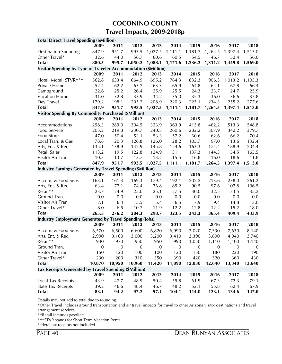# **COCONINO COUNTY Travel Impacts, 2009-2018p**

| <b>Total Direct Travel Spending (\$Million)</b>                   |                  |                  |         |                  |                  |                  |                  |                  |                  |
|-------------------------------------------------------------------|------------------|------------------|---------|------------------|------------------|------------------|------------------|------------------|------------------|
|                                                                   | 2009             | 2011             | 2012    | 2013             | 2014             | 2015             | 2016             | 2017             | 2018             |
| <b>Destination Spending</b>                                       | 847.9            | 951.7            | 993.5   | 1,027.5          | 1,111.1          | 1,181.7          | 1,264.5          | 1,397.4          | 1,513.0          |
| Other Travel*                                                     | 32.6             | 44.0             | 56.7    | 60.6             | 60.5             | 54.5             | 46.7             | 52.4             | 56.0             |
| <b>Total</b>                                                      | 880.5            | 995.7            | 1,050.2 | 1,088.1          | 1,171.6          | 1,236.2          | 1,311.2          | 1,449.8          | 1,569.0          |
| Visitor Spending by Type of Traveler Accommodation (\$Million)    |                  |                  |         |                  |                  |                  |                  |                  |                  |
|                                                                   | 2009             | 2011             | 2012    | 2013             | 2014             | 2015             | 2016             | 2017             | 2018             |
| Hotel, Motel, STVR***                                             | 562.8            | 633.4            | 664.9   | 695.2            | 764.3            | 832.3            | 906.3            | 1,013.2          | 1,105.3          |
| Private Home                                                      | 52.4             | 62.2             | 63.2    | 63.3             | 65.9             | 64.8             | 64.1             | 67.8             | 66.4             |
| Campground                                                        | 22.6             | 25.2             | 26.4    | 25.9             | 25.5             | 24.3             | 23.7             | 24.7             | 25.9             |
| Vacation Home                                                     | 31.0             | 32.8             | 33.9    | 34.2             | 35.0             | 35.3             | 36.0             | 36.6             | 37.8             |
| Day Travel                                                        | 179.2            | 198.1            | 205.2   | 208.9            | 220.3            | 225.1            | 234.3            | 255.2            | 277.6            |
| <b>Total</b>                                                      | 847.9            | 951.7            | 993.5   | 1,027.5          | 1,111.1          | 1,181.7          | 1,264.5          | 1,397.4          | 1,513.0          |
| <b>Visitor Spending By Commodity Purchased (\$Million)</b>        |                  |                  |         |                  |                  |                  |                  |                  |                  |
|                                                                   | 2009             | 2011             | 2012    | 2013             | 2014             | 2015             | 2016             | 2017             | 2018             |
| Accommodations                                                    | 258.3            | 289.0            | 304.5   | 323.9            | 363.9            | 415.8            | 462.2            | 513.3            | 548.8            |
| Food Service                                                      | 205.2            | 219.8            | 230.7   | 240.5            | 260.6            | 282.2            | 307.9            | 342.2            | 379.7            |
| Food Stores                                                       | 47.0             | 50.4             | 52.1    | 53.3             | 57.2             | 60.6             | 62.6             | 66.2             | 70.4             |
| Local Tran. & Gas                                                 | 78.8             | 120.3            | 126.8   | 126.0            | 128.2            | 105.7            | 97.0             | 113.6            | 132.4            |
| Arts, Ent. & Rec.                                                 | 135.1            | 138.9            | 142.9   | 145.8            | 154.6            | 163.3            | 174.4            | 188.9            | 204.4            |
| <b>Retail Sales</b>                                               | 113.2            | 119.5            | 122.8   | 124.9            | 131.1            | 137.3            | 144.3            | 154.5            | 165.5            |
| Visitor Air Tran.                                                 | 10.3             | 13.7             | 13.7    | 13.2             | 15.5             | 16.8             | 16.0             | 18.6             | 11.8             |
| <b>Total</b>                                                      | 847.9            | 951.7            | 993.5   | 1,027.5          | 1,111.1          | 1,181.7          | 1,264.5          | 1,397.4          | 1,513.0          |
| <b>Industry Earnings Generated by Travel Spending (\$Million)</b> |                  |                  |         |                  |                  |                  |                  |                  |                  |
|                                                                   | 2009             | 2011             | 2012    | 2013             | 2014             | 2015             | 2016             | 2017             | 2018             |
| Accom. & Food Serv.                                               | 163.1            | 161.3            | 169.3   | 179.4            | 192.1            | 202.2            | 213.6            | 238.0            | 261.2            |
| Arts, Ent. & Rec.                                                 | 63.4             | 77.1             | 74.4    | 76.8             | 85.2             | 90.5             | 97.6             | 107.8            | 106.5            |
| Retail**                                                          | 23.7             | 24.9             | 25.0    | 25.1             | 27.5             | 30.0             | 32.5             | 33.5             | 35.2             |
| Ground Tran.                                                      | 0.0              | 0.0              | 0.0     | 0.0              | 0.0              | 0.0              | 0.0              | 0.0              | 0.0              |
| Visitor Air Tran.                                                 | 7.1              | 6.4              | 5.5     | 5.4              | 6.5              | 7.9              | 9.4              | 14.8             | 13.0             |
| Other Travel*                                                     | 8.0              | 6.5              | 10.2    | 11.9             | 12.2             | 12.8             | 12.2             | 15.2             | 18.0             |
| <b>Total</b>                                                      | 265.3            | 276.2            | 284.3   | 298.7            | 323.5            | 343.3            | 365.4            | 409.4            | 433.9            |
| <b>Industry Employment Generated by Travel Spending (Jobs)</b>    |                  |                  |         |                  |                  |                  |                  |                  |                  |
|                                                                   | 2009             | 2011             | 2012    | 2013             | 2014             | 2015             | 2016             | 2017             | 2018             |
| Accom. & Food Serv.                                               | 6,570            | 6,500            | 6,600   | 6,820            | 6,990            | 7,020            | 7,330            | 7,630            | 8,140            |
| Arts, Ent. & Rec.                                                 | 2,990            | 3,160            | 3,000   | 3,200            | 3,410            | 3,390            | 3,690            | 4,040            | 3,740            |
| Retail**                                                          | 940              | 970              | 950     | 950              | 990              | 1,050            | 1,110            | 1,100            | 1,140            |
| Ground Tran.                                                      | $\boldsymbol{0}$ | $\boldsymbol{0}$ | 0       | $\boldsymbol{0}$ | $\boldsymbol{0}$ | $\boldsymbol{0}$ | $\boldsymbol{0}$ | $\boldsymbol{0}$ | $\boldsymbol{0}$ |
| Visitor Air Tran.                                                 | 150              | 120              | 100     | 100              | 120              | 150              | 180              | 220              | 190              |
| Other Travel*                                                     | 230              | 200              | 310     | 350              | 390              | 420              | 320              | 360              | 430              |
| <b>Total</b>                                                      | 10,870           | 10,950           | 10,960  | 11,420           | 11,890           | 12,030           | 12,640           | 13,340           | 13,640           |
| <b>Tax Receipts Generated by Travel Spending (\$Million)</b>      |                  |                  |         |                  |                  |                  |                  |                  |                  |
|                                                                   | 2009             | 2011             | 2012    | 2013             | 2014             | 2015             | 2016             | 2017             | 2018             |
| Local Tax Receipts                                                | 43.9             | 47.7             | 48.9    | 50.4             | 55.8             | 61.9             | 67.3             | 72.3             | 79.1             |
| <b>State Tax Receipts</b>                                         | 39.2             | 46.6             | 48.4    | 46.7             | 48.2             | 52.1             | 55.8             | 62.4             | 67.9             |
| <b>Total</b>                                                      | 83.1             | 94.2             | 97.2    | 97.1             | 104.1            | 114.0            | 123.1            | 134.6            | 147.0            |

Details may not add to total due to rounding.

\*Other Travel includes ground transportation and air travel impacts for travel to other Arizona visitor destinations and travel arrangement services.

\*\*Retail includes gasoline.

\*\*\*STVR stands for Short Term Vacation Rental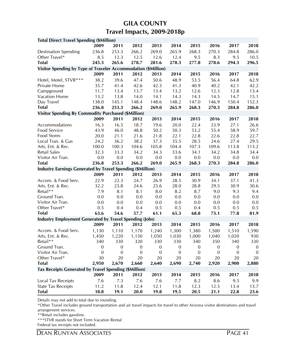## **GILA COUNTY Travel Impacts, 2009-2018p**

| <b>Total Direct Travel Spending (\$Million)</b>                   |                  |              |       |                  |                  |       |       |                  |                  |
|-------------------------------------------------------------------|------------------|--------------|-------|------------------|------------------|-------|-------|------------------|------------------|
|                                                                   | 2009             | 2011         | 2012  | 2013             | 2014             | 2015  | 2016  | 2017             | 2018             |
| <b>Destination Spending</b>                                       | 236.8            | 253.3        | 266.2 | 269.0            | 265.9            | 268.3 | 270.3 | 284.8            | 286.0            |
| Other Travel*                                                     | 8.5              | 12.3         | 12.5  | 12.6             | 12.4             | 9.5   | 8.3   | 9.5              | 10.5             |
| <b>Total</b>                                                      | 245.3            | 265.6        | 278.7 | 281.6            | 278.3            | 277.8 | 278.6 | 294.3            | 296.5            |
| Visitor Spending by Type of Traveler Accommodation (\$Million)    |                  |              |       |                  |                  |       |       |                  |                  |
|                                                                   | 2009             | 2011         | 2012  | 2013             | 2014             | 2015  | 2016  | 2017             | 2018             |
| Hotel, Motel, STVR***                                             | 38.2             | 39.6         | 47.4  | 50.6             | 48.9             | 53.5  | 56.4  | 64.8             | 62.9             |
| Private Home                                                      | 35.7             | 41.4         | 42.6  | 42.3             | 41.3             | 40.9  | 40.2  | 42.1             | 42.2             |
| Campground                                                        | 11.7             | 13.4         | 13.7  | 13.4             | 13.2             | 12.6  | 12.3  | 12.8             | 13.4             |
| <b>Vacation Home</b>                                              | 13.2             | 13.8         | 14.0  | 14.1             | 14.3             | 14.3  | 14.5  | 14.7             | 15.1             |
| Day Travel                                                        | 138.0            | 145.1        | 148.4 | 148.6            | 148.2            | 147.0 | 146.9 | 150.4            | 152.3            |
| <b>Total</b>                                                      | 236.8            | 253.3        | 266.2 | 269.0            | 265.9            | 268.3 | 270.3 | 284.8            | 286.0            |
| <b>Visitor Spending By Commodity Purchased (\$Million)</b>        |                  |              |       |                  |                  |       |       |                  |                  |
|                                                                   | 2009             | 2011         | 2012  | 2013             | 2014             | 2015  | 2016  | 2017             | 2018             |
| Accommodations                                                    | 16.3             | 16.5         | 18.7  | 19.6             | 20.0             | 22.4  | 23.9  | 27.1             | 26.6             |
| Food Service                                                      | 43.9             | 46.0         | 48.8  | 50.2             | 50.3             | 53.2  | 55.4  | 58.9             | 59.7             |
| Food Stores                                                       | 20.0             | 21.1         | 21.6  | 21.8             | 22.1             | 22.8  | 22.6  | 22.8             | 22.7             |
| Local Tran. & Gas                                                 | 24.2             | 36.2         | 38.2  | 37.3             | 35.5             | 28.5  | 24.6  | 27.4             | 29.5             |
| Arts, Ent. & Rec.                                                 | 100.0            | 100.3        | 104.6 | 105.8            | 104.4            | 107.3 | 109.6 | 113.8            | 113.2            |
| <b>Retail Sales</b>                                               | 32.3             | 33.3         | 34.2  | 34.3             | 33.6             | 34.1  | 34.2  | 34.8             | 34.4             |
| Visitor Air Tran.                                                 | 0.0              | 0.0          | 0.0   | 0.0              | 0.0              | 0.0   | 0.0   | 0.0              | 0.0              |
| <b>Total</b>                                                      | 236.8            | 253.3        | 266.2 | 269.0            | 265.9            | 268.3 | 270.3 | 284.8            | 286.0            |
| <b>Industry Earnings Generated by Travel Spending (\$Million)</b> |                  |              |       |                  |                  |       |       |                  |                  |
|                                                                   | 2009             | 2011         | 2012  | 2013             | 2014             | 2015  | 2016  | 2017             | 2018             |
| Accom. & Food Serv.                                               | 22.9             | 22.3         | 24.7  | 26.9             | 28.5             | 30.9  | 34.1  | 37.1             | 41.3             |
| Arts, Ent. & Rec.                                                 | 32.2             | 23.8         | 24.6  | 25.6             | 28.0             | 28.8  | 29.5  | 30.9             | 30.6             |
| Retail**                                                          | 7.9              | 8.1          | 8.1   | 8.0              | 8.2              | 8.7   | 9.0   | 9.3              | 9.4              |
| Ground Tran.                                                      | 0.0              | 0.0          | 0.0   | 0.0              | 0.0              | 0.0   | 0.0   | 0.0              | 0.0              |
| Visitor Air Tran.                                                 | 0.0              | 0.0          | 0.0   | 0.0              | 0.0              | 0.0   | 0.0   | 0.0              | 0.0              |
| Other Travel*                                                     | 0.5              | 0.4          | 0.4   | 0.5              | 0.5              | 0.4   | 0.5   | 0.5              | 0.5              |
| <b>Total</b>                                                      | 63.6             | 54.6         | 57.7  | 61.1             | 65.3             | 68.8  | 73.1  | 77.8             | 81.9             |
| <b>Industry Employment Generated by Travel Spending (Jobs)</b>    |                  |              |       |                  |                  |       |       |                  |                  |
|                                                                   | 2009             | 2011         | 2012  | 2013             | 2014             | 2015  | 2016  | 2017             | 2018             |
| Accom. & Food Serv.                                               | 1,130            | 1,110        | 1,170 | 1,240            | 1,300            | 1,380 | 1,500 | 1,510            | 1,590            |
| Arts, Ent. & Rec.                                                 | 1,450            | 1,220        | 1,150 | 1,050            | 1,030            | 1,000 | 1,040 | 1,020            | 930              |
| Retail**                                                          | 340              | 330          | 320   | 330              | 330              | 340   | 350   | 340              | 330              |
| Ground Tran.                                                      | $\boldsymbol{0}$ | 0            | 0     | $\boldsymbol{0}$ | $\boldsymbol{0}$ | 0     | 0     | $\boldsymbol{0}$ | $\boldsymbol{0}$ |
| Visitor Air Tran.                                                 | 0                | $\mathbf{0}$ | 0     | 0                | 0                | 0     | 0     | $\mathbf 0$      | $\boldsymbol{0}$ |
| Other Travel*                                                     | 30               | 20           | 20    | 20               | 20               | 20    | 20    | 20               | 20               |
| <b>Total</b>                                                      | 2,950            | 2,670        | 2,660 | 2,640            | 2,690            | 2,740 | 2,920 | 2,900            | 2,880            |
| <b>Tax Receipts Generated by Travel Spending (\$Million)</b>      |                  |              |       |                  |                  |       |       |                  |                  |
|                                                                   | 2009             | 2011         | 2012  | 2013             | 2014             | 2015  | 2016  | 2017             | 2018             |
| Local Tax Receipts                                                | 7.6              | 7.3          | 7.6   | 7.6              | 7.7              | 8.2   | 8.6   | 9.5              | 9.9              |
| <b>State Tax Receipts</b>                                         | 11.2             | 11.8         | 12.4  | 12.1             | 11.8             | 12.3  | 12.5  | 13.4             | 13.7             |
| <b>Total</b>                                                      | 18.8             | 19.1         | 20.0  | 19.8             | 19.5             | 20.5  | 21.1  | 22.8             | 23.6             |

Details may not add to total due to rounding.

\*Other Travel includes ground transportation and air travel impacts for travel to other Arizona visitor destinations and travel arrangement services.

\*\*Retail includes gasoline.

\*\*\*STVR stands for Short Term Vacation Rental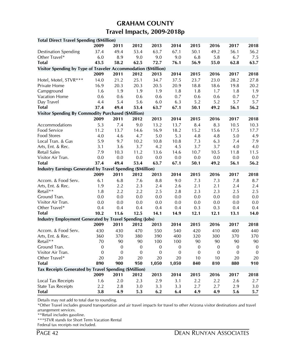# **GRAHAM COUNTY Travel Impacts, 2009-2018p**

| <b>Total Direct Travel Spending (\$Million)</b>                   |                  |                  |                |                  |                  |                  |                |                  |                  |
|-------------------------------------------------------------------|------------------|------------------|----------------|------------------|------------------|------------------|----------------|------------------|------------------|
|                                                                   | 2009             | 2011             | 2012           | 2013             | 2014             | 2015             | 2016           | 2017             | 2018             |
| <b>Destination Spending</b>                                       | 37.4             | 49.4             | 53.4           | 63.7             | 67.1             | 50.1             | 49.2           | 56.1             | 56.2             |
| Other Travel*                                                     | 6.0              | 8.9              | 9.0            | 9.0              | 9.0              | 6.8              | 5.8            | 6.7              | 7.5              |
| <b>Total</b>                                                      | 43.5             | 58.2             | 62.5           | 72.7             | 76.1             | 56.9             | 55.0           | 62.8             | 63.7             |
| Visitor Spending by Type of Traveler Accommodation (\$Million)    |                  |                  |                |                  |                  |                  |                |                  |                  |
|                                                                   | 2009             | 2011             | 2012           | 2013             | 2014             | 2015             | 2016           | 2017             | 2018             |
| Hotel, Motel, STVR***                                             | 14.0             | 21.2             | 25.1           | 34.7             | 37.5             | 23.7             | 23.0           | 28.2             | 27.8             |
| Private Home                                                      | 16.9             | 20.3             | 20.3           | 20.5             | 20.9             | 18.8             | 18.6           | 19.8             | 20.2             |
| Campground                                                        | 1.6              | 1.9              | 1.9            | 1.9              | 1.8              | 1.8              | 1.7            | 1.8              | 1.9              |
| <b>Vacation Home</b>                                              | 0.6              | 0.6              | 0.6            | 0.6              | 0.7              | 0.6              | 0.6            | 0.7              | 0.7              |
| Day Travel                                                        | 4.4              | 5.4              | 5.6            | 6.0              | 6.3              | 5.2              | 5.2            | 5.7              | 5.7              |
| <b>Total</b>                                                      | 37.4             | 49.4             | 53.4           | 63.7             | 67.1             | 50.1             | 49.2           | 56.1             | 56.2             |
| <b>Visitor Spending By Commodity Purchased (\$Million)</b>        |                  |                  |                |                  |                  |                  |                |                  |                  |
|                                                                   | 2009             | 2011             | 2012           | 2013             | 2014             | 2015             | 2016           | 2017             | 2018             |
| Accommodations                                                    | 5.3              | 7.4              | 9.0            | 13.2             | 13.7             | 8.4              | 8.3            | 10.5             | 10.3             |
| Food Service                                                      | 11.2             | 13.7             | 14.6           | 16.9             | 18.2             | 15.2             | 15.6           | 17.5             | 17.7             |
| Food Stores                                                       | 4.0              | 4.6              | 4.7            | 5.0              | 5.3              | 4.8              | 4.8            | 5.0              | 4.9              |
| Local Tran. & Gas                                                 | 5.9              | 9.7              | 10.2           | 10.8             | 10.8             | 7.3              | 6.3            | 7.4              | 7.9              |
| Arts, Ent. & Rec.                                                 | 3.1              | 3.6              | 3.7            | 4.2              | 4.5              | 3.7              | 3.7            | 4.0              | 4.0              |
| <b>Retail Sales</b>                                               | 7.9              | 10.3             | 11.2           | 13.6             | 14.6             | 10.7             | 10.5           | 11.8             | 11.5             |
| Visitor Air Tran.                                                 | 0.0              | 0.0              | 0.0            | 0.0              | 0.0              | 0.0              | 0.0            | 0.0              | 0.0              |
| <b>Total</b>                                                      | 37.4             | 49.4             | 53.4           | 63.7             | 67.1             | 50.1             | 49.2           | 56.1             | 56.2             |
| <b>Industry Earnings Generated by Travel Spending (\$Million)</b> |                  |                  |                |                  |                  |                  |                |                  |                  |
|                                                                   | 2009             | 2011             | 2012           | 2013             | 2014             | 2015             | 2016           | 2017             | 2018             |
| Accom. & Food Serv.                                               | 6.1              | 6.8              | 7.6            | 8.8              | 9.0              | 7.3              | 7.3            | 7.8              | 8.7              |
| Arts, Ent. & Rec.                                                 | 1.9              | 2.2              | 2.3            | 2.4              | 2.6              | 2.1              | 2.1            | 2.4              | 2.4              |
| Retail**                                                          | 1.8              | 2.2              | 2.2            | 2.5              | 2.8              | 2.3              | 2.3            | 2.5              | 2.5              |
| Ground Tran.                                                      | 0.0              | 0.0              | 0.0            | 0.0              | 0.0              | 0.0              | 0.0            | 0.0              | 0.0              |
| Visitor Air Tran.                                                 | 0.0              | 0.0              | 0.0            | 0.0              | 0.0              | 0.0              | 0.0            | 0.0              | 0.0              |
| Other Travel*                                                     | 0.4              | 0.4              | 0.4            | 0.4              | 0.4              | 0.3              | 0.3            | 0.4              | 0.4              |
| <b>Total</b>                                                      | 10.2             | 11.6             | 12.5           | 14.1             | 14.9             | 12.1             | 12.1           | 13.1             | 14.0             |
| <b>Industry Employment Generated by Travel Spending (Jobs)</b>    |                  |                  |                |                  |                  |                  |                |                  |                  |
|                                                                   | 2009             | 2011             | 2012           | 2013             | 2014             | 2015             | 2016           | 2017             | 2018             |
| Accom. & Food Serv.                                               | 430              | 430              | 470            | 550              | 540              | 420              | 410            | 400              | 440              |
| Arts, Ent. & Rec.                                                 | 360              | 370              | 380            | 390              | 400              | 320              | 300            | 370              | 370              |
| Retail**                                                          | 70               | 90               | 90             | 100              | 100              | 90               | 90             | 90               | 90               |
| Ground Tran.                                                      | $\boldsymbol{0}$ | $\boldsymbol{0}$ | 0              | 0                | $\boldsymbol{0}$ | $\boldsymbol{0}$ | 0              | $\boldsymbol{0}$ | $\boldsymbol{0}$ |
| Visitor Air Tran.                                                 | 0                | $\mathbf{0}$     | $\overline{0}$ | $\boldsymbol{0}$ | $\mathbf 0$      | 0                | $\overline{0}$ | 0                | $\boldsymbol{0}$ |
| Other Travel*                                                     | 20               | 20               | 20             | 20               | 20               | 10               | 10             | 20               | 20               |
| <b>Total</b>                                                      | 890              | 900              | 950            | 1,050            | 1,050            | 840              | 810            | 880              | 910              |
| <b>Tax Receipts Generated by Travel Spending (\$Million)</b>      |                  |                  |                |                  |                  |                  |                |                  |                  |
|                                                                   | 2009             | 2011             | 2012           | 2013             | 2014             | 2015             | 2016           | 2017             | 2018             |
| Local Tax Receipts                                                | 1.6              | 2.0              | 2.3            | 2.9              | 3.1              | 2.2              | 2.2            | 2.6              | 2.7              |
| <b>State Tax Receipts</b>                                         | 2.2              | 2.8              | 3.0            | 3.3              | 3.3              | 2.7              | 2.7            | 2.9              | 3.0              |
| <b>Total</b>                                                      | 3.8              | 4.9              | 5.3            | 6.2              | 6.4              | 4.9              | 4.9            | 5.6              | 5.7              |

Details may not add to total due to rounding.

\*Other Travel includes ground transportation and air travel impacts for travel to other Arizona visitor destinations and travel arrangement services.

\*\*Retail includes gasoline.

\*\*\*STVR stands for Short Term Vacation Rental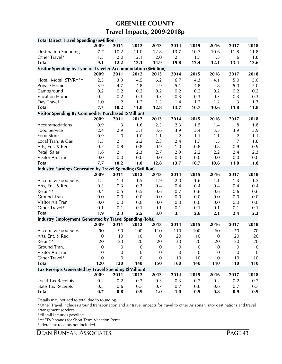### **GREENLEE COUNTY Travel Impacts, 2009-2018p**

| <b>Total Direct Travel Spending (\$Million)</b>                   |            |          |             |                  |                  |             |                  |                  |                  |
|-------------------------------------------------------------------|------------|----------|-------------|------------------|------------------|-------------|------------------|------------------|------------------|
|                                                                   | 2009       | 2011     | 2012        | 2013             | 2014             | 2015        | 2016             | 2017             | 2018             |
| <b>Destination Spending</b>                                       | 7.7        | 10.2     | 11.0        | 12.8             | 13.7             | 10.7        | 10.6             | 11.8             | 11.8             |
| Other Travel*                                                     | 1.3        | 2.0      | 2.1         | 2.0              | 2.1              | 1.7         | 1.5              | 1.6              | 1.8              |
| <b>Total</b>                                                      | 9.1        | 12.2     | 13.1        | 14.9             | 15.8             | 12.4        | 12.1             | 13.4             | 13.6             |
| Visitor Spending by Type of Traveler Accommodation (\$Million)    |            |          |             |                  |                  |             |                  |                  |                  |
|                                                                   | 2009       | 2011     | 2012        | 2013             | 2014             | 2015        | 2016             | 2017             | 2018             |
| Hotel, Motel, STVR***                                             | 2.5        | 3.9      | 4.5         | 6.2              | 6.7              | 4.3         | 4.1              | 5.0              | 5.0              |
| Private Home                                                      | 3.9        | 4.7      | 4.8         | 4.9              | 5.1              | 4.8         | 4.8              | 5.0              | 5.0              |
| Campground                                                        | 0.2        | 0.2      | 0.2         | 0.2              | 0.2              | 0.2         | 0.2              | 0.2              | 0.2              |
| Vacation Home                                                     | 0.2        | 0.2      | 0.3         | 0.3              | 0.3              | 0.3         | 0.3              | 0.3              | 0.3              |
| Day Travel                                                        | 1.0        | 1.2      | 1.2         | 1.3              | 1.4              | 1.2         | 1.2              | 1.3              | 1.3              |
| <b>Total</b>                                                      | 7.7        | 10.2     | 11.0        | 12.8             | 13.7             | 10.7        | 10.6             | 11.8             | 11.8             |
| <b>Visitor Spending By Commodity Purchased (\$Million)</b>        |            |          |             |                  |                  |             |                  |                  |                  |
|                                                                   | 2009       | 2011     | 2012        | 2013             | 2014             | 2015        | 2016             | 2017             | 2018             |
| Accommodations                                                    | 0.9        | 1.3      | 1.6         | 2.3              | 2.3              | 1.5         | 1.4              | 1.8              | 1.8              |
| Food Service                                                      | 2.4        | 2.9      | 3.1         | 3.6              | 3.9              | 3.4         | 3.5              | 3.9              | 3.9              |
| Food Stores                                                       | 0.9        | 1.0      | 1.0         | 1.1              | 1.2              | 1.1         | 1.1              | 1.2              | 1.1              |
| Local Tran. & Gas                                                 | 1.3        | 2.1      | 2.2         | 2.3              | 2.4              | 1.7         | 1.5              | 1.7              | 1.8              |
| Arts, Ent. & Rec.                                                 | 0.7        | 0.8      | 0.8         | 0.9              | 1.0              | $0.8\,$     | 0.8              | 0.9              | 0.9              |
| <b>Retail Sales</b>                                               | 1.6        | 2.1      | 2.3         | 2.7              | 2.9              | 2.2         | 2.2              | 2.4              | 2.3              |
| Visitor Air Tran.                                                 | 0.0        | 0.0      | 0.0         | 0.0              | 0.0              | 0.0         | 0.0              | 0.0              | 0.0              |
| <b>Total</b>                                                      | 7.7        | 10.2     | 11.0        | 12.8             | 13.7             | 10.7        | 10.6             | 11.8             | 11.8             |
| <b>Industry Earnings Generated by Travel Spending (\$Million)</b> |            |          |             |                  |                  |             |                  |                  |                  |
|                                                                   | 2009       | 2011     | 2012        | 2013             | 2014             | 2015        | 2016             | 2017             | 2018             |
| Accom. & Food Serv.                                               | 1.2        | 1.4      | 1.5         | 1.9              | 2.0              | 1.6         | 1.1              | 1.3              | 1.2              |
| Arts, Ent. & Rec.                                                 | 0.3        | 0.3      | 0.3         | 0.4              | 0.4              | 0.4         | 0.4              | 0.4              | 0.4              |
| Retail**                                                          | 0.4        | 0.5      | 0.5         | 0.6              | 0.7              | 0.6         | 0.6              | 0.6              | 0.6              |
| Ground Tran.                                                      | 0.0        | 0.0      | 0.0         | 0.0              | 0.0              | 0.0         | 0.0              | 0.0              | 0.0              |
| Visitor Air Tran.                                                 | 0.0        | 0.0      | 0.0         | 0.0              | 0.0              | 0.0         | 0.0              | 0.0              | 0.0              |
| Other Travel*                                                     | 0.1        | 0.1      | 0.1         | 0.1              | 0.1              | 0.1         | 0.1              | 0.1              | 0.1              |
| <b>Total</b>                                                      | 1.9        | 2.3      | 2.5         | 3.0              | 3.1              | 2.6         | 2.1              | 2.4              | 2.3              |
| <b>Industry Employment Generated by Travel Spending (Jobs)</b>    |            |          |             |                  |                  |             |                  |                  |                  |
|                                                                   | 2009       | 2011     | 2012        | 2013             | 2014             | 2015        | 2016             | 2017             | 2018             |
| Accom. & Food Serv.                                               | 90         | 90       | 100         | 110              | 110              | 100         | 60               | 70               | 70               |
| Arts, Ent. & Rec.                                                 | 10         | 10       | 10          | 10               | 20               | 10          | 10               | 20               | 20               |
| Retail**                                                          | 20         | 20       | 20          | 20               | 30               | 20          | 20               | 20               | 20               |
| Ground Tran.                                                      | 0          | 0        | $\mathbf 0$ | $\boldsymbol{0}$ | $\boldsymbol{0}$ | $\mathbf 0$ | $\boldsymbol{0}$ | $\boldsymbol{0}$ | $\boldsymbol{0}$ |
| Visitor Air Tran.                                                 | 0          | 0        | 0           | $\mathbf 0$      | 0                | 0           | $\mathbf{0}$     | 0                | $\boldsymbol{0}$ |
| Other Travel*                                                     | 10         | $\Omega$ | 0           | $\boldsymbol{0}$ | 10               | 10          | 10               | 10               | 10               |
| <b>Total</b>                                                      | 120        | 130      | 140         | 150              | 160              | 140         | 110              | 110              | 110              |
| <b>Tax Receipts Generated by Travel Spending (\$Million)</b>      | 2009       | 2011     |             |                  | 2014             |             |                  |                  |                  |
|                                                                   |            |          | 2012        | 2013             |                  | 2015        | 2016             | 2017             | 2018             |
| Local Tax Receipts                                                | 0.2        | 0.2      | 0.2         | 0.3              | 0.3              | 0.2         | 0.2              | 0.2              | 0.2              |
| <b>State Tax Receipts</b>                                         | 0.5<br>0.7 | 0.6      | 0.7         | 0.7              | 0.7              | 0.6         | 0.6              | 0.7              | 0.7              |
| <b>Total</b>                                                      |            | 0.8      | 0.9         | 1.0              | 1.0              | 0.9         | 0.8              | 0.9              | 0.9              |

Details may not add to total due to rounding.

\*Other Travel includes ground transportation and air travel impacts for travel to other Arizona visitor destinations and travel arrangement services.

\*\*Retail includes gasoline.

\*\*\*STVR stands for Short Term Vacation Rental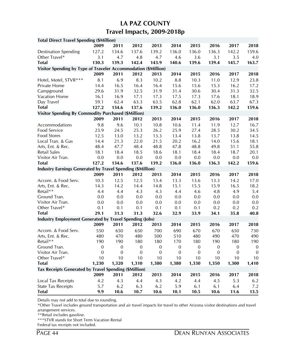# **LA PAZ COUNTY Travel Impacts, 2009-2018p**

| <b>Total Direct Travel Spending (\$Million)</b>                   |                  |       |                  |                  |                  |                  |                  |             |                  |
|-------------------------------------------------------------------|------------------|-------|------------------|------------------|------------------|------------------|------------------|-------------|------------------|
|                                                                   | 2009             | 2011  | 2012             | 2013             | 2014             | 2015             | 2016             | 2017        | 2018             |
| <b>Destination Spending</b>                                       | 127.2            | 134.6 | 137.6            | 139.2            | 136.0            | 136.0            | 136.3            | 142.2       | 159.6            |
| Other Travel*                                                     | 3.1              | 4.7   | 4.8              | 4.7              | 4.6              | 3.6              | 3.1              | 3.5         | 4.0              |
| <b>Total</b>                                                      | 130.3            | 139.3 | 142.4            | 143.9            | 140.6            | 139.6            | 139.4            | 145.7       | 163.7            |
| Visitor Spending by Type of Traveler Accommodation (\$Million)    |                  |       |                  |                  |                  |                  |                  |             |                  |
|                                                                   | 2009             | 2011  | 2012             | 2013             | 2014             | 2015             | 2016             | 2017        | 2018             |
| Hotel, Motel, STVR***                                             | 8.1              | 6.9   | 8.3              | 10.2             | 8.8              | 10.3             | 11.0             | 12.9        | 23.8             |
| Private Home                                                      | 14.4             | 16.5  | 16.4             | 16.4             | 15.6             | 15.6             | 15.3             | 16.2        | 17.2             |
| Campground                                                        | 29.6             | 31.9  | 32.5             | 31.9             | 31.4             | 30.6             | 30.4             | 31.3        | 32.5             |
| Vacation Home                                                     | 16.1             | 16.9  | 17.1             | 17.3             | 17.5             | 17.3             | 17.6             | 18.1        | 18.9             |
| Day Travel                                                        | 59.1             | 62.4  | 63.3             | 63.5             | 62.8             | 62.1             | 62.0             | 63.7        | 67.3             |
| <b>Total</b>                                                      | 127.2            | 134.6 | 137.6            | 139.2            | 136.0            | 136.0            | 136.3            | 142.2       | 159.6            |
| <b>Visitor Spending By Commodity Purchased (\$Million)</b>        |                  |       |                  |                  |                  |                  |                  |             |                  |
|                                                                   | 2009             | 2011  | 2012             | 2013             | 2014             | 2015             | 2016             | 2017        | 2018             |
| Accommodations                                                    | 9.8              | 9.6   | 10.1             | 10.8             | 10.6             | 11.4             | 11.9             | 12.7        | 16.7             |
| <b>Food Service</b>                                               | 23.9             | 24.5  | 25.3             | 26.2             | 25.9             | 27.4             | 28.5             | 30.2        | 34.5             |
| Food Stores                                                       | 12.5             | 13.0  | 13.2             | 13.3             | 13.4             | 13.8             | 13.7             | 13.8        | 14.5             |
| Local Tran. & Gas                                                 | 14.4             | 21.3  | 22.0             | 21.5             | 20.2             | 16.2             | 14.0             | 15.6        | 18.1             |
| Arts, Ent. & Rec.                                                 | 48.4             | 47.7  | 48.4             | 48.8             | 47.8             | 48.8             | 49.8             | 51.1        | 55.8             |
| <b>Retail Sales</b>                                               | 18.1             | 18.4  | 18.5             | 18.6             | 18.1             | 18.4             | 18.4             | 18.7        | 20.1             |
| Visitor Air Tran.                                                 | 0.0              | 0.0   | 0.0              | 0.0              | 0.0              | 0.0              | 0.0              | 0.0         | 0.0              |
| <b>Total</b>                                                      | 127.2            | 134.6 | 137.6            | 139.2            | 136.0            | 136.0            | 136.3            | 142.2       | 159.6            |
| <b>Industry Earnings Generated by Travel Spending (\$Million)</b> |                  |       |                  |                  |                  |                  |                  |             |                  |
|                                                                   | 2009             | 2011  | 2012             | 2013             | 2014             | 2015             | 2016             | 2017        | 2018             |
| Accom. & Food Serv.                                               | 10.3             | 12.5  | 12.5             | 13.4             | 13.3             | 13.6             | 13.3             | 14.2        | 17.0             |
| Arts, Ent. & Rec.                                                 | 14.3             | 14.2  | 14.4             | 14.8             | 15.1             | 15.5             | 15.9             | 16.5        | 18.2             |
| Retail**                                                          | 4.4              | 4.4   | 4.3              | 4.3              | 4.4              | 4.6              | 4.8              | 4.9         | 5.4              |
| Ground Tran.                                                      | 0.0              | 0.0   | 0.0              | 0.0              | 0.0              | 0.0              | 0.0              | 0.0         | 0.0              |
| Visitor Air Tran.                                                 | 0.0              | 0.0   | 0.0              | 0.0              | 0.0              | 0.0              | 0.0              | 0.0         | 0.0              |
| Other Travel*                                                     | 0.1              | 0.1   | 0.1              | 0.1              | 0.1              | 0.1              | 0.2              | 0.2         | 0.2              |
| <b>Total</b>                                                      | 29.1             | 31.3  | 31.3             | 32.6             | 32.9             | 33.9             | 34.1             | 35.8        | 40.8             |
| <b>Industry Employment Generated by Travel Spending (Jobs)</b>    |                  |       |                  |                  |                  |                  |                  |             |                  |
|                                                                   | 2009             | 2011  | 2012             | 2013             | 2014             | 2015             | 2016             | 2017        | 2018             |
| Accom. & Food Serv.                                               | 550              | 650   | 650              | 700              | 690              | 670              | 670              | 650         | 730              |
| Arts, Ent. & Rec.                                                 | 480              | 470   | 480              | 500              | 510              | 480              | 490              | 470         | 490              |
| Retail**                                                          | 190              | 190   | 180              | 180              | 170              | 180              | 190              | 180         | 190              |
| Ground Tran.                                                      | $\boldsymbol{0}$ | 0     | $\boldsymbol{0}$ | $\boldsymbol{0}$ | $\boldsymbol{0}$ | $\boldsymbol{0}$ | $\boldsymbol{0}$ | $\mathbf 0$ | $\boldsymbol{0}$ |
| Visitor Air Tran.                                                 | 0                | 0     | 0                | 0                | $\mathbf 0$      | 0                | 0                | 0           | $\mathbf 0$      |
| Other Travel*                                                     | 10               | 10    | 10               | 10               | 10               | 10               | 10               | 10          | 10               |
| <b>Total</b>                                                      | 1,230            | 1,320 | 1,310            | 1,380            | 1,380            | 1,330            | 1,350            | 1,300       | 1,410            |
| Tax Receipts Generated by Travel Spending (\$Million)             |                  |       |                  |                  |                  |                  |                  |             |                  |
|                                                                   | 2009             | 2011  | 2012             | 2013             | 2014             | 2015             | 2016             | 2017        | 2018             |
| Local Tax Receipts                                                | 4.2              | 4.3   | 4.4              | 4.3              | 4.2              | 4.4              | 4.5              | 5.3         | 6.2              |
| <b>State Tax Receipts</b>                                         | 5.7              | 6.2   | 6.3              | 6.2              | 5.9              | 6.1              | 6.1              | 6.4         | 7.2              |
| <b>Total</b>                                                      | 9.9              | 10.6  | 10.7             | 10.6             | 10.1             | 10.5             | 10.6             | 11.6        | 13.5             |

Details may not add to total due to rounding.

\*Other Travel includes ground transportation and air travel impacts for travel to other Arizona visitor destinations and travel arrangement services.

\*\*Retail includes gasoline.

\*\*\*STVR stands for Short Term Vacation Rental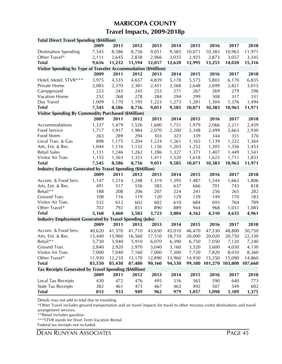### **MARICOPA COUNTY Travel Impacts, 2009-2018p**

| <b>Total Direct Travel Spending (\$Million)</b>                   |        |        |        |        |        |        |        |                                |        |
|-------------------------------------------------------------------|--------|--------|--------|--------|--------|--------|--------|--------------------------------|--------|
|                                                                   | 2009   | 2011   | 2012   | 2013   | 2014   | 2015   | 2016   | 2017                           | 2018   |
| <b>Destination Spending</b>                                       | 7,545  | 8,586  | 8,756  | 9,051  | 9,585  | 10,071 | 10,383 | 10,963                         | 11,971 |
| Other Travel*                                                     | 2,111  | 2,645  | 2,838  | 2,966  | 3,035  | 2,925  | 2,873  | 3,057                          | 3,345  |
| <b>Total</b>                                                      | 9,656  | 11,232 | 11,594 | 12,017 | 12,620 | 12,995 | 13,255 | 14,020                         | 15,316 |
| Visitor Spending by Type of Traveler Accommodation (\$Million)    |        |        |        |        |        |        |        |                                |        |
|                                                                   | 2009   | 2011   | 2012   | 2013   | 2014   | 2015   | 2016   | 2017                           | 2018   |
| Hotel, Motel, STVR***                                             | 3,975  | 4,535  | 4,657  | 4,839  | 5,178  | 5,575  | 5,803  | 6,170                          | 6,835  |
| Private Home                                                      | 2,085  | 2,370  | 2,381  | 2,451  | 2,568  | 2,648  | 2,699  | 2,821                          | 3,015  |
| Campground                                                        | 223    | 243    | 245    | 253    | 271    | 267    | 269    | 279                            | 296    |
| Vacation Home                                                     | 252    | 268    | 278    | 284    | 294    | 299    | 308    | 317                            | 331    |
| Day Travel                                                        | 1,009  | 1,170  | 1,195  | 1,223  | 1,273  | 1,281  | 1,304  | 1,376                          | 1,494  |
| <b>Total</b>                                                      | 7,545  | 8,586  | 8,756  | 9,051  | 9,585  | 10,071 | 10,383 | 10,963                         | 11,971 |
| <b>Visitor Spending By Commodity Purchased (\$Million)</b>        |        |        |        |        |        |        |        |                                |        |
|                                                                   | 2009   | 2011   | 2012   | 2013   | 2014   | 2015   | 2016   | 2017                           | 2018   |
| Accommodations                                                    | 1,337  | 1,479  | 1,526  | 1,600  | 1,751  | 1,979  | 2,066  | 2,211                          | 2,459  |
| Food Service                                                      | 1,717  | 1,917  | 1,984  | 2,070  | 2,200  | 2,348  | 2,499  | 2,663                          | 2,930  |
| Food Stores                                                       | 263    | 289    | 294    | 303    | 323    | 339    | 344    | 351                            | 370    |
| Local Tran. & Gas                                                 | 898    | 1,175  | 1,204  | 1,224  | 1,261  | 1,165  | 1,139  | 1,222                          | 1,364  |
| Arts, Ent. & Rec.                                                 | 1,044  | 1,116  | 1,132  | 1,156  | 1,203  | 1,252  | 1,305  | 1,356                          | 1,453  |
| <b>Retail Sales</b>                                               | 1,131  | 1,246  | 1,262  | 1,286  | 1,327  | 1,371  | 1,407  | 1,449                          | 1,541  |
| Visitor Air Tran.                                                 | 1,155  | 1,363  | 1,353  | 1,411  | 1,520  | 1,618  | 1,623  | 1,711                          | 1,853  |
| <b>Total</b>                                                      | 7,545  | 8,586  | 8,756  | 9,051  | 9,585  | 10,071 | 10,383 | 10,963                         | 11,971 |
| <b>Industry Earnings Generated by Travel Spending (\$Million)</b> |        |        |        |        |        |        |        |                                |        |
|                                                                   | 2009   | 2011   | 2012   | 2013   | 2014   | 2015   | 2016   | 2017                           | 2018   |
| Accom. & Food Serv.                                               | 1,147  | 1,214  | 1,248  | 1,319  | 1,395  | 1,487  | 1,544  | 1,663                          | 1,806  |
| Arts, Ent. & Rec.                                                 | 491    | 517    | 556    | 585    | 637    | 666    | 701    | 743                            | 818    |
| Retail**                                                          | 188    | 208    | 206    | 207    | 224    | 241    | 256    | 265                            | 282    |
| Ground Tran.                                                      | 108    | 116    | 119    | 120    | 129    | 139    | 149    | 170                            | 183    |
| Visitor Air Tran.                                                 | 532    | 612    | 602    | 602    | 610    | 684    | 693    | 764                            | 789    |
| Other Travel*                                                     | 702    | 792    | 851    | 890    | 889    | 944    | 968    | 1,031                          | 1,083  |
| <b>Total</b>                                                      | 3,168  | 3,460  | 3,582  | 3,723  | 3,884  | 4,162  | 4,310  | 4,635                          | 4,961  |
| <b>Industry Employment Generated by Travel Spending (Jobs)</b>    |        |        |        |        |        |        |        |                                |        |
|                                                                   | 2009   | 2011   | 2012   | 2013   | 2014   | 2015   | 2016   | 2017                           | 2018   |
| Accom. & Food Serv.                                               | 40,620 | 41,370 | 41,710 | 43,650 | 45,010 | 46,470 | 47,530 | 48,800                         | 50,750 |
| Arts, Ent. & Rec.                                                 | 15,440 | 15,960 | 16,560 | 17,510 | 18,710 | 20,000 | 20,020 | 20,750                         | 22,330 |
| Retail**                                                          | 5,730  | 5,940  | 5,910  | 6,070  | 6,390  | 6,750  | 7,050  | 7,120                          | 7,240  |
| Ground Tran.                                                      | 2,840  | 2,920  | 2,970  | 3,040  | 3,160  | 3,320  | 3,600  | 4,030                          | 4,130  |
| Visitor Air Tran.                                                 | 7,000  | 7,040  | 7,160  | 7,000  | 7,300  | 7,720  | 7,820  | 8,010                          | 8,360  |
| Other Travel*                                                     | 11,930 | 12,210 | 13,170 | 12,890 | 13,960 | 14,930 | 15,250 | 15,090                         | 14,860 |
| <b>Total</b>                                                      | 83,550 | 85,430 | 87,480 | 90,160 | 94,530 |        |        | 99,180 101,270 103,800 107,660 |        |
| Tax Receipts Generated by Travel Spending (\$Million)             |        |        |        |        |        |        |        |                                |        |
|                                                                   | 2009   | 2011   | 2012   | 2013   | 2014   | 2015   | 2016   | 2017                           | 2018   |
| Local Tax Receipts                                                | 430    | 472    | 476    | 495    | 516    | 565    | 590    | 640                            | 773    |
| <b>State Tax Receipts</b>                                         | 382    | 461    | 473    | 467    | 463    | 492    | 507    | 549                            | 602    |
| <b>Total</b>                                                      | 812    | 933    | 949    | 962    | 979    | 1,057  | 1,098  | 1,189                          | 1,375  |

Details may not add to total due to rounding.

\*Other Travel includes ground transportation and air travel impacts for travel to other Arizona visitor destinations and travel arrangement services.

\*\*Retail includes gasoline.

\*\*\*STVR stands for Short Term Vacation Rental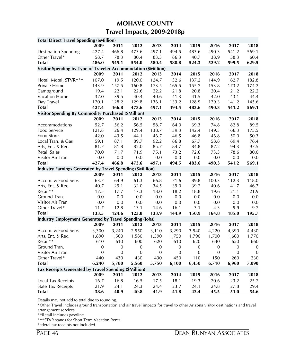# **MOHAVE COUNTY Travel Impacts, 2009-2018p**

| <b>Total Direct Travel Spending (\$Million)</b>                   |                  |                  |                |             |                  |                  |                  |             |                  |
|-------------------------------------------------------------------|------------------|------------------|----------------|-------------|------------------|------------------|------------------|-------------|------------------|
|                                                                   | 2009             | 2011             | 2012           | 2013        | 2014             | 2015             | 2016             | 2017        | 2018             |
| <b>Destination Spending</b>                                       | 427.4            | 466.8            | 473.6          | 497.1       | 494.5            | 483.6            | 490.3            | 541.2       | 569.1            |
| Other Travel*                                                     | 58.7             | 78.3             | 80.4           | 83.3        | 86.3             | 40.7             | 38.9             | 58.3        | 60.4             |
| <b>Total</b>                                                      | 486.0            | 545.1            | 554.0          | 580.4       | 580.8            | 524.3            | 529.2            | 599.5       | 629.5            |
| Visitor Spending by Type of Traveler Accommodation (\$Million)    |                  |                  |                |             |                  |                  |                  |             |                  |
|                                                                   | 2009             | 2011             | 2012           | 2013        | 2014             | 2015             | 2016             | 2017        | 2018             |
| Hotel, Motel, STVR***                                             | 107.0            | 119.5            | 120.0          | 124.7       | 132.6            | 137.2            | 144.9            | 162.7       | 182.8            |
| Private Home                                                      | 143.9            | 157.5            | 160.8          | 173.5       | 165.5            | 155.2            | 153.8            | 173.2       | 174.2            |
| Campground                                                        | 19.4             | 22.1             | 22.6           | 22.2        | 21.8             | 20.8             | 20.4             | 21.2        | 22.2             |
| <b>Vacation Home</b>                                              | 37.0             | 39.5             | 40.4           | 40.6        | 41.3             | 41.5             | 42.0             | 43.1        | 44.4             |
| Day Travel                                                        | 120.1            | 128.2            | 129.8          | 136.1       | 133.2            | 128.9            | 129.3            | 141.2       | 145.6            |
| <b>Total</b>                                                      | 427.4            | 466.8            | 473.6          | 497.1       | 494.5            | 483.6            | 490.3            | 541.2       | 569.1            |
| <b>Visitor Spending By Commodity Purchased (\$Million)</b>        |                  |                  |                |             |                  |                  |                  |             |                  |
|                                                                   | 2009             | 2011             | 2012           | 2013        | 2014             | 2015             | 2016             | 2017        | 2018             |
| Accommodations                                                    | 52.7             | 56.2             | 56.5           | 58.7        | 64.0             | 69.3             | 74.8             | 82.8        | 89.5             |
| Food Service                                                      | 121.8            | 126.4            | 129.4          | 138.7       | 139.3            | 142.4            | 149.3            | 166.3       | 175.5            |
| Food Stores                                                       | 42.0             | 43.5             | 44.1           | 46.7        | 46.5             | 46.8             | 46.8             | 50.0        | 50.3             |
| Local Tran. & Gas                                                 | 59.1             | 87.1             | 89.7           | 92.2        | 86.8             | 67.7             | 58.8             | 69.4        | 76.4             |
| Arts, Ent. & Rec.                                                 | 81.7             | 81.8             | 82.0           | 85.7        | 84.7             | 84.8             | 87.2             | 94.3        | 97.5             |
| <b>Retail Sales</b>                                               | 70.0             | 71.7             | 71.9           | 75.1        | 73.2             | 72.6             | 73.3             | 78.6        | 80.0             |
| Visitor Air Tran.                                                 | 0.0              | 0.0              | 0.0            | 0.0         | 0.0              | 0.0              | 0.0              | 0.0         | 0.0              |
| <b>Total</b>                                                      | 427.4            | 466.8            | 473.6          | 497.1       | 494.5            | 483.6            | 490.3            | 541.2       | 569.1            |
| <b>Industry Earnings Generated by Travel Spending (\$Million)</b> |                  |                  |                |             |                  |                  |                  |             |                  |
|                                                                   | 2009             | 2011             | 2012           | 2013        | 2014             | 2015             | 2016             | 2017        | 2018             |
| Accom. & Food Serv.                                               | 63.7             | 64.9             | 61.3           | 66.8        | 71.6             | 89.8             | 100.3            | 112.3       | 118.0            |
| Arts, Ent. & Rec.                                                 | 40.7             | 29.1             | 32.0           | 34.5        | 39.0             | 39.2             | 40.6             | 41.7        | 46.7             |
| Retail**                                                          | 17.5             | 17.7             | 17.3           | 18.0        | 18.2             | 18.8             | 19.6             | 21.1        | 21.9             |
| Ground Tran.                                                      | 0.0              | 0.0              | 0.0            | 0.0         | 0.0              | 0.0              | 0.0              | 0.0         | 0.0              |
| Visitor Air Tran.                                                 | 0.0              | 0.0              | 0.0            | 0.0         | 0.0              | 0.0              | 0.0              | 0.0         | 0.0              |
| Other Travel*                                                     | 11.7             | 12.8             | 13.1           | 14.6        | 16.1             | 3.1              | 4.3              | 9.9         | 9.2              |
| <b>Total</b>                                                      | 133.5            | 124.6            | 123.8          | 133.9       | 144.9            | 150.9            | 164.8            | 185.0       | 195.7            |
| <b>Industry Employment Generated by Travel Spending (Jobs)</b>    |                  |                  |                |             |                  |                  |                  |             |                  |
|                                                                   | 2009             | 2011             | 2012           | 2013        | 2014             | 2015             | 2016             | 2017        | 2018             |
| Accom. & Food Serv.                                               | 3,300            | 3,240            | 2,950          | 3,110       | 3,290            | 3,940            | 4,220            | 4,390       | 4,430            |
| Arts, Ent. & Rec.                                                 | 1,890            | 1,500            | 1,580          | 1,590       | 1,750            | 1,790            | 1,700            | 1,660       | 1,770            |
| Retail**                                                          | 610              | 610              | 600            | 620         | 610              | 620              | 640              | 650         | 660              |
| Ground Tran.                                                      | $\boldsymbol{0}$ | $\boldsymbol{0}$ | $\mathbf 0$    | $\mathbf 0$ | $\boldsymbol{0}$ | $\mathbf 0$      | $\boldsymbol{0}$ | 0           | $\boldsymbol{0}$ |
| Visitor Air Tran.                                                 | $\boldsymbol{0}$ | $\boldsymbol{0}$ | $\overline{0}$ | 0           | 0                | $\boldsymbol{0}$ | $\mathbf{0}$     | $\mathbf 0$ | $\boldsymbol{0}$ |
| Other Travel*                                                     | 440              | 430              | 430            | 430         | 450              | 110              | 150              | 260         | 230              |
| <b>Total</b>                                                      | 6,240            | 5,780            | 5,560          | 5,750       | 6,100            | 6,450            | 6,710            | 6,960       | 7,090            |
| Tax Receipts Generated by Travel Spending (\$Million)             |                  |                  |                |             |                  |                  |                  |             |                  |
|                                                                   | 2009             | 2011             | 2012           | 2013        | 2014             | 2015             | 2016             | 2017        | 2018             |
| Local Tax Receipts                                                | 16.7             | 16.8             | 16.5           | 17.5        | 18.1             | 19.3             | 20.6             | 23.2        | 25.2             |
| <b>State Tax Receipts</b>                                         | 21.9             | 24.1             | 24.3           | 24.4        | 23.7             | 24.1             | 24.8             | 27.8        | 29.4             |
| <b>Total</b>                                                      | 38.6             | 40.9             | 40.8           | 41.9        | 41.8             | 43.4             | 45.5             | 51.0        | 54.6             |

Details may not add to total due to rounding.

\*Other Travel includes ground transportation and air travel impacts for travel to other Arizona visitor destinations and travel arrangement services.

\*\*Retail includes gasoline.

\*\*\*STVR stands for Short Term Vacation Rental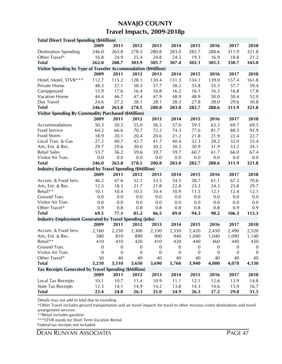### **NAVAJO COUNTY Travel Impacts, 2009-2018p**

| <b>Total Direct Travel Spending (\$Million)</b>                   |                  |                  |              |                  |                  |       |                  |                  |                  |
|-------------------------------------------------------------------|------------------|------------------|--------------|------------------|------------------|-------|------------------|------------------|------------------|
|                                                                   | 2009             | 2011             | 2012         | 2013             | 2014             | 2015  | 2016             | 2017             | 2018             |
| <b>Destination Spending</b>                                       | 246.0            | 263.8            | 278.5        | 280.8            | 283.0            | 282.7 | 288.6            | 311.9            | 321.8            |
| Other Travel*                                                     | 16.8             | 24.9             | 25.4         | 24.8             | 24.5             | 19.3  | 16.9             | 18.8             | 21.2             |
| <b>Total</b>                                                      | 262.8            | 288.7            | 303.9        | 305.7            | 307.4            | 302.1 | 305.5            | 330.7            | 343.0            |
| Visitor Spending by Type of Traveler Accommodation (\$Million)    |                  |                  |              |                  |                  |       |                  |                  |                  |
|                                                                   | 2009             | 2011             | 2012         | 2013             | 2014             | 2015  | 2016             | 2017             | 2018             |
| Hotel, Motel, STVR***                                             | 112.7            | 115.2            | 128.1        | 130.4            | 131.3            | 134.1 | 139.0            | 157.4            | 161.8            |
| Private Home                                                      | 48.3             | 57.1             | 58.5         | 57.7             | 58.2             | 55.8  | 55.3             | 57.7             | 59.4             |
| Campground                                                        | 15.9             | 17.6             | 16.4         | 16.8             | 16.2             | 16.1  | 16.3             | 16.8             | 17.8             |
| Vacation Home                                                     | 44.4             | 46.7             | 47.4         | 47.9             | 48.9             | 48.9  | 50.0             | 50.4             | 52.0             |
| Day Travel                                                        | 24.6             | 27.2             | 28.1         | 28.1             | 28.3             | 27.8  | 28.0             | 29.6             | 30.8             |
| <b>Total</b>                                                      | 246.0            | 263.8            | 278.5        | 280.8            | 283.0            | 282.7 | 288.6            | 311.9            | 321.8            |
| <b>Visitor Spending By Commodity Purchased (\$Million)</b>        |                  |                  |              |                  |                  |       |                  |                  |                  |
|                                                                   | 2009             | 2011             | 2012         | 2013             | 2014             | 2015  | 2016             | 2017             | 2018             |
| Accommodations                                                    | 50.3             | 50.5             | 55.0         | 56.5             | 57.0             | 59.5  | 63.3             | 69.7             | 69.5             |
| Food Service                                                      | 64.2             | 66.6             | 70.7         | 72.2             | 74.3             | 77.6  | 81.7             | 88.5             | 92.9             |
| Food Stores                                                       | 18.9             | 20.1             | 20.4         | 20.6             | 21.2             | 21.8  | 21.9             | 22.4             | 22.7             |
| Local Tran. & Gas                                                 | 27.2             | 40.7             | 42.7         | 41.7             | 40.4             | 32.3  | 28.2             | 32.0             | 35.4             |
| Arts, Ent. & Rec.                                                 | 29.7             | 29.6             | 30.0         | 30.2             | 30.3             | 30.9  | 31.9             | 33.2             | 34.1             |
| <b>Retail Sales</b>                                               | 55.7             | 56.2             | 59.6         | 59.7             | 59.7             | 60.7  | 61.7             | 66.0             | 67.4             |
| Visitor Air Tran.                                                 | 0.0              | 0.0              | 0.0          | 0.0              | 0.0              | 0.0   | 0.0              | 0.0              | 0.0              |
| <b>Total</b>                                                      | 246.0            | 263.8            | 278.5        | 280.8            | 283.0            | 282.7 | 288.6            | 311.9            | 321.8            |
| <b>Industry Earnings Generated by Travel Spending (\$Million)</b> |                  |                  |              |                  |                  |       |                  |                  |                  |
|                                                                   | 2009             | 2011             | 2012         | 2013             | 2014             | 2015  | 2016             | 2017             | 2018             |
| Accom. & Food Serv.                                               | 46.2             | 47.6             | 52.1         | 53.5             | 54.5             | 58.7  | 61.1             | 67.2             | 70.6             |
| Arts, Ent. & Rec.                                                 | 12.3             | 18.3             | 21.7         | 21.8             | 22.8             | 23.3  | 24.3             | 25.8             | 29.7             |
| Retail**                                                          | 10.1             | 10.4             | 10.5         | 10.4             | 10.9             | 11.5  | 12.1             | 12.4             | 12.1             |
| Ground Tran.                                                      | 0.0              | 0.0              | 0.0          | 0.0              | 0.0              | 0.0   | 0.0              | 0.0              | 0.0              |
| Visitor Air Tran.                                                 | 0.0              | 0.0              | 0.0          | 0.0              | 0.0              | 0.0   | 0.0              | 0.0              | 0.0              |
| Other Travel*                                                     | 0.9              | 0.8              | 0.8          | 0.8              | 0.8              | 0.8   | 0.8              | 0.9              | 0.9              |
| <b>Total</b>                                                      | 69.5             | 77.1             | 85.2         | 86.5             | 89.0             | 94.3  | 98.2             | 106.3            | 113.3            |
| <b>Industry Employment Generated by Travel Spending (Jobs)</b>    |                  |                  |              |                  |                  |       |                  |                  |                  |
|                                                                   | 2009             | 2011             | 2012         | 2013             | 2014             | 2015  | 2016             | 2017             | 2018             |
| Accom. & Food Serv.                                               | 2,160            | 2,250            | 2,300        | 2,330            | 2,350            | 2,420 | 2,450            | 2,490            | 2,520            |
| Arts, Ent. & Rec.                                                 | 580              | 810              | 890          | 900              | 940              | 1,040 | 1,040            | 1,090            | 1,140            |
| Retail**                                                          | 410              | 410              | 420          | 410              | 420              | 440   | 460              | 440              | 430              |
| Ground Tran.                                                      | $\boldsymbol{0}$ | $\boldsymbol{0}$ | 0            | $\boldsymbol{0}$ | $\boldsymbol{0}$ | 0     | 0                | $\boldsymbol{0}$ | $\boldsymbol{0}$ |
| Visitor Air Tran.<br>Other Travel*                                | $\boldsymbol{0}$ | $\mathbf{0}$     | $\mathbf{0}$ | $\boldsymbol{0}$ | 0                | 0     | $\boldsymbol{0}$ | $\mathbf 0$      | $\boldsymbol{0}$ |
|                                                                   | 50               | 40               | 40           | 40               | 40               | 40    | 40<br>4,000      | 40               | 40               |
| <b>Total</b>                                                      | 3,210            | 3,510            | 3,650        | 3,690            | 3,760            | 3,940 |                  | 4,070            | 4,130            |
| <b>Tax Receipts Generated by Travel Spending (\$Million)</b>      | 2009             | 2011             | 2012         |                  |                  |       |                  |                  |                  |
|                                                                   |                  |                  |              | 2013             | 2014             | 2015  | 2016             | 2017             | 2018             |
| Local Tax Receipts                                                | 10.1             | 10.7             | 11.4         | 10.9             | 11.1             | 12.1  | 12.6             | 13.9             | 14.8             |
| <b>State Tax Receipts</b>                                         | 12.3             | 14.1             | 14.9         | 14.2             | 13.8             | 14.3  | 14.6             | 15.9             | 16.7             |
| <b>Total</b>                                                      | 22.4             | 24.8             | 26.3         | 25.0             | 24.9             | 26.3  | 27.2             | 29.8             | 31.5             |

Details may not add to total due to rounding.

\*Other Travel includes ground transportation and air travel impacts for travel to other Arizona visitor destinations and travel arrangement services.

\*\*Retail includes gasoline.

\*\*\*STVR stands for Short Term Vacation Rental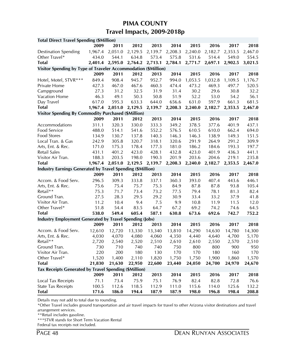### **PIMA COUNTY Travel Impacts, 2009-2018p**

| <b>Total Direct Travel Spending (\$Million)</b>                   |         |                 |         |         |         |         |         |         |         |
|-------------------------------------------------------------------|---------|-----------------|---------|---------|---------|---------|---------|---------|---------|
|                                                                   | 2009    | 2011            | 2012    | 2013    | 2014    | 2015    | 2016    | 2017    | 2018    |
| <b>Destination Spending</b>                                       | 1,967.4 | 2,051.0         | 2,129.5 | 2,139.7 | 2,208.3 | 2,240.0 | 2,182.7 | 2,353.5 | 2,467.0 |
| Other Travel*                                                     | 434.0   | 544.1           | 634.8   | 573.4   | 575.8   | 531.6   | 514.4   | 549.0   | 554.5   |
| <b>Total</b>                                                      |         | 2,401.4 2,595.0 | 2,764.2 | 2,713.1 | 2,784.1 | 2,771.7 | 2,697.1 | 2,902.5 | 3,021.5 |
| Visitor Spending by Type of Traveler Accommodation (\$Million)    |         |                 |         |         |         |         |         |         |         |
|                                                                   | 2009    | 2011            | 2012    | 2013    | 2014    | 2015    | 2016    | 2017    | 2018    |
| Hotel, Motel, STVR***                                             | 849.4   | 908.4           | 945.7   | 952.7   | 994.0   | 1,053.5 | 1,032.8 | 1,109.5 | 1,176.7 |
| Private Home                                                      | 427.3   | 467.0           | 467.6   | 460.3   | 474.4   | 473.2   | 469.3   | 497.7   | 520.5   |
| Campground                                                        | 27.3    | 31.2            | 32.5    | 31.9    | 31.4    | 30.2    | 29.6    | 30.8    | 32.2    |
| Vacation Home                                                     | 46.3    | 49.1            | 50.3    | 50.8    | 51.9    | 52.2    | 53.0    | 54.2    | 56.1    |
| Day Travel                                                        | 617.0   | 595.3           | 633.3   | 644.0   | 656.6   | 631.0   | 597.9   | 661.3   | 681.5   |
| <b>Total</b>                                                      | 1,967.4 | 2,051.0         | 2,129.5 | 2,139.7 | 2,208.3 | 2,240.0 | 2,182.7 | 2,353.5 | 2,467.0 |
| <b>Visitor Spending By Commodity Purchased (\$Million)</b>        |         |                 |         |         |         |         |         |         |         |
|                                                                   | 2009    | 2011            | 2012    | 2013    | 2014    | 2015    | 2016    | 2017    | 2018    |
| Accommodations                                                    | 311.1   | 320.3           | 330.0   | 333.3   | 349.2   | 378.5   | 377.6   | 401.9   | 437.1   |
| Food Service                                                      | 488.0   | 514.1           | 541.6   | 552.2   | 576.5   | 610.5   | 610.0   | 662.4   | 694.0   |
| Food Stores                                                       | 134.9   | 130.7           | 137.8   | 140.3   | 146.3   | 146.3   | 138.9   | 149.3   | 151.5   |
| Local Tran. & Gas                                                 | 242.9   | 305.8           | 320.7   | 318.1   | 320.6   | 291.9   | 264.9   | 291.2   | 309.9   |
| Arts, Ent. & Rec.                                                 | 171.0   | 175.3           | 178.4   | 177.3   | 181.0   | 186.2   | 184.6   | 193.3   | 197.7   |
| <b>Retail Sales</b>                                               | 431.1   | 401.2           | 423.0   | 428.1   | 432.8   | 423.0   | 401.9   | 436.3   | 441.1   |
| Visitor Air Tran.                                                 | 188.3   | 203.5           | 198.0   | 190.3   | 201.9   | 203.6   | 204.6   | 219.1   | 235.8   |
| <b>Total</b>                                                      | 1,967.4 | 2,051.0         | 2,129.5 | 2,139.7 | 2,208.3 | 2,240.0 | 2,182.7 | 2,353.5 | 2,467.0 |
| <b>Industry Earnings Generated by Travel Spending (\$Million)</b> |         |                 |         |         |         |         |         |         |         |
|                                                                   | 2009    | 2011            | 2012    | 2013    | 2014    | 2015    | 2016    | 2017    | 2018    |
| Accom. & Food Serv.                                               | 296.5   | 309.3           | 333.8   | 337.1   | 360.3   | 393.0   | 407.4   | 443.6   | 446.1   |
| Arts, Ent. & Rec.                                                 | 75.6    | 75.4            | 75.7    | 75.3    | 84.9    | 87.8    | 87.8    | 93.8    | 105.4   |
| Retail**                                                          | 75.3    | 71.7            | 73.4    | 73.2    | 77.5    | 79.4    | 78.1    | 81.3    | 82.4    |
| Ground Tran.                                                      | 27.5    | 28.3            | 29.5    | 29.2    | 30.9    | 33.4    | 33.2    | 37.9    | 41.8    |
| Visitor Air Tran.                                                 | 11.2    | 10.4            | 9.4     | 7.5     | 9.9     | 10.8    | 11.9    | 11.5    | 12.0    |
| Other Travel*                                                     | 51.8    | 54.4            | 83.5    | 64.7    | 67.2    | 69.2    | 74.2    | 74.6    | 64.5    |
| <b>Total</b>                                                      | 538.0   | 549.4           | 605.4   | 587.1   | 630.8   | 673.6   | 692.6   | 742.7   | 752.2   |
| <b>Industry Employment Generated by Travel Spending (Jobs)</b>    |         |                 |         |         |         |         |         |         |         |
|                                                                   | 2009    | 2011            | 2012    | 2013    | 2014    | 2015    | 2016    | 2017    | 2018    |
| Accom. & Food Serv.                                               | 12,610  | 12,720          | 13,330  | 13,340  | 13,810  | 14,290  | 14,630  | 14,780  | 14,300  |
| Arts, Ent. & Rec.                                                 | 4,030   | 4,070           | 4,080   | 4,060   | 4,350   | 4,440   | 4,640   | 4,700   | 5,170   |
| Retail**                                                          | 2,720   | 2,540           | 2,520   | 2,510   | 2,610   | 2,610   | 2,550   | 2,570   | 2,510   |
| Ground Tran.                                                      | 730     | 710             | 740     | 740     | 750     | 800     | 800     | 900     | 950     |
| Visitor Air Tran.                                                 | 220     | 200             | 180     | 130     | 170     | 170     | 180     | 160     | 170     |
| Other Travel*                                                     | 1,520   | 1,400           | 2,110   | 1,820   | 1,750   | 1,750   | 1,900   | 1,860   | 1,570   |
| <b>Total</b>                                                      | 21,830  | 21,630          | 22,950  | 22,600  | 23,440  | 24,050  | 24,700  | 24,970  | 24,670  |
| Tax Receipts Generated by Travel Spending (\$Million)             |         |                 |         |         |         |         |         |         |         |
|                                                                   | 2009    | 2011            | 2012    | 2013    | 2014    | 2015    | 2016    | 2017    | 2018    |
| Local Tax Receipts                                                | 71.1    | 73.4            | 75.9    | 75.1    | 76.9    | 82.4    | 82.8    | 72.8    | 76.6    |
| <b>State Tax Receipts</b>                                         | 100.5   | 112.6           | 118.5   | 112.9   | 111.0   | 115.6   | 114.0   | 125.6   | 132.2   |
| <b>Total</b>                                                      | 171.6   | 186.0           | 194.4   | 187.9   | 187.9   | 198.0   | 196.8   | 198.4   | 208.8   |

Details may not add to total due to rounding.

\*Other Travel includes ground transportation and air travel impacts for travel to other Arizona visitor destinations and travel arrangement services.

\*\*Retail includes gasoline.

\*\*\*STVR stands for Short Term Vacation Rental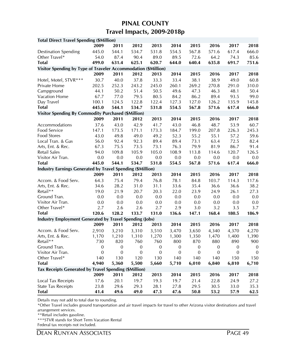### **PINAL COUNTY Travel Impacts, 2009-2018p**

| <b>Total Direct Travel Spending (\$Million)</b>                   |             |                  |       |              |       |             |                  |                  |                  |
|-------------------------------------------------------------------|-------------|------------------|-------|--------------|-------|-------------|------------------|------------------|------------------|
|                                                                   | 2009        | 2011             | 2012  | 2013         | 2014  | 2015        | 2016             | 2017             | 2018             |
| <b>Destination Spending</b>                                       | 445.0       | 544.1            | 534.7 | 531.8        | 554.5 | 567.8       | 571.6            | 617.4            | 666.0            |
| Other Travel*                                                     | 54.0        | 87.4             | 90.4  | 89.0         | 89.5  | 72.6        | 64.2             | 74.3             | 85.6             |
| <b>Total</b>                                                      | 499.0       | 631.4            | 625.1 | 620.7        | 644.0 | 640.4       | 635.8            | 691.7            | 751.6            |
| Visitor Spending by Type of Traveler Accommodation (\$Million)    |             |                  |       |              |       |             |                  |                  |                  |
|                                                                   | 2009        | 2011             | 2012  | 2013         | 2014  | 2015        | 2016             | 2017             | 2018             |
| Hotel, Motel, STVR***                                             | 30.7        | 40.0             | 37.8  | 33.3         | 33.4  | 38.1        | 38.9             | 49.0             | 60.8             |
| Private Home                                                      | 202.5       | 252.3            | 243.2 | 245.0        | 260.1 | 269.2       | 270.8            | 291.0            | 310.0            |
| Campground                                                        | 44.1        | 50.2             | 51.4  | 50.5         | 49.6  | 47.3        | 46.3             | 48.1             | 50.4             |
| Vacation Home                                                     | 67.7        | 77.0             | 79.5  | 80.5         | 84.2  | 86.2        | 89.4             | 93.5             | 99.0             |
| Day Travel                                                        | 100.1       | 124.5            | 122.8 | 122.4        | 127.3 | 127.0       | 126.2            | 135.9            | 145.8            |
| <b>Total</b>                                                      | 445.0       | 544.1            | 534.7 | 531.8        | 554.5 | 567.8       | 571.6            | 617.4            | 666.0            |
| <b>Visitor Spending By Commodity Purchased (\$Million)</b>        |             |                  |       |              |       |             |                  |                  |                  |
|                                                                   | 2009        | 2011             | 2012  | 2013         | 2014  | 2015        | 2016             | 2017             | 2018             |
| Accommodations                                                    | 37.6        | 43.0             | 42.9  | 41.7         | 43.0  | 46.8        | 48.7             | 53.9             | 60.7             |
| Food Service                                                      | 147.1       | 173.5            | 171.1 | 173.3        | 184.7 | 199.0       | 207.8            | 226.3            | 245.3            |
| Food Stores                                                       | 43.0        | 49.8             | 49.0  | 49.2         | 52.3  | 55.2        | 55.1             | 57.2             | 59.6             |
| Local Tran. & Gas                                                 | 56.0        | 92.4             | 92.3  | 89.4         | 89.4  | 73.1        | 63.4             | 72.5             | 82.4             |
| Arts, Ent. & Rec.                                                 | 67.3        | 75.5             | 73.5  | 73.1         | 76.3  | 79.9        | 81.9             | 86.7             | 91.4             |
| <b>Retail Sales</b>                                               | 94.0        | 109.8            | 105.9 | 105.0        | 108.9 | 113.8       | 114.6            | 120.7            | 126.5            |
| Visitor Air Tran.                                                 | 0.0         | 0.0              | 0.0   | 0.0          | 0.0   | 0.0         | 0.0              | 0.0              | 0.0              |
| <b>Total</b>                                                      | 445.0       | 544.1            | 534.7 | 531.8        | 554.5 | 567.8       | 571.6            | 617.4            | 666.0            |
| <b>Industry Earnings Generated by Travel Spending (\$Million)</b> |             |                  |       |              |       |             |                  |                  |                  |
|                                                                   | 2009        | 2011             | 2012  | 2013         | 2014  | 2015        | 2016             | 2017             | 2018             |
| Accom. & Food Serv.                                               | 64.3        | 75.4             | 79.4  | 76.8         | 78.1  | 84.8        | 103.7            | 114.3            | 117.6            |
| Arts, Ent. & Rec.                                                 | 34.6        | 28.2             | 31.0  | 31.1         | 33.6  | 35.4        | 36.6             | 36.6             | 38.2             |
| Retail**                                                          | 19.0        | 21.9             | 20.7  | 20.3         | 22.0  | 23.9        | 24.9             | 26.1             | 27.3             |
| Ground Tran.                                                      | 0.0         | 0.0              | 0.0   | 0.0          | 0.0   | 0.0         | 0.0              | 0.0              | 0.0              |
| Visitor Air Tran.                                                 | 0.0         | 0.0              | 0.0   | 0.0          | 0.0   | 0.0         | 0.0              | 0.0              | 0.0              |
| Other Travel*                                                     | 2.7         | 2.6              | 2.6   | 2.7          | 2.9   | 3.0         | 3.2              | 3.5              | 3.7              |
| <b>Total</b>                                                      | 120.6       | 128.2            | 133.7 | 131.0        | 136.6 | 147.1       | 168.4            | 180.5            | 186.9            |
| <b>Industry Employment Generated by Travel Spending (Jobs)</b>    |             |                  |       |              |       |             |                  |                  |                  |
|                                                                   | 2009        | 2011             | 2012  | 2013         | 2014  | 2015        | 2016             | 2017             | 2018             |
| Accom. & Food Serv.                                               | 2,910       | 3,210            | 3,310 | 3,510        | 3,470 | 3,650       | 4,340            | 4,370            | 4,270            |
| Arts, Ent. & Rec.                                                 | 1,170       | 1,210            | 1,310 | 1,270        | 1,300 | 1,350       | 1,470            | 1,400            | 1,390            |
| Retail**                                                          | 730         | 820              | 760   | 760          | 800   | 870         | 880              | 890              | 900              |
| Ground Tran.                                                      | $\mathbf 0$ | $\boldsymbol{0}$ | 0     | $\mathbf 0$  | 0     | $\mathbf 0$ | 0                | $\boldsymbol{0}$ | $\boldsymbol{0}$ |
| Visitor Air Tran.                                                 | 0           | $\boldsymbol{0}$ | 0     | 0            | 0     | $\mathbf 0$ | $\boldsymbol{0}$ | $\mathbf 0$      | $\boldsymbol{0}$ |
| Other Travel*<br><b>Total</b>                                     | 140         | 130              | 120   | 130          | 140   | 140         | 140<br>6,840     | 150              | 150              |
|                                                                   | 4,940       | 5,360            | 5,500 | 5,660        | 5,710 | 6,010       |                  | 6,810            | 6,710            |
| Tax Receipts Generated by Travel Spending (\$Million)             | 2009        | 2011             |       |              |       |             | 2016             | 2017             | 2018             |
|                                                                   |             |                  | 2012  | 2013         | 2014  | 2015        |                  |                  |                  |
| Local Tax Receipts                                                | 17.6        | 20.1             | 19.7  | 19.3         | 19.7  | 21.4        | 22.8             | 24.9             | 27.2             |
| <b>State Tax Receipts</b>                                         | 23.8        | 29.6             | 29.3  | 28.1<br>47.3 | 27.8  | 29.5        | 30.5             | 33.0             | 35.3             |
| <b>Total</b>                                                      | 41.4        | 49.6             | 49.0  |              | 47.6  | 50.8        | 53.2             | 57.9             | 62.5             |

Details may not add to total due to rounding.

\*Other Travel includes ground transportation and air travel impacts for travel to other Arizona visitor destinations and travel arrangement services.

\*\*Retail includes gasoline.

\*\*\*STVR stands for Short Term Vacation Rental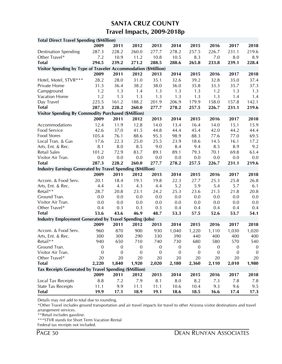# **SANTA CRUZ COUNTY Travel Impacts, 2009-2018p**

| <b>Total Direct Travel Spending (\$Million)</b>                   |             |                  |       |                  |                  |       |             |       |                  |
|-------------------------------------------------------------------|-------------|------------------|-------|------------------|------------------|-------|-------------|-------|------------------|
|                                                                   | 2009        | 2011             | 2012  | 2013             | 2014             | 2015  | 2016        | 2017  | 2018             |
| <b>Destination Spending</b>                                       | 287.3       | 228.2            | 260.0 | 277.7            | 278.2            | 257.5 | 226.7       | 231.1 | 219.6            |
| Other Travel*                                                     | 7.2         | 10.9             | 11.2  | 10.8             | 10.5             | 8.3   | $7.0\,$     | 8.0   | 8.9              |
| <b>Total</b>                                                      | 294.5       | 239.2            | 271.2 | 288.5            | 288.6            | 265.8 | 233.8       | 239.1 | 228.4            |
| Visitor Spending by Type of Traveler Accommodation (\$Million)    |             |                  |       |                  |                  |       |             |       |                  |
|                                                                   | 2009        | 2011             | 2012  | 2013             | 2014             | 2015  | 2016        | 2017  | 2018             |
| Hotel, Motel, STVR***                                             | 28.2        | 28.0             | 31.0  | 35.1             | 32.6             | 39.2  | 32.8        | 35.0  | 37.4             |
| Private Home                                                      | 31.3        | 36.4             | 38.2  | 38.0             | 36.0             | 35.8  | 33.3        | 35.7  | 37.3             |
| Campground                                                        | 1.2         | 1.3              | 1.4   | 1.3              | 1.3              | 1.3   | 1.2         | 1.3   | 1.3              |
| Vacation Home                                                     | 1.2         | 1.3              | 1.3   | 1.3              | 1.3              | 1.3   | 1.3         | 1.4   | 1.4              |
| Day Travel                                                        | 225.5       | 161.2            | 188.2 | 201.9            | 206.9            | 179.9 | 158.0       | 157.8 | 142.1            |
| <b>Total</b>                                                      | 287.3       | 228.2            | 260.0 | 277.7            | 278.2            | 257.5 | 226.7       | 231.1 | 219.6            |
| <b>Visitor Spending By Commodity Purchased (\$Million)</b>        |             |                  |       |                  |                  |       |             |       |                  |
|                                                                   | 2009        | 2011             | 2012  | 2013             | 2014             | 2015  | 2016        | 2017  | 2018             |
| Accommodations                                                    | 12.4        | 11.9             | 12.8  | 14.0             | 13.4             | 16.4  | 14.0        | 15.1  | 15.9             |
| Food Service                                                      | 42.6        | 37.0             | 41.5  | 44.8             | 44.4             | 45.4  | 42.0        | 44.2  | 44.4             |
| Food Stores                                                       | 105.4       | 76.1             | 88.6  | 95.3             | 98.9             | 88.3  | 77.6        | 77.0  | 69.5             |
| Local Tran. & Gas                                                 | 17.6        | 22.3             | 25.0  | 25.5             | 23.9             | 18.6  | 14.5        | 16.1  | 17.2             |
| Arts, Ent. & Rec.                                                 | 8.1         | 8.0              | 8.5   | 9.0              | 8.4              | 9.4   | 8.5         | 8.9   | 9.2              |
| <b>Retail Sales</b>                                               | 101.2       | 72.9             | 83.7  | 89.1             | 89.1             | 79.3  | 70.1        | 69.8  | 63.4             |
| Visitor Air Tran.                                                 | 0.0         | 0.0              | 0.0   | 0.0              | 0.0              | 0.0   | 0.0         | 0.0   | 0.0              |
| <b>Total</b>                                                      | 287.3       | 228.2            | 260.0 | 277.7            | 278.2            | 257.5 | 226.7       | 231.1 | 219.6            |
| <b>Industry Earnings Generated by Travel Spending (\$Million)</b> |             |                  |       |                  |                  |       |             |       |                  |
|                                                                   | 2009        | 2011             | 2012  | 2013             | 2014             | 2015  | 2016        | 2017  | 2018             |
| Accom. & Food Serv.                                               | 20.1        | 18.4             | 19.1  | 19.8             | 22.3             | 27.7  | 25.3        | 25.8  | 26.8             |
| Arts, Ent. & Rec.                                                 | 4.4         | 4.1              | 4.3   | 4.4              | 5.2              | 5.9   | 5.4         | 5.7   | 6.1              |
| Retail**                                                          | 28.7        | 20.8             | 23.1  | 24.2             | 25.3             | 23.6  | 21.5        | 21.8  | 20.8             |
| Ground Tran.                                                      | 0.0         | 0.0              | 0.0   | 0.0              | 0.0              | 0.0   | 0.0         | 0.0   | 0.0              |
| Visitor Air Tran.                                                 | 0.0         | 0.0              | 0.0   | 0.0              | 0.0              | 0.0   | 0.0         | 0.0   | 0.0              |
| Other Travel*                                                     | 0.4         | 0.3              | 0.3   | 0.3              | 0.4              | 0.4   | 0.4         | 0.4   | 0.4              |
| <b>Total</b>                                                      | 53.6        | 43.6             | 46.9  | 48.7             | 53.3             | 57.5  | 52.6        | 53.7  | 54.1             |
| <b>Industry Employment Generated by Travel Spending (Jobs)</b>    |             |                  |       |                  |                  |       |             |       |                  |
|                                                                   | 2009        | 2011             | 2012  | 2013             | 2014             | 2015  | 2016        | 2017  | 2018             |
| Accom. & Food Serv.                                               | 960         | 870              | 900   | 930              | 1,040            | 1,220 | 1,110       | 1,030 | 1,020            |
| Arts, Ent. & Rec.                                                 | 300         | 300              | 290   | 330              | 390              | 440   | 400         | 400   | 400              |
| Retail**                                                          | 940         | 650              | 710   | 740              | 730              | 680   | 580         | 570   | 540              |
| Ground Tran.                                                      | $\mathbf 0$ | $\boldsymbol{0}$ | 0     | $\boldsymbol{0}$ | $\boldsymbol{0}$ | 0     | $\mathbf 0$ | 0     | $\boldsymbol{0}$ |
| Visitor Air Tran.                                                 | 0           | 0                | 0     | 0                | $\mathbf 0$      | 0     | 0           | 0     | $\boldsymbol{0}$ |
| Other Travel*                                                     | 20          | 20               | 20    | 20               | 20               | 20    | 20          | 20    | 20               |
| <b>Total</b>                                                      | 2,220       | 1,840            | 1,920 | 2,020            | 2,180            | 2,360 | 2,110       | 2,010 | 1,980            |
| <b>Tax Receipts Generated by Travel Spending (\$Million)</b>      |             |                  |       |                  |                  |       |             |       |                  |
|                                                                   | 2009        | 2011             | 2012  | 2013             | 2014             | 2015  | 2016        | 2017  | 2018             |
| Local Tax Receipts                                                | 8.8         | 7.2              | 7.9   | 8.1              | 8.0              | 8.2   | 7.3         | 7.8   | 7.8              |
| <b>State Tax Receipts</b>                                         | 11.1        | 9.9              | 11.1  | 11.1             | 10.6             | 10.4  | 9.3         | 9.6   | 9.5              |
| <b>Total</b>                                                      | 19.9        | 17.1             | 18.9  | 19.1             | 18.6             | 18.5  | 16.6        | 17.4  | 17.3             |

Details may not add to total due to rounding.

\*Other Travel includes ground transportation and air travel impacts for travel to other Arizona visitor destinations and travel arrangement services.

\*\*Retail includes gasoline.

\*\*\*STVR stands for Short Term Vacation Rental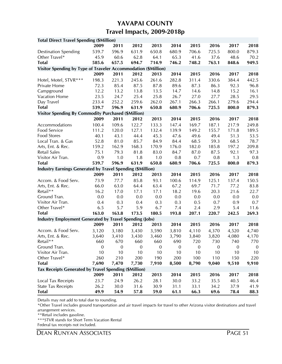### **YAVAPAI COUNTY Travel Impacts, 2009-2018p**

| <b>Total Direct Travel Spending (\$Million)</b>                   |             |                  |       |             |                  |             |       |                  |                  |
|-------------------------------------------------------------------|-------------|------------------|-------|-------------|------------------|-------------|-------|------------------|------------------|
|                                                                   | 2009        | 2011             | 2012  | 2013        | 2014             | 2015        | 2016  | 2017             | 2018             |
| <b>Destination Spending</b>                                       | 539.7       | 596.9            | 631.9 | 650.8       | 680.9            | 706.6       | 725.5 | 800.0            | 879.3            |
| Other Travel*                                                     | 45.9        | 60.6             | 62.8  | 64.1        | 65.3             | 41.6        | 37.6  | 48.6             | 70.2             |
| <b>Total</b>                                                      | 585.6       | 657.5            | 694.7 | 714.9       | 746.2            | 748.2       | 763.1 | 848.6            | 949.5            |
| Visitor Spending by Type of Traveler Accommodation (\$Million)    |             |                  |       |             |                  |             |       |                  |                  |
|                                                                   | 2009        | 2011             | 2012  | 2013        | 2014             | 2015        | 2016  | 2017             | 2018             |
| Hotel, Motel, STVR***                                             | 198.3       | 221.3            | 245.6 | 261.6       | 282.8            | 311.4       | 330.6 | 384.4            | 442.5            |
| Private Home                                                      | 72.3        | 85.4             | 87.5  | 87.8        | 89.6             | 87.3        | 86.3  | 92.3             | 96.8             |
| Campground                                                        | 12.2        | 13.2             | 13.8  | 13.5        | 14.7             | 14.6        | 14.8  | 15.2             | 16.1             |
| Vacation Home                                                     | 23.5        | 24.7             | 25.4  | 25.8        | 26.7             | 27.0        | 27.7  | 28.5             | 29.5             |
| Day Travel                                                        | 233.4       | 252.2            | 259.6 | 262.0       | 267.1            | 266.3       | 266.1 | 279.6            | 294.4            |
| <b>Total</b>                                                      | 539.7       | 596.9            | 631.9 | 650.8       | 680.9            | 706.6       | 725.5 | 800.0            | 879.3            |
| <b>Visitor Spending By Commodity Purchased (\$Million)</b>        |             |                  |       |             |                  |             |       |                  |                  |
|                                                                   | 2009        | 2011             | 2012  | 2013        | 2014             | 2015        | 2016  | 2017             | 2018             |
| Accommodations                                                    | 100.4       | 109.6            | 122.7 | 133.3       | 147.4            | 169.7       | 187.1 | 217.9            | 249.8            |
| Food Service                                                      | 111.2       | 120.0            | 127.1 | 132.4       | 139.9            | 149.2       | 155.7 | 171.8            | 189.5            |
| Food Stores                                                       | 40.1        | 43.1             | 44.4  | 45.3        | 47.6             | 49.6        | 49.4  | 51.3             | 53.5             |
| Local Tran. & Gas                                                 | 52.8        | 81.0             | 85.7  | 84.9        | 84.4             | 68.5        | 59.3  | 68.5             | 78.7             |
| Arts, Ent. & Rec.                                                 | 159.2       | 162.9            | 168.3 | 170.9       | 176.0            | 182.0       | 185.8 | 197.2            | 209.8            |
| <b>Retail Sales</b>                                               | 75.1        | 79.3             | 81.8  | 83.0        | 84.7             | 87.0        | 87.5  | 92.1             | 97.3             |
| Visitor Air Tran.                                                 | 0.9         | 1.0              | 1.8   | 1.0         | 0.8              | 0.7         | 0.8   | 1.3              | 0.8              |
| <b>Total</b>                                                      | 539.7       | 596.9            | 631.9 | 650.8       | 680.9            | 706.6       | 725.5 | 800.0            | 879.3            |
| <b>Industry Earnings Generated by Travel Spending (\$Million)</b> |             |                  |       |             |                  |             |       |                  |                  |
|                                                                   | 2009        | 2011             | 2012  | 2013        | 2014             | 2015        | 2016  | 2017             | 2018             |
| Accom. & Food Serv.                                               | 73.9        | 77.7             | 85.8  | 93.1        | 100.6            | 114.9       | 125.1 | 137.4            | 150.5            |
| Arts, Ent. & Rec.                                                 | 66.0        | 63.0             | 64.4  | 63.4        | 67.2             | 69.7        | 71.7  | 77.2             | 83.8             |
| Retail**                                                          | 16.2        | 17.0             | 17.1  | 17.1        | 18.2             | 19.6        | 20.3  | 21.6             | 22.7             |
| Ground Tran.                                                      | 0.0         | 0.0              | 0.0   | 0.0         | 0.0              | 0.0         | 0.0   | 0.0              | 0.0              |
| Visitor Air Tran.                                                 | 0.4         | 0.3              | 0.4   | 0.3         | 0.3              | 0.5         | 0.7   | 0.9              | 0.7              |
| Other Travel*                                                     | 6.5         | 5.7              | 5.9   | 6.7         | 7.4              | 2.4         | 2.9   | 5.4              | 11.6             |
| <b>Total</b>                                                      | 163.0       | 163.8            | 173.5 | 180.5       | 193.8            | 207.1       | 220.7 | 242.5            | 269.3            |
| <b>Industry Employment Generated by Travel Spending (Jobs)</b>    |             |                  |       |             |                  |             |       |                  |                  |
|                                                                   | 2009        | 2011             | 2012  | 2013        | 2014             | 2015        | 2016  | 2017             | 2018             |
| Accom. & Food Serv.                                               | 3,120       | 3,180            | 3,430 | 3,590       | 3,810            | 4,110       | 4,370 | 4,520            | 4,740            |
| Arts, Ent. & Rec.                                                 | 3,640       | 3,410            | 3,430 | 3,460       | 3,790            | 3,840       | 3,820 | 4,080            | 4,170            |
| Retail**                                                          | 660         | 670              | 660   | 660         | 690              | 720         | 730   | 740              | 770              |
| Ground Tran.                                                      | $\mathbf 0$ | $\boldsymbol{0}$ | 0     | $\mathbf 0$ | $\boldsymbol{0}$ | $\mathbf 0$ | 0     | $\boldsymbol{0}$ | $\boldsymbol{0}$ |
| Visitor Air Tran.                                                 | 10          | 10               | 10    | 10          | 10               | 10          | 10    | 10               | 10               |
| Other Travel*                                                     | 260         | 210              | 200   | 190         | 200              | 100         | 110   | 150              | 220              |
| <b>Total</b>                                                      | 7,690       | 7,470            | 7,730 | 7,910       | 8,500            | 8,790       | 9,040 | 9,510            | 9,910            |
| Tax Receipts Generated by Travel Spending (\$Million)             |             |                  |       |             |                  |             |       |                  |                  |
|                                                                   | 2009        | 2011             | 2012  | 2013        | 2014             | 2015        | 2016  | 2017             | 2018             |
| Local Tax Receipts                                                | 23.7        | 24.9             | 26.2  | 28.1        | 30.0             | 33.2        | 35.5  | 40.5             | 46.4             |
| <b>State Tax Receipts</b>                                         | 26.2        | 30.0             | 31.6  | 30.9        | 31.1             | 33.1        | 34.2  | 37.9             | 41.9             |
| <b>Total</b>                                                      | 49.9        | 54.9             | 57.8  | 59.0        | 61.1             | 66.3        | 69.6  | 78.4             | 88.3             |

Details may not add to total due to rounding.

\*Other Travel includes ground transportation and air travel impacts for travel to other Arizona visitor destinations and travel arrangement services.

\*\*Retail includes gasoline.

\*\*\*STVR stands for Short Term Vacation Rental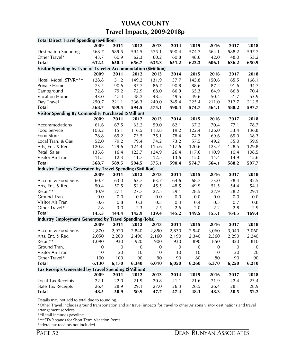# **YUMA COUNTY Travel Impacts, 2009-2018p**

| <b>Total Direct Travel Spending (\$Million)</b>                   |                  |                  |                  |                  |                  |             |                  |                  |                  |
|-------------------------------------------------------------------|------------------|------------------|------------------|------------------|------------------|-------------|------------------|------------------|------------------|
|                                                                   | 2009             | 2011             | 2012             | 2013             | 2014             | 2015        | 2016             | 2017             | 2018             |
| <b>Destination Spending</b>                                       | 568.7            | 589.5            | 594.5            | 575.1            | 590.4            | 574.7       | 564.1            | 588.2            | 597.7            |
| Other Travel*                                                     | 43.7             | 60.9             | 62.3             | 60.2             | 60.8             | 48.6        | 42.0             | 48.0             | 53.2             |
| <b>Total</b>                                                      | 612.4            | 650.4            | 656.7            | 635.3            | 651.2            | 623.3       | 606.1            | 636.2            | 650.9            |
| Visitor Spending by Type of Traveler Accommodation (\$Million)    |                  |                  |                  |                  |                  |             |                  |                  |                  |
|                                                                   | 2009             | 2011             | 2012             | 2013             | 2014             | 2015        | 2016             | 2017             | 2018             |
| Hotel, Motel, STVR***                                             | 128.8            | 151.2            | 149.2            | 131.9            | 137.7            | 145.8       | 150.6            | 165.5            | 166.1            |
| Private Home                                                      | 73.5             | 90.6             | 87.7             | 86.7             | 90.8             | 88.6        | 87.2             | 91.6             | 94.7             |
| Campground                                                        | 72.8             | 79.2             | 72.9             | 68.0             | 66.9             | 65.3        | 64.9             | 66.8             | 70.4             |
| <b>Vacation Home</b>                                              | 43.0             | 47.4             | 48.2             | 48.5             | 49.5             | 49.6        | 50.4             | 51.7             | 53.9             |
| Day Travel                                                        | 250.7            | 221.1            | 236.3            | 240.0            | 245.4            | 225.4       | 211.0            | 212.7            | 212.5            |
| <b>Total</b>                                                      | 568.7            | 589.5            | 594.5            | 575.1            | 590.4            | 574.7       | 564.1            | 588.2            | 597.7            |
| <b>Visitor Spending By Commodity Purchased (\$Million)</b>        |                  |                  |                  |                  |                  |             |                  |                  |                  |
|                                                                   | 2009             | 2011             | 2012             | 2013             | 2014             | 2015        | 2016             | 2017             | 2018             |
| Accommodations                                                    | 61.6             | 67.5             | 65.2             | 59.0             | 62.1             | 67.2        | 70.4             | 77.1             | 78.7             |
| Food Service                                                      | 108.2            | 115.1            | 116.5            | 113.8            | 119.2            | 122.4       | 126.0            | 133.4            | 136.8            |
| Food Stores                                                       | 78.8             | 69.2             | 73.5             | 75.1             | 78.4             | 74.3        | 69.6             | 69.0             | 68.3             |
| Local Tran. & Gas                                                 | 52.0             | 79.2             | 79.4             | 74.2             | 73.2             | 57.5        | 49.2             | 55.0             | 59.9             |
| Arts, Ent. & Rec.                                                 | 120.8            | 129.6            | 124.4            | 115.6            | 117.6            | 120.6       | 123.7            | 128.5            | 129.8            |
| <b>Retail Sales</b>                                               | 135.8            | 116.4            | 123.7            | 124.9            | 126.4            | 117.6       | 110.9            | 110.4            | 108.5            |
| Visitor Air Tran.                                                 | 11.5             | 12.3             | 11.7             | 12.5             | 13.6             | 15.0        | 14.4             | 14.9             | 15.6             |
| <b>Total</b>                                                      | 568.7            | 589.5            | 594.5            | 575.1            | 590.4            | 574.7       | 564.1            | 588.2            | 597.7            |
| <b>Industry Earnings Generated by Travel Spending (\$Million)</b> |                  |                  |                  |                  |                  |             |                  |                  |                  |
|                                                                   | 2009             | 2011             | 2012             | 2013             | 2014             | 2015        | 2016             | 2017             | 2018             |
| Accom. & Food Serv.                                               | 60.7             | 63.0             | 63.7             | 63.7             | 64.6             | 68.7        | 73.0             | 78.4             | 82.5             |
| Arts, Ent. & Rec.                                                 | 50.4             | 50.5             | 52.0             | 45.5             | 48.5             | 49.9        | 51.5             | 54.4             | 54.1             |
| Retail**                                                          | 30.9             | 27.1             | 27.7             | 27.5             | 29.1             | 28.5        | 27.9             | 28.2             | 29.1             |
| Ground Tran.                                                      | 0.0              | 0.0              | 0.0              | 0.0              | 0.0              | 0.0         | 0.0              | 0.0              | 0.0              |
| Visitor Air Tran.                                                 | 0.6              | 0.8              | 0.3              | 0.3              | 0.3              | 0.4         | 0.5              | 0.7              | 0.8              |
| Other Travel*                                                     | 2.8              | 3.0              | 2.3              | 2.5              | 2.6              | 2.0         | 2.2              | 2.8              | 2.9              |
| <b>Total</b>                                                      | 145.3            | 144.4            | 145.9            | 139.4            | 145.2            | 149.5       | 155.1            | 164.5            | 169.4            |
| <b>Industry Employment Generated by Travel Spending (Jobs)</b>    |                  |                  |                  |                  |                  |             |                  |                  |                  |
|                                                                   | 2009             | 2011             | 2012             | 2013             | 2014             | 2015        | 2016             | 2017             | 2018             |
| Accom. & Food Serv.                                               | 2,870            | 2,920            | 2,840            | 2,850            | 2,830            | 2,940       | 3,060            | 3,040            | 3,060            |
| Arts, Ent. & Rec.                                                 | 2,050            | 2,200            | 2,490            | 2,160            | 2,190            | 2,340       | 2,360            | 2,290            | 2,240            |
| Retail**                                                          | 1,090            | 930              | 920              | 900              | 930              | 890         | 850              | 820              | 810              |
| Ground Tran.                                                      | $\boldsymbol{0}$ | $\boldsymbol{0}$ | $\boldsymbol{0}$ | $\boldsymbol{0}$ | $\boldsymbol{0}$ | $\mathbf 0$ | $\boldsymbol{0}$ | $\boldsymbol{0}$ | $\boldsymbol{0}$ |
| Visitor Air Tran.                                                 | 10               | 20               | 10               | 10               | 10               | 10          | 10               | 20               | 20               |
| Other Travel*                                                     | 100              | 100              | 90               | 90               | 90               | 80          | 80               | 90               | 90               |
| <b>Total</b>                                                      | 6,130            | 6,170            | 6,340            | 6,010            | 6,050            | 6,260       | 6,370            | 6,250            | 6,210            |
| Tax Receipts Generated by Travel Spending (\$Million)             |                  |                  |                  |                  |                  |             |                  |                  |                  |
|                                                                   | 2009             | 2011             | 2012             | 2013             | 2014             | 2015        | 2016             | 2017             | 2018             |
| Local Tax Receipts                                                | 22.1             | 22.0             | 21.9             | 20.8             | 21.1             | 21.6        | 21.9             | 22.4             | 23.4             |
| <b>State Tax Receipts</b>                                         | 26.4             | 28.9             | 29.1             | 27.0             | 26.3             | 26.5        | 26.4             | 28.1             | 28.9             |
| <b>Total</b>                                                      | 48.5             | 50.9             | 50.9             | 47.7             | 47.4             | 48.1        | 48.3             | 50.5             | 52.2             |

Details may not add to total due to rounding.

\*Other Travel includes ground transportation and air travel impacts for travel to other Arizona visitor destinations and travel arrangement services.

\*\*Retail includes gasoline.

\*\*\*STVR stands for Short Term Vacation Rental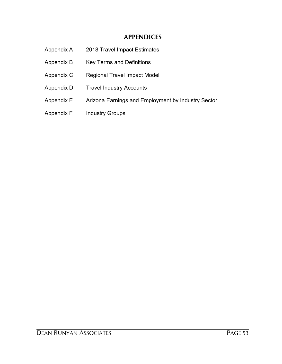### **APPENDICES**

| Appendix A | 2018 Travel Impact Estimates                       |
|------------|----------------------------------------------------|
| Appendix B | <b>Key Terms and Definitions</b>                   |
| Appendix C | <b>Regional Travel Impact Model</b>                |
| Appendix D | <b>Travel Industry Accounts</b>                    |
| Appendix E | Arizona Earnings and Employment by Industry Sector |
| Appendix F | <b>Industry Groups</b>                             |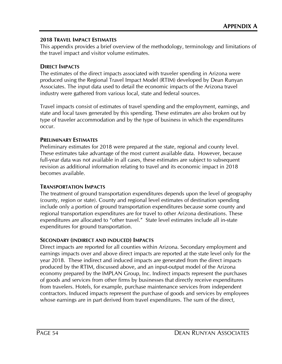#### **2018 TRAVEL IMPACT ESTIMATES**

This appendix provides a brief overview of the methodology, terminology and limitations of the travel impact and visitor volume estimates.

#### **DIRECT IMPACTS**

The estimates of the direct impacts associated with traveler spending in Arizona were produced using the Regional Travel Impact Model (RTIM) developed by Dean Runyan Associates. The input data used to detail the economic impacts of the Arizona travel industry were gathered from various local, state and federal sources.

Travel impacts consist of estimates of travel spending and the employment, earnings, and state and local taxes generated by this spending. These estimates are also broken out by type of traveler accommodation and by the type of business in which the expenditures occur.

#### **PRELIMINARY ESTIMATES**

Preliminary estimates for 2018 were prepared at the state, regional and county level. These estimates take advantage of the most current available data. However, because full-year data was not available in all cases, these estimates are subject to subsequent revision as additional information relating to travel and its economic impact in 2018 becomes available.

#### **TRANSPORTATION IMPACTS**

The treatment of ground transportation expenditures depends upon the level of geography (county, region or state). County and regional level estimates of destination spending include only a portion of ground transportation expenditures because some county and regional transportation expenditures are for travel to other Arizona destinations. These expenditures are allocated to "other travel." State level estimates include all in-state expenditures for ground transportation.

#### **SECONDARY (INDIRECT AND INDUCED) IMPACTS**

Direct impacts are reported for all counties within Arizona. Secondary employment and earnings impacts over and above direct impacts are reported at the state level only for the year 2018. These indirect and induced impacts are generated from the direct impacts produced by the RTIM, discussed above, and an input-output model of the Arizona economy prepared by the IMPLAN Group, Inc. Indirect impacts represent the purchases of goods and services from other firms by businesses that directly receive expenditures from travelers. Hotels, for example, purchase maintenance services from independent contractors. Induced impacts represent the purchase of goods and services by employees whose earnings are in part derived from travel expenditures. The sum of the direct,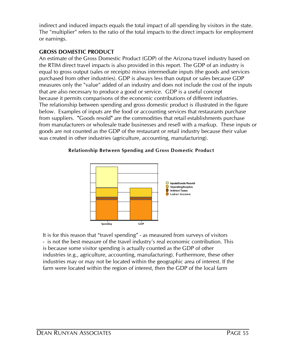indirect and induced impacts equals the total impact of all spending by visitors in the state. The "multiplier" refers to the ratio of the total impacts to the direct impacts for employment or earnings.

#### **GROSS DOMESTIC PRODUCT**

An estimate of the Gross Domestic Product (GDP) of the Arizona travel industry based on the RTIM direct travel impacts is also provided in this report. The GDP of an industry is equal to gross output (sales or receipts) minus intermediate inputs (the goods and services purchased from other industries). GDP is always less than output or sales because GDP measures only the "value" added of an industry and does not include the cost of the inputs that are also necessary to produce a good or service. GDP is a useful concept because it permits comparisons of the economic contributions of different industries. The relationship between spending and gross domestic product is illustrated in the figure below. Examples of inputs are the food or accounting services that restaurants purchase from suppliers. "Goods resold" are the commodities that retail establishments purchase from manufacturers or wholesale trade businesses and resell with a markup. These inputs or goods are not counted as the GDP of the restaurant or retail industry because their value was created in other industries (agriculture, accounting, manufacturing).

#### **Relationship Between Spending and Gross Domestic Product**



It is for this reason that "travel spending" - as measured from surveys of visitors - is not the best measure of the travel industry's real economic contribution. This is because some visitor spending is actually counted as the GDP of other industries (e.g., agriculture, accounting, manufacturing). Furthermore, these other industries may or may not be located within the geographic area of interest. If the farm were located within the region of interest, then the GDP of the local farm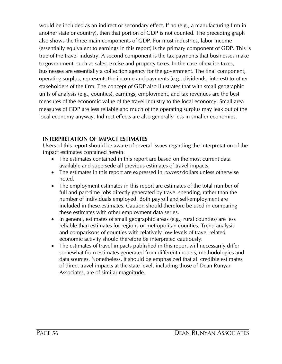would be included as an indirect or secondary effect. If no (e.g., a manufacturing firm in another state or country), then that portion of GDP is not counted. The preceding graph also shows the three main components of GDP. For most industries, labor income (essentially equivalent to earnings in this report) is the primary component of GDP. This is true of the travel industry. A second component is the tax payments that businesses make to government, such as sales, excise and property taxes. In the case of excise taxes, businesses are essentially a collection agency for the government. The final component, operating surplus, represents the income and payments (e.g., dividends, interest) to other stakeholders of the firm. The concept of GDP also illustrates that with small geographic units of analysis (e.g., counties), earnings, employment, and tax revenues are the best measures of the economic value of the travel industry to the local economy. Small area measures of GDP are less reliable and much of the operating surplus may leak out of the local economy anyway. Indirect effects are also generally less in smaller economies.

#### **INTERPRETATION OF IMPACT ESTIMATES**

Users of this report should be aware of several issues regarding the interpretation of the impact estimates contained herein:

- The estimates contained in this report are based on the most current data available and supersede all previous estimates of travel impacts.
- The estimates in this report are expressed in *current* dollars unless otherwise noted.
- · The employment estimates in this report are estimates of the total number of full and part-time jobs directly generated by travel spending, rather than the number of individuals employed. Both payroll and self-employment are included in these estimates. Caution should therefore be used in comparing these estimates with other employment data series.
- In general, estimates of small geographic areas (e.g., rural counties) are less reliable than estimates for regions or metropolitan counties. Trend analysis and comparisons of counties with relatively low levels of travel related economic activity should therefore be interpreted cautiously.
- The estimates of travel impacts published in this report will necessarily differ somewhat from estimates generated from different models, methodologies and data sources. Nonetheless, it should be emphasized that all credible estimates of direct travel impacts at the state level, including those of Dean Runyan Associates, are of similar magnitude.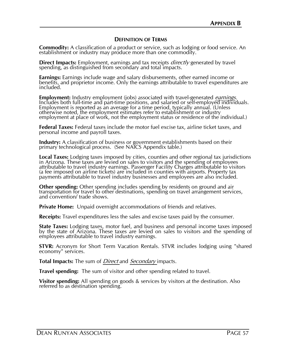#### **DEFINITION OF TERMS**

**Commodity:** A classification of a product or service, such as lodging or food service. An establishment or industry may produce more than one commodity.

**Direct Impacts:** Employment, earnings and tax receipts *directly* generated by travel spending, as distinguished from secondary and total impacts.

**Earnings:** Earnings include wage and salary disbursements, other earned income or benefits, and proprietor income. Only the earnings attributable to travel expenditures are included.

**Employment:** Industry employment (jobs) associated with travel-generated *earnings*. Includes both full-time and part-time positions, and salaried or self-employed individuals. Employment is reported as an average for a time period, typically annual. (Unless otherwise noted, the employment estimates refer to establishment or industry employment at place of work, not the employment status or residence of the individual.)

**Federal Taxes:** Federal taxes include the motor fuel excise tax, airline ticket taxes, and personal income and payroll taxes.

**Industry:** A classification of business or government establishments based on their primary technological process. (See NAICS Appendix table.)

**Local Taxes:** Lodging taxes imposed by cities, counties and other regional tax jurisdictions in Arizona. These taxes are levied on sales to visitors and the spending of employees attributable to travel industry earnings. Passenger Facility Charges attributable to visitors (a fee imposed on airline tickets) are included in counties with airports. Property tax payments attributable to travel industry businesses and employees are also included.

**Other spending:** Other spending includes spending by residents on ground and air transportation for travel to other destinations, spending on travel arrangement services, and convention/ trade shows.

**Private Home:** Unpaid overnight accommodations of friends and relatives.

**Receipts:** Travel expenditures less the sales and excise taxes paid by the consumer.

**State Taxes:** Lodging taxes, motor fuel, and business and personal income taxes imposed by the state of Arizona. These taxes are levied on sales to visitors and the spending of employees attributable to travel industry earnings.

**STVR:** Acronym for Short Term Vacation Rentals. STVR includes lodging using "shared economy" services.

**Total Impacts:** The sum of *Direct* and *Secondary* impacts.

**Travel spending:** The sum of visitor and other spending related to travel.

**Visitor spending:** All spending on goods & services by visitors at the destination. Also referred to as destination spending.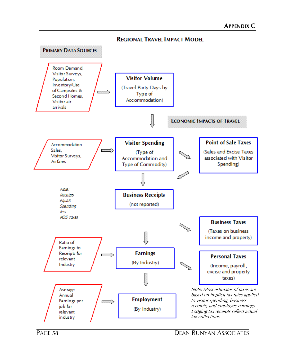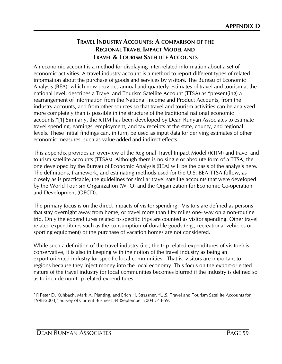#### **TRAVEL INDUSTRY ACCOUNTS: A COMPARISON OF THE REGIONAL TRAVEL IMPACT MODEL AND TRAVEL & TOURISM SATELLITE ACCOUNTS**

An economic account is a method for displaying inter-related information about a set of economic activities. A travel industry account is a method to report different types of related information about the purchase of goods and services by visitors. The Bureau of Economic Analysis (BEA), which now provides annual and quarterly estimates of travel and tourism at the national level, describes a Travel and Tourism Satellite Account (TTSA) as "present(ing) a rearrangement of information from the National Income and Product Accounts, from the industry accounts, and from other sources so that travel and tourism activities can be analyzed more completely than is possible in the structure of the traditional national economic accounts."[1] Similarly, the RTIM has been developed by Dean Runyan Associates to estimate travel spending, earnings, employment, and tax receipts at the state, county, and regional levels. These initial findings can, in turn, be used as input data for deriving estimates of other economic measures, such as value-added and indirect effects.

This appendix provides an overview of the Regional Travel Impact Model (RTIM) and travel and tourism satellite accounts (TTSAs). Although there is no single or absolute form of a TTSA, the one developed by the Bureau of Economic Analysis (BEA) will be the basis of the analysis here. The definitions, framework, and estimating methods used for the U.S. BEA TTSA follow, as closely as is practicable, the guidelines for similar travel satellite accounts that were developed by the World Tourism Organization (WTO) and the Organization for Economic Co-operation and Development (OECD).

The primary focus is on the direct impacts of visitor spending. Visitors are defined as persons that stay overnight away from home, or travel more than fifty miles one- way on a non-routine trip. Only the expenditures related to specific trips are counted as visitor spending. Other travel related expenditures such as the consumption of durable goods (e.g., recreational vehicles or sporting equipment) or the purchase of vacation homes are not considered.

While such a definition of the travel industry (i.e., the trip related expenditures of visitors) is conservative, it is also in keeping with the notion of the travel industry as being an export-oriented industry for specific local communities. That is, visitors are important to regions because they inject money into the local economy. This focus on the export-oriented nature of the travel industry for local communities becomes blurred if the industry is defined so as to include non-trip related expenditures.

[1] Peter D. Kuhbach, Mark A. Planting, and Erich H. Strassner, "U.S. Travel and Tourism Satellite Accounts for 1998-2003," Survey of Current Business 84 (September 2004): 43-59.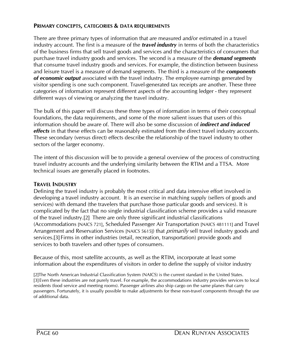#### **PRIMARY CONCEPTS, CATEGORIES & DATA REQUIREMENTS**

There are three primary types of information that are measured and/or estimated in a travel industry account. The first is a measure of the *travel industry* in terms of both the characteristics of the business firms that sell travel goods and services and the characteristics of consumers that purchase travel industry goods and services. The second is a measure of the *demand segments*  that consume travel industry goods and services. For example, the distinction between business and leisure travel is a measure of demand segments. The third is a measure of the *components of economic output* associated with the travel industry. The employee earnings generated by visitor spending is one such component. Travel-generated tax receipts are another. These three categories of information represent different aspects of the accounting ledger - they represent different ways of viewing or analyzing the travel industry.

The bulk of this paper will discuss these three types of information in terms of their conceptual foundations, the data requirements, and some of the more salient issues that users of this information should be aware of. There will also be some discussion of *indirect and induced effects* in that these effects can be reasonably estimated from the direct travel industry accounts. These secondary (versus direct) effects describe the relationship of the travel industry to other sectors of the larger economy.

The intent of this discussion will be to provide a general overview of the process of constructing travel industry accounts and the underlying similarity between the RTIM and a TTSA. More technical issues are generally placed in footnotes.

#### **TRAVEL INDUSTRY**

Defining the travel industry is probably the most critical and data intensive effort involved in developing a travel industry account. It is an exercise in matching supply (sellers of goods and services) with demand (the travelers that purchase those particular goods and services). It is complicated by the fact that no single industrial classification scheme provides a valid measure of the travel industry.[2] There are only three significant industrial classifications (Accommodations [NAICS 721], Scheduled Passenger Air Transportation [NAICS 481111] and Travel Arrangement and Reservation Services [NAICS 5615]) that *primarily* sell travel industry goods and services.[3] Firms in other industries (retail, recreation, transportation) provide goods and services to both travelers and other types of consumers.

Because of this, most satellite accounts, as well as the RTIM, incorporate at least some information about the expenditures of visitors in order to define the supply of visitor industry

[2]The North American Industrial Classification System (NAICS) is the current standard in the United States. [3] Even these industries are not purely travel. For example, the accommodations industry provides services to local residents (food service and meeting rooms). Passenger airlines also ship cargo on the same planes that carry passengers. Fortunately, it is usually possible to make adjustments for these non-travel components through the use of additional data.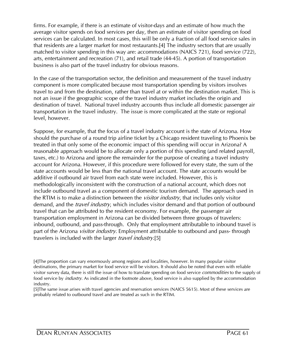firms. For example, if there is an estimate of visitor-days and an estimate of how much the average visitor spends on food services per day, then an estimate of visitor spending on food services can be calculated. In most cases, this will be only a fraction of all food service sales in that residents are a larger market for most restaurants.[4] The industry sectors that are usually matched to visitor spending in this way are: accommodations (NAICS 721), food service (722), arts, entertainment and recreation (71), and retail trade (44-45). A portion of transportation business is also part of the travel industry for obvious reasons.

In the case of the transportation sector, the definition and measurement of the travel industry component is more complicated because most transportation spending by visitors involves travel to and from the destination, rather than travel at or within the destination market. This is not an issue if the geographic scope of the travel industry market includes the origin and destination of travel. National travel industry accounts thus include all domestic passenger air transportation in the travel industry. The issue is more complicated at the state or regional level, however.

Suppose, for example, that the focus of a travel industry account is the state of Arizona. How should the purchase of a round trip airline ticket by a Chicago resident traveling to Phoenix be treated in that only some of the economic impact of this spending will occur in Arizona? A reasonable approach would be to allocate only a portion of this spending (and related payroll, taxes, etc.) to Arizona and ignore the remainder for the purpose of creating a travel industry account for Arizona. However, if this procedure were followed for every state, the sum of the state accounts would be less than the national travel account. The state accounts would be additive if outbound air travel from each state were included. However, this is methodologically inconsistent with the construction of a national account, which does not include outbound travel as a component of domestic tourism demand. The approach used in the RTIM is to make a distinction between the *visitor industry*, that includes only visitor demand, and the *travel industry*, which includes visitor demand and that portion of outbound travel that can be attributed to the resident economy. For example, the passenger air transportation employment in Arizona can be divided between three groups of travelers: inbound, outbound, and pass-through. Only that employment attributable to inbound travel is part of the Arizona *visitor industry*. Employment attributable to outbound and pass- through travelers is included with the larger *travel industry*.[5]

<sup>[4]</sup>The proportion can vary enormously among regions and localities, however. In many popular visitor destinations, the primary market for food service will be visitors. It should also be noted that even with reliable visitor survey data, there is still the issue of how to translate spending on food service *commodities* to the supply of food service by *industry*. As indicated in the footnote above, food service is also supplied by the accommodation industry.

<sup>[5]</sup>The same issue arises with travel agencies and reservation services (NAICS 5615). Most of these services are probably related to outbound travel and are treated as such in the RTIM.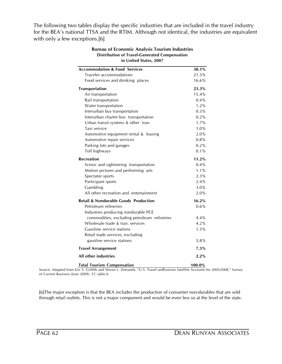The following two tables display the specific industries that are included in the travel industry for the BEA's national TTSA and the RTIM. Although not identical, the industries are equivalent with only a few exceptions.[6]

| <b>Accommodation &amp; Food Services</b>        |                |
|-------------------------------------------------|----------------|
| Traveler accommodations                         | 38.1%<br>21.5% |
| Food services and drinking places               | 16.6%          |
|                                                 |                |
| Transportation                                  | 23.3%          |
| Air transportation                              | 15.4%          |
| Rail transportation                             | $0.4\%$        |
| Water transportation                            | 1.2%           |
| Interurban bus transportation                   | $0.3\%$        |
| Interurban charter bus transportation           | $0.2\%$        |
| Urban transit systems & other tran.             | 1.7%           |
| Taxi service                                    | 1.0%           |
| Automotive equipment rental & leasing           | 2.0%           |
| Automotive repair services                      | 0.8%           |
| Parking lots and garages                        | $0.2\%$        |
| Toll highways                                   | $0.1\%$        |
| <b>Recreation</b>                               | 11.2%          |
| Scenic and sightseeing transportation           | $0.4\%$        |
| Motion pictures and performing arts             | 1.1%           |
| Spectator sports                                | 2.3%           |
| Participant sports                              | 2.4%           |
| Gambling                                        | 3.0%           |
| All other recreation and entertainment          | 2.0%           |
| <b>Retail &amp; Nondurable Goods Production</b> | 16.2%          |
| Petroleum refineries                            | 0.6%           |
| Industries producing nondurable PCE             |                |
| commodities, excluding petroleum refineries     | $4.4\%$        |
| Wholesale trade & tran. services                | 4.2%           |
| Gasoline service stations                       | 1.3%           |
| Retail trade services, excluding                |                |
| gasoline service stations                       | 5.8%           |
| <b>Travel Arrangement</b>                       | 7.3%           |
| All other industries                            | 2.2%           |
|                                                 |                |

#### **Bureau of Economic Analysis Tourism Industries Distribution of Travel-Generated Compensation in United States, 2007**

**Total Tourism Compensation 100.0%** Source: Adapted from Eric S. Griffith and Steven L. Zemanek, "U.S. Travel and Tourism Satellite Accounts for 2005-2008," Survey of Current Business (June 2009): 37, table 6.

[6]The major exception is that the BEA includes the production of consumer non-durables that are sold through retail outlets. This is not a major component and would be even less so at the level of the state.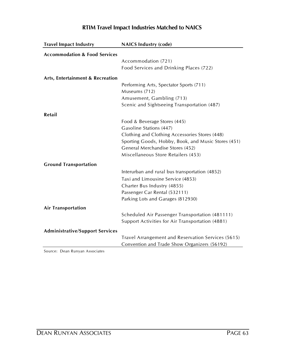| <b>RTIM Travel Impact Industries Matched to NAICS</b> |  |  |  |
|-------------------------------------------------------|--|--|--|
|-------------------------------------------------------|--|--|--|

| <b>Travel Impact Industry</b>               | <b>NAICS Industry (code)</b>                        |  |
|---------------------------------------------|-----------------------------------------------------|--|
| <b>Accommodation &amp; Food Services</b>    |                                                     |  |
|                                             | Accommodation (721)                                 |  |
|                                             | Food Services and Drinking Places (722)             |  |
| <b>Arts, Entertainment &amp; Recreation</b> |                                                     |  |
|                                             | Performing Arts, Spectator Sports (711)             |  |
|                                             | Museums (712)                                       |  |
|                                             | Amusement, Gambling (713)                           |  |
|                                             | Scenic and Sightseeing Transportation (487)         |  |
| Retail                                      |                                                     |  |
|                                             | Food & Beverage Stores (445)                        |  |
|                                             | Gasoline Stations (447)                             |  |
|                                             | Clothing and Clothing Accessories Stores (448)      |  |
|                                             | Sporting Goods, Hobby, Book, and Music Stores (451) |  |
|                                             | General Merchandise Stores (452)                    |  |
|                                             | Miscellaneous Store Retailers (453)                 |  |
| <b>Ground Transportation</b>                |                                                     |  |
|                                             | Interurban and rural bus transportation (4852)      |  |
|                                             | Taxi and Limousine Service (4853)                   |  |
|                                             | Charter Bus Industry (4855)                         |  |
|                                             | Passenger Car Rental (532111)                       |  |
|                                             | Parking Lots and Garages (812930)                   |  |
| <b>Air Transportation</b>                   |                                                     |  |
|                                             | Scheduled Air Passenger Transportation (481111)     |  |
|                                             | Support Activities for Air Transportation (4881)    |  |
| <b>Administrative/Support Services</b>      |                                                     |  |
|                                             | Travel Arrangement and Reservation Services (5615)  |  |
|                                             | Convention and Trade Show Organizers (56192)        |  |
|                                             |                                                     |  |

Source: Dean Runyan Associates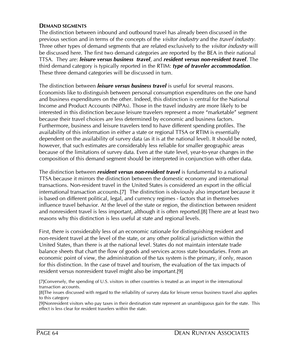#### **DEMAND SEGMENTS**

The distinction between inbound and outbound travel has already been discussed in the previous section and in terms of the concepts of the *visitor industry* and the *travel industry*. Three other types of demand segments that are related exclusively to the *visitor industry* will be discussed here. The first two demand categories are reported by the BEA in their national TTSA. They are: *leisure versus business travel*, and *resident versus non-resident travel*. The third demand category is typically reported in the RTIM: *type of traveler accommodation*. These three demand categories will be discussed in turn.

The distinction between *leisure versus business travel* is useful for several reasons. Economists like to distinguish between personal consumption expenditures on the one hand and business expenditures on the other. Indeed, this distinction is central for the National Income and Product Accounts (NIPAs). Those in the travel industry are more likely to be interested in this distinction because leisure travelers represent a more "marketable" segment because their travel choices are less determined by economic and business factors. Furthermore, business and leisure travelers tend to have different spending profiles. The availability of this information in either a state or regional TTSA or RTIM is essentially dependent on the availability of survey data (as it is at the national level). It should be noted, however, that such estimates are considerably less reliable for smaller geographic areas because of the limitations of survey data. Even at the state level, year-to-year changes in the composition of this demand segment should be interpreted in conjunction with other data.

The distinction between *resident versus non-resident travel* is fundamental to a national TTSA because it mirrors the distinction between the domestic economy and international transactions. Non-resident travel in the United States is considered an export in the official international transaction accounts.[7] The distinction is obviously also important because it is based on different political, legal, and currency regimes - factors that in themselves influence travel behavior. At the level of the state or region, the distinction between resident and nonresident travel is less important, although it is often reported.[8] There are at least two reasons why this distinction is less useful at state and regional levels.

First, there is considerably less of an economic rationale for distinguishing resident and non-resident travel at the level of the state, or any other political jurisdiction within the United States, than there is at the national level. States do not maintain interstate trade balance sheets that chart the flow of goods and services across state boundaries. From an economic point of view, the administration of the tax system is the primary, if only, reason for this distinction. In the case of travel and tourism, the evaluation of the tax impacts of resident versus nonresident travel might also be important.[9]

[7]Conversely, the spending of U.S. visitors in other countries is treated as an import in the international transaction accounts.

[8]The issues discussed with regard to the reliability of survey data for leisure versus business travel also applies to this category

[9]Nonresident visitors who pay taxes in their destination state represent an unambiguous gain for the state. This effect is less clear for resident travelers within the state.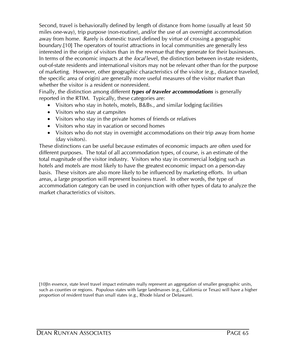Second, travel is behaviorally defined by length of distance from home (usually at least 50 miles one-way), trip purpose (non-routine), and/or the use of an overnight accommodation away from home. Rarely is domestic travel defined by virtue of crossing a geographic boundary.[10] The operators of tourist attractions in local communities are generally less interested in the origin of visitors than in the revenue that they generate for their businesses. In terms of the economic impacts at the *local* level, the distinction between in-state residents, out-of-state residents and international visitors may not be relevant other than for the purpose of marketing. However, other geographic characteristics of the visitor (e.g., distance traveled, the specific area of origin) are generally more useful measures of the visitor market than whether the visitor is a resident or nonresident.

Finally, the distinction among different *types of traveler accommodations* is generally reported in the RTIM. Typically, these categories are:

- Visitors who stay in hotels, motels, B&Bs., and similar lodging facilities
- · Visitors who stay at campsites
- · Visitors who stay in the private homes of friends or relatives
- · Visitors who stay in vacation or second homes
- Visitors who do not stay in overnight accommodations on their trip away from home (day visitors).

These distinctions can be useful because estimates of economic impacts are often used for different purposes. The total of all accommodation types, of course, is an estimate of the total magnitude of the visitor industry. Visitors who stay in commercial lodging such as hotels and motels are most likely to have the greatest economic impact on a person-day basis. These visitors are also more likely to be influenced by marketing efforts. In urban areas, a large proportion will represent business travel. In other words, the type of accommodation category can be used in conjunction with other types of data to analyze the market characteristics of visitors.

[10]In essence, state level travel impact estimates really represent an aggregation of smaller geographic units, such as counties or regions. Populous states with large landmasses (e.g., California or Texas) will have a higher proportion of resident travel than small states (e.g., Rhode Island or Delaware).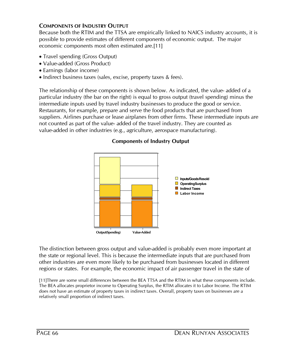# **COMPONENTS OF INDUSTRY OUTPUT**

Because both the RTIM and the TTSA are empirically linked to NAICS industry accounts, it is possible to provide estimates of different components of economic output. The major economic components most often estimated are.[11]

- Travel spending (Gross Output)
- · Value-added (Gross Product)
- Earnings (labor income)
- Indirect business taxes (sales, excise, property taxes & fees).

The relationship of these components is shown below. As indicated, the value- added of a particular industry (the bar on the right) is equal to gross output (travel spending) minus the intermediate inputs used by travel industry businesses to produce the good or service. Restaurants, for example, prepare and serve the food products that are purchased from suppliers. Airlines purchase or lease airplanes from other firms. These intermediate inputs are not counted as part of the value- added of the travel industry. They are counted as value-added in other industries (e.g., agriculture, aerospace manufacturing).

# **Components of Industry Output**



The distinction between gross output and value-added is probably even more important at the state or regional level. This is because the intermediate inputs that are purchased from other industries are even more likely to be purchased from businesses located in different regions or states. For example, the economic impact of air passenger travel in the state of

[11]There are some small differences between the BEA TTSA and the RTIM in what these components include. The BEA allocates proprietor income to Operating Surplus, the RTIM allocates it to Labor Income. The RTIM does not have an estimate of property taxes in indirect taxes. Overall, property taxes on businesses are a relatively small proportion of indirect taxes.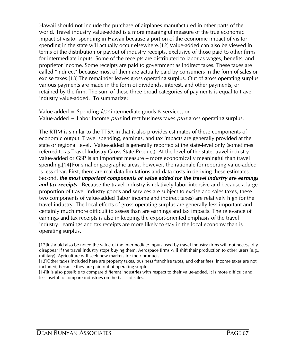Hawaii should not include the purchase of airplanes manufactured in other parts of the world. Travel industry value-added is a more meaningful measure of the true economic impact of visitor spending in Hawaii because a portion of the economic impact of visitor spending in the state will actually occur elsewhere.[12] Value-added can also be viewed in terms of the distribution or payout of industry receipts, exclusive of those paid to other firms for intermediate inputs. Some of the receipts are distributed to labor as wages, benefits, and proprietor income. Some receipts are paid to government as indirect taxes. These taxes are called "indirect" because most of them are actually paid by consumers in the form of sales or excise taxes.[13] The remainder leaves gross operating surplus. Out of gross operating surplus various payments are made in the form of dividends, interest, and other payments, or retained by the firm. The sum of these three broad categories of payments is equal to travel industry value-added. To summarize:

Value-added = Spending *less* intermediate goods & services, or Value-added = Labor Income *plus* indirect business taxes *plus* gross operating surplus.

The RTIM is similar to the TTSA in that it also provides estimates of these components of economic output. Travel spending, earnings, and tax impacts are generally provided at the state or regional level. Value-added is generally reported at the state-level only (sometimes referred to as Travel Industry Gross State Product). At the level of the state, travel industry value-added or GSP is an important measure – more economically meaningful than travel spending.[14] For smaller geographic areas, however, the rationale for reporting value-added is less clear. First, there are real data limitations and data costs in deriving these estimates. Second, *the most important components of value added for the travel industry are earnings and tax receipts*. Because the travel industry is relatively labor intensive and because a large proportion of travel industry goods and services are subject to excise and sales taxes, these two components of value-added (labor income and indirect taxes) are relatively high for the travel industry. The local effects of gross operating surplus are generally less important and certainly much more difficult to assess than are earnings and tax impacts. The relevance of earnings and tax receipts is also in keeping the export-oriented emphasis of the travel industry: earnings and tax receipts are more likely to stay in the local economy than is operating surplus.

[12]It should also be noted the value of the intermediate inputs used by travel industry firms will not necessarily disappear if the travel industry stops buying them. Aerospace firms will shift their production to other users (e.g., military). Agriculture will seek new markets for their products.

[13]Other taxes included here are property taxes, business franchise taxes, and other fees. Income taxes are not included, because they are paid out of operating surplus.

[14]It is also possible to compare different industries with respect to their value-added. It is more difficult and less useful to compare industries on the basis of sales.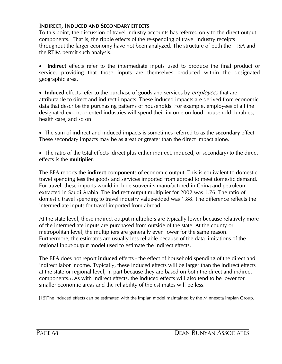# **INDIRECT, INDUCED AND SECONDARY EFFECTS**

To this point, the discussion of travel industry accounts has referred only to the direct output components. That is, the ripple effects of the re-spending of travel industry receipts throughout the larger economy have not been analyzed. The structure of both the TTSA and the RTIM permit such analysis.

· **Indirect** effects refer to the intermediate inputs used to produce the final product or service, providing that those inputs are themselves produced within the designated geographic area.

• **Induced** effects refer to the purchase of goods and services by *employees* that are attributable to direct and indirect impacts. These induced impacts are derived from economic data that describe the purchasing patterns of households. For example, employees of all the designated export-oriented industries will spend their income on food, household durables, health care, and so on.

· The sum of indirect and induced impacts is sometimes referred to as the **secondary** effect. These secondary impacts may be as great or greater than the direct impact alone.

• The ratio of the total effects (direct plus either indirect, induced, or secondary) to the direct effects is the **multiplier**.

The BEA reports the **indirect** components of economic output. This is equivalent to domestic travel spending less the goods and services imported from abroad to meet domestic demand. For travel, these imports would include souvenirs manufactured in China and petroleum extracted in Saudi Arabia. The indirect output multiplier for 2002 was 1.76. The ratio of domestic travel spending to travel industry value-added was 1.88. The difference reflects the intermediate inputs for travel imported from abroad.

At the state level, these indirect output multipliers are typically lower because relatively more of the intermediate inputs are purchased from outside of the state. At the county or metropolitan level, the multipliers are generally even lower for the same reason. Furthermore, the estimates are usually less reliable because of the data limitations of the regional input-output model used to estimate the indirect effects.

The BEA does not report **induced** effects - the effect of household spending of the direct and indirect labor income. Typically, these induced effects will be larger than the indirect effects at the state or regional level, in part because they are based on both the direct and indirect components.15 As with indirect effects, the induced effects will also tend to be lower for smaller economic areas and the reliability of the estimates will be less.

[15]The induced effects can be estimated with the Implan model maintained by the Minnesota Implan Group.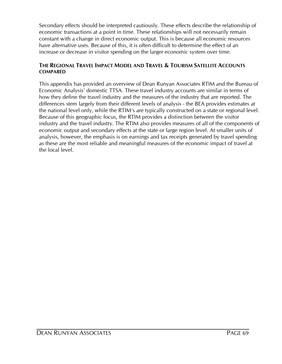Secondary effects should be interpreted cautiously. These effects describe the relationship of economic transactions at a point in time. These relationships will not necessarily remain constant with a change in direct economic output. This is because all economic resources have alternative uses. Because of this, it is often difficult to determine the effect of an increase or decrease in visitor spending on the larger economic system over time.

## **THE REGIONAL TRAVEL IMPACT MODEL AND TRAVEL & TOURISM SATELLITE ACCOUNTS COMPARED**

This appendix has provided an overview of Dean Runyan Associates RTIM and the Bureau of Economic Analysis' domestic TTSA. These travel industry accounts are similar in terms of how they define the travel industry and the measures of the industry that are reported. The differences stem largely from their different levels of analysis - the BEA provides estimates at the national level only, while the RTIM's are typically constructed on a state or regional level. Because of this geographic focus, the RTIM provides a distinction between the visitor industry and the travel industry. The RTIM also provides measures of all of the components of economic output and secondary effects at the state or large region level. At smaller units of analysis, however, the emphasis is on earnings and tax receipts generated by travel spending as these are the most reliable and meaningful measures of the economic impact of travel at the local level.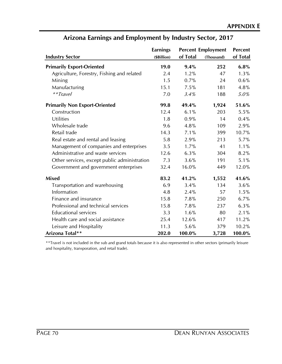|                                              | <b>Earnings</b> | <b>Percent Employment</b> |            | <b>Percent</b> |
|----------------------------------------------|-----------------|---------------------------|------------|----------------|
| <b>Industry Sector</b>                       | (\$Billion)     | of Total                  | (Thousand) | of Total       |
| <b>Primarily Export-Oriented</b>             | 19.0            | 9.4%                      | 252        | 6.8%           |
| Agriculture, Forestry, Fishing and related   | 2.4             | 1.2%                      | 47         | 1.3%           |
| Mining                                       | 1.5             | 0.7%                      | 24         | 0.6%           |
| Manufacturing                                | 15.1            | 7.5%                      | 181        | 4.8%           |
| **Travel                                     | 7.0             | 3.4%                      | 188        | 5.0%           |
| <b>Primarily Non Export-Oriented</b>         | 99.8            | 49.4%                     | 1,924      | 51.6%          |
| Construction                                 | 12.4            | 6.1%                      | 203        | 5.5%           |
| <b>Utilities</b>                             | 1.8             | 0.9%                      | 14         | 0.4%           |
| Wholesale trade                              | 9.6             | 4.8%                      | 109        | 2.9%           |
| Retail trade                                 | 14.3            | 7.1%                      | 399        | 10.7%          |
| Real estate and rental and leasing           | 5.8             | 2.9%                      | 213        | 5.7%           |
| Management of companies and enterprises      | 3.5             | 1.7%                      | 41         | 1.1%           |
| Administrative and waste services            | 12.6            | 6.3%                      | 304        | 8.2%           |
| Other services, except public administration | 7.3             | 3.6%                      | 191        | 5.1%           |
| Government and government enterprises        | 32.4            | 16.0%                     | 449        | 12.0%          |
| <b>Mixed</b>                                 | 83.2            | 41.2%                     | 1,552      | 41.6%          |
| Transportation and warehousing               | 6.9             | 3.4%                      | 134        | 3.6%           |
| Information                                  | 4.8             | 2.4%                      | 57         | 1.5%           |
| Finance and insurance                        | 15.8            | 7.8%                      | 250        | 6.7%           |
| Professional and technical services          | 15.8            | 7.8%                      | 237        | 6.3%           |
| <b>Educational services</b>                  | 3.3             | 1.6%                      | 80         | 2.1%           |
| Health care and social assistance            | 25.4            | 12.6%                     | 417        | 11.2%          |
| Leisure and Hospitality                      | 11.3            | 5.6%                      | 379        | 10.2%          |
| Arizona Total**                              | 202.0           | 100.0%                    | 3,728      | 100.0%         |

# **Arizona Earnings and Employment by Industry Sector, 2017**

\*\*Travel is not included in the sub and grand totals because it is also represented in other sectors (primarily leisure and hospitality, transporation, and retail trade).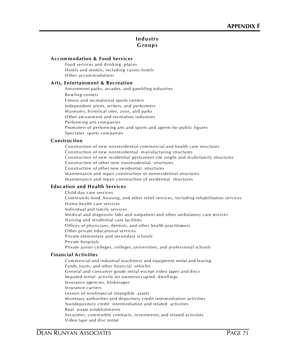## **Industry G roups**

## **Accommodation & Food Services**

Food services and drinking places Hotels and m otels, including casino hotels O ther accom m odations

#### **Arts, Entertainment & Recreation**

Am usem ent parks, arcades, and gam bling industries Bowling centers Fitness and recreational sports centers Independent artists, writers, and perform ers M useum s, historical sites, zoos, and parks Other am usement and recreation industries Perform ing arts com panies Prom oters of perform ing arts and sports and agents for public figures Spectator sports com panies

#### **Construction**

Construction of new nonresidential commercial and health care structures Construction of new nonresidential m anufacturing structures Construction of new residential perm anent site single- and m ulti-fam ily structures Construction of other new nonresidential structures Construction of other new residential structures M aintenance and repair construction of nonresidential structures M aintenance and repair construction of residential structures

## **Education and Health Services**

Child day care services Com m unity food, housing, and other relief services, including rehabilitation services Hom e health care services Individual and fam ily services Medical and diagnostic labs and outpatient and other ambulatory care services Nursing and residential care facilities O ffices of physicians, dentists, and other health practitioners O ther private educational services Private elem entary and secondary schools Private hospitals Private junior colleges, colleges, universities, and professional schools

## **Financial Activities**

Commercial and industrial machinery and equipment rental and leasing Funds, trusts, and other financial vehicles General and consum er goods rental except video tapes and discs Im puted rental activity for owner-occupied dwellings Insurance agencies, brokerages Insurance carriers Lessors of nonfinancial intangible assets M onetary authorities and depository credit interm ediation activities Nondepository credit interm ediation and related activities Real estate establishm ents Securities, commodity contracts, investments, and related activities Video tape and disc rental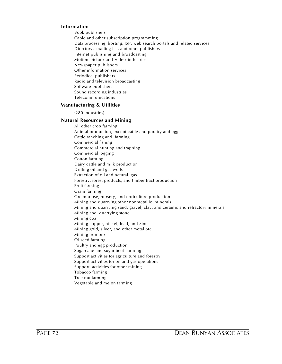#### **Information**

Book publishers Cable and other subscription programming Data processing, hosting, ISP, web search portals and related services Directory, mailing list, and other publishers Internet publishing and broadcasting Motion picture and video industries Newspaper publishers Other information services Periodical publishers Radio and television broadcasting Software publishers Sound recording industries Telecommunications

#### **Manufacturing & Utilities**

(280 industries)

#### **Natural Resources and Mining**

All other crop farming Animal production, except cattle and poultry and eggs Cattle ranching and farming Commercial fishing Commercial hunting and trapping Commercial logging Cotton farming Dairy cattle and milk production Drilling oil and gas wells Extraction of oil and natural gas Forestry, forest products, and timber tract production Fruit farming Grain farming Greenhouse, nursery, and floriculture production Mining and quarrying other nonmetallic minerals Mining and quarrying sand, gravel, clay, and ceramic and refractory minerals Mining and quarrying stone Mining coal Mining copper, nickel, lead, and zinc Mining gold, silver, and other metal ore Mining iron ore Oilseed farming Poultry and egg production Sugarcane and sugar beet farming Support activities for agriculture and forestry Support activities for oil and gas operations Support activities for other mining Tobacco farming Tree nut farming Vegetable and melon farming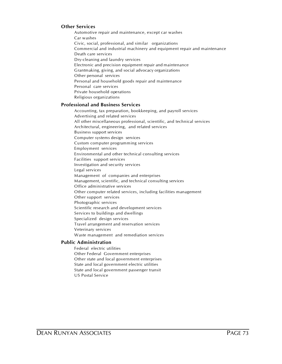#### **Other Services**

Automotive repair and maintenance, except car washes Car washes Civic, social, professional, and similar organizations Commercial and industrial machinery and equipment repair and maintenance Death care services Dry-cleaning and laundry services Electronic and precision equipment repair and maintenance Grantmaking, giving, and social advocacy organizations Other personal services Personal and household goods repair and maintenance Personal care services Private household operations Religious organizations

#### **Professional and Business Services**

Accounting, tax preparation, bookkeeping, and payroll services Advertising and related services All other miscellaneous professional, scientific, and technical services Architectural, engineering, and related services Business support services Computer systems design services Custom computer programming services Employment services Environmental and other technical consulting services Facilities support services Investigation and security services Legal services Management of companies and enterprises Management, scientific, and technical consulting services Office administrative services Other computer related services, including facilities management Other support services Photographic services Scientific research and development services Services to buildings and dwellings Specialized design services Travel arrangement and reservation services Veterinary services Waste management and remediation services

#### **Public Administration**

Federal electric utilities Other Federal Government enterprises Other state and local government enterprises State and local government electric utilities State and local government passenger transit US Postal Service